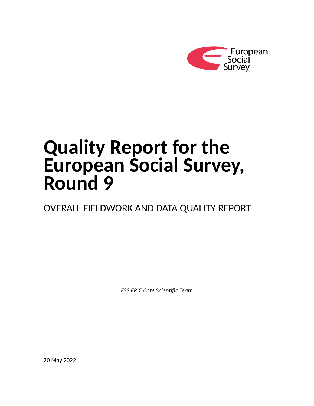

# **Quality Report for the European Social Survey, Round 9**

OVERALL FIELDWORK AND DATA QUALITY REPORT

*ESS ERIC Core Scientific Team*

20 May 2022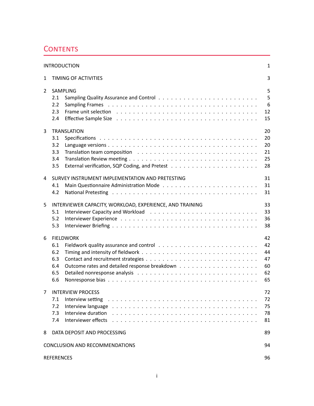# <span id="page-1-0"></span>**CONTENTS**

|                | <b>INTRODUCTION</b>                                                                                                                                                                                                                                                                                                                                                                                                                                                                                                                                                                                                                                                                                                                                                          | $\mathbf{1}$                           |  |  |  |  |  |  |  |
|----------------|------------------------------------------------------------------------------------------------------------------------------------------------------------------------------------------------------------------------------------------------------------------------------------------------------------------------------------------------------------------------------------------------------------------------------------------------------------------------------------------------------------------------------------------------------------------------------------------------------------------------------------------------------------------------------------------------------------------------------------------------------------------------------|----------------------------------------|--|--|--|--|--|--|--|
| $\mathbf{1}$   | 3<br>TIMING OF ACTIVITIES                                                                                                                                                                                                                                                                                                                                                                                                                                                                                                                                                                                                                                                                                                                                                    |                                        |  |  |  |  |  |  |  |
| $\overline{2}$ | SAMPLING<br>2.1<br>2.2<br>2.3<br>2.4                                                                                                                                                                                                                                                                                                                                                                                                                                                                                                                                                                                                                                                                                                                                         | 5<br>5<br>$6\phantom{1}6$<br>12<br>15  |  |  |  |  |  |  |  |
| 3              | <b>TRANSLATION</b><br>3.1<br>3.2<br>3.3<br>3.4<br>3.5                                                                                                                                                                                                                                                                                                                                                                                                                                                                                                                                                                                                                                                                                                                        | 20<br>20<br>20<br>21<br>25<br>28       |  |  |  |  |  |  |  |
| 4              | SURVEY INSTRUMENT IMPLEMENTATION AND PRETESTING<br>4.1<br>National Pretesting enterpreterate and the contract of the contract of the contract of the contract of the contract of the contract of the contract of the contract of the contract of the contract of the contract of the con<br>4.2                                                                                                                                                                                                                                                                                                                                                                                                                                                                              | 31<br>31<br>31                         |  |  |  |  |  |  |  |
| 5              | INTERVIEWER CAPACITY, WORKLOAD, EXPERIENCE, AND TRAINING<br>5.1<br>5.2<br>5.3                                                                                                                                                                                                                                                                                                                                                                                                                                                                                                                                                                                                                                                                                                | 33<br>33<br>36<br>38                   |  |  |  |  |  |  |  |
| 6              | <b>FIELDWORK</b><br>6.1<br>6.2<br>6.3<br>6.4<br>6.5<br>6.6                                                                                                                                                                                                                                                                                                                                                                                                                                                                                                                                                                                                                                                                                                                   | 42<br>42<br>44<br>47<br>60<br>62<br>65 |  |  |  |  |  |  |  |
|                | 7 INTERVIEW PROCESS<br>Interview setting respectively and the contract of the contract of the contract of the contract of the contract of the contract of the contract of the contract of the contract of the contract of the contract of the contrac<br>7.1<br>Interview language research and the contract of the contract of the contract of the contract of the contract of the contract of the contract of the contract of the contract of the contract of the contract of the contract o<br>7.2<br>Interview duration (a) and a contract of the contract of the contract of the contract of the contract of the contract of the contract of the contract of the contract of the contract of the contract of the contract of the c<br>7.3<br>7.4<br>Interviewer effects | 72<br>72<br>75<br>78<br>81             |  |  |  |  |  |  |  |
| 8              | DATA DEPOSIT AND PROCESSING<br>89                                                                                                                                                                                                                                                                                                                                                                                                                                                                                                                                                                                                                                                                                                                                            |                                        |  |  |  |  |  |  |  |
|                | CONCLUSION AND RECOMMENDATIONS<br>94                                                                                                                                                                                                                                                                                                                                                                                                                                                                                                                                                                                                                                                                                                                                         |                                        |  |  |  |  |  |  |  |
|                | <b>REFERENCES</b>                                                                                                                                                                                                                                                                                                                                                                                                                                                                                                                                                                                                                                                                                                                                                            | 96                                     |  |  |  |  |  |  |  |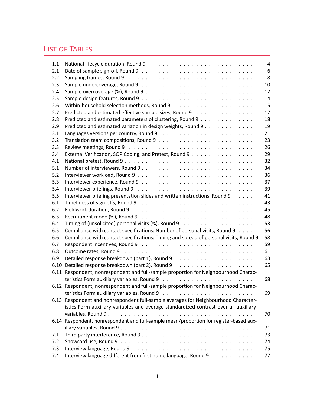# LIST OF TABLES

| 1.1  |                                                                                        | 4  |
|------|----------------------------------------------------------------------------------------|----|
| 2.1  |                                                                                        | 6  |
| 2.2  |                                                                                        | 8  |
| 2.3  |                                                                                        | 10 |
| 2.4  |                                                                                        | 12 |
| 2.5  |                                                                                        | 14 |
| 2.6  |                                                                                        | 15 |
| 2.7  | Predicted and estimated effective sample sizes, Round 9                                | 17 |
| 2.8  | Predicted and estimated parameters of clustering, Round 9                              | 18 |
| 2.9  | Predicted and estimated variation in design weights, Round 9                           | 19 |
| 3.1  |                                                                                        | 21 |
| 3.2  |                                                                                        | 23 |
| 3.3  |                                                                                        | 26 |
| 3.4  | External Verification, SQP Coding, and Pretest, Round 9                                | 29 |
| 4.1  |                                                                                        | 32 |
| 5.1  | Number of interviewers, Round 9                                                        | 34 |
| 5.2  |                                                                                        | 36 |
| 5.3  |                                                                                        | 37 |
| 5.4  |                                                                                        | 39 |
| 5.5  | Interviewer briefing presentation slides and written instructions, Round 9             | 41 |
| 6.1  |                                                                                        | 43 |
| 6.2  |                                                                                        | 45 |
| 6.3  |                                                                                        | 48 |
| 6.4  |                                                                                        | 53 |
| 6.5  | Compliance with contact specifications: Number of personal visits, Round 9             | 56 |
| 6.6  | Compliance with contact specifications: Timing and spread of personal visits, Round 9  | 58 |
| 6.7  |                                                                                        | 59 |
| 6.8  |                                                                                        | 61 |
| 6.9  |                                                                                        | 63 |
| 6.10 |                                                                                        | 65 |
|      | 6.11 Respondent, nonrespondent and full-sample proportion for Neighbourhood Charac-    |    |
|      |                                                                                        | 68 |
|      | 6.12 Respondent, nonrespondent and full-sample proportion for Neighbourhood Charac-    |    |
|      |                                                                                        | 69 |
|      | 6.13 Respondent and nonrespondent full-sample averages for Neighbourhood Character-    |    |
|      | istics Form auxiliary variables and average standardized contrast over all auxiliary   |    |
|      |                                                                                        | 70 |
|      | 6.14 Respondent, nonrespondent and full-sample mean/proportion for register-based aux- |    |
|      |                                                                                        | 71 |
| 7.1  |                                                                                        | 73 |
| 7.2  |                                                                                        | 74 |
| 7.3  |                                                                                        | 75 |
| 7.4  | Interview language different from first home language, Round 9                         | 77 |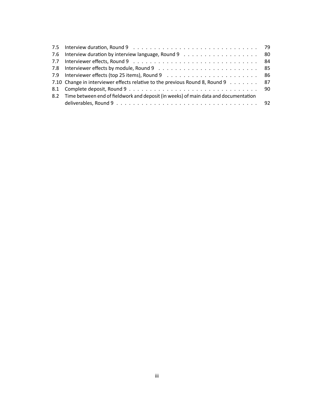| 7.10 Change in interviewer effects relative to the previous Round 8, Round 9 87                             |                                                                                         |
|-------------------------------------------------------------------------------------------------------------|-----------------------------------------------------------------------------------------|
|                                                                                                             |                                                                                         |
|                                                                                                             |                                                                                         |
| deliverables, Round $9 \ldots \ldots \ldots \ldots \ldots \ldots \ldots \ldots \ldots \ldots \ldots \ldots$ |                                                                                         |
|                                                                                                             | 8.2 Time between end of fieldwork and deposit (in weeks) of main data and documentation |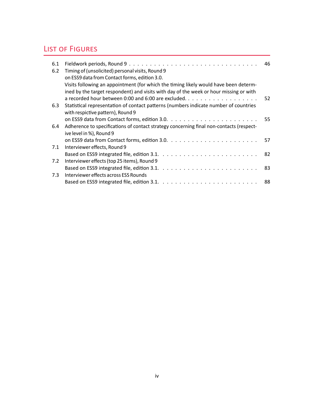# LIST OF FIGURES

| 6.1 |                                                                                         |     |
|-----|-----------------------------------------------------------------------------------------|-----|
| 6.2 | Timing of (unsolicited) personal visits, Round 9                                        |     |
|     | on ESS9 data from Contact forms, edition 3.0.                                           |     |
|     | Visits following an appointment (for which the timing likely would have been determ-    |     |
|     | ined by the target respondent) and visits with day of the week or hour missing or with  |     |
|     |                                                                                         |     |
| 6.3 | Statistical representation of contact patterns (numbers indicate number of countries    |     |
|     | with respictive pattern), Round 9                                                       |     |
|     |                                                                                         |     |
| 6.4 | Adherence to specifications of contact strategy concerning final non-contacts (respect- |     |
|     | ive level in %), Round 9                                                                |     |
|     |                                                                                         | -57 |
| 7.1 | Interviewer effects, Round 9                                                            |     |
|     |                                                                                         |     |
| 7.2 | Interviewer effects (top 25 items), Round 9                                             |     |
|     |                                                                                         |     |
| 7.3 | Interviewer effects across ESS Rounds                                                   |     |
|     |                                                                                         | -88 |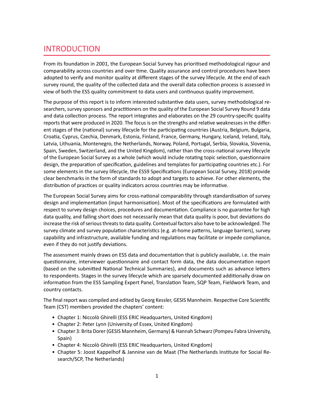# INTRODUCTION

From its foundation in 2001, the European Social Survey has prioritised methodological rigour and comparability across countries and over time. Quality assurance and control procedures have been adopted to verify and monitor quality at different stages of the survey lifecycle. At the end of each survey round, the quality of the collected data and the overall data collection process is assessed in view of both the ESS quality commitment to data users and continuous quality improvement.

The purpose of this report is to inform interested substantive data users, survey methodological researchers, survey sponsors and practitioners on the quality of the European Social Survey Round 9 data and data collection process. The report integrates and elaborates on the 29 country-specific quality reports that were produced in 2020. The focus is on the strengths and relative weaknesses in the different stages of the (national) survey lifecycle for the participating countries (Austria, Belgium, Bulgaria, Croatia, Cyprus, Czechia, Denmark, Estonia, Finland, France, Germany, Hungary, Iceland, Ireland, Italy, Latvia, Lithuania, Montenegro, the Netherlands, Norway, Poland, Portugal, Serbia, Slovakia, Slovenia, Spain, Sweden, Switzerland, and the United Kingdom), rather than the cross-national survey lifecycle of the European Social Survey as a whole (which would include rotating topic selection, questionnaire design, the preparation of specification, guidelines and templates for participating countries etc.). For some elements in the survey lifecycle, the ESS9 Specifications (European Social Survey, 2018) provide clear benchmarks in the form of standards to adopt and targets to achieve. For other elements, the distribution of practices or quality indicators across countries may be informative.

The European Social Survey aims for cross-national comparability through standardisation of survey design and implementation (input harmonisation). Most of the specifications are formulated with respect to survey design choices, procedures and documentation. Compliance is no guarantee for high data quality, and falling short does not necessarily mean that data quality is poor, but deviations do increase the risk of serious threats to data quality. Contextual factors also have to be acknowledged. The survey climate and survey population characteristics (e.g. at-home patterns, language barriers), survey capability and infrastructure, available funding and regulations may facilitate or impede compliance, even if they do not justify deviations.

The assessment mainly draws on ESS data and documentation that is publicly available, i.e. the main questionnaire, interviewer questionnaire and contact form data, the data documentation report (based on the submitted National Technical Summaries), and documents such as advance letters to respondents. Stages in the survey lifecycle which are sparsely documented additionally draw on information from the ESS Sampling Expert Panel, Translation Team, SQP Team, Fieldwork Team, and country contacts.

The final report was compiled and edited by Georg Kessler, GESIS Mannheim. Respective Core Scientific Team (CST) members provided the chapters' content:

- Chapter 1: Niccolò Ghirelli (ESS ERIC Headquarters, United Kingdom)
- Chapter 2: Peter Lynn (University of Essex, United Kingdom)
- Chapter 3: Brita Dorer (GESIS Mannheim, Germany) & Hannah Schwarz (Pompeu Fabra University, Spain)
- Chapter 4: Niccolò Ghirelli (ESS ERIC Headquarters, United Kingdom)
- Chapter 5: Joost Kappelhof & Jannine van de Maat (The Netherlands Institute for Social Research/SCP, The Netherlands)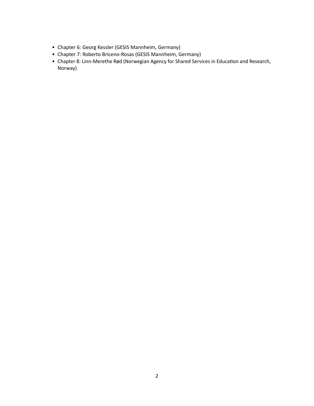- Chapter 6: Georg Kessler (GESIS Mannheim, Germany)
- Chapter 7: Roberto Briceno-Rosas (GESIS Mannheim, Germany)
- Chapter 8: Linn-Merethe Rød (Norwegian Agency for Shared Services in Education and Research, Norway)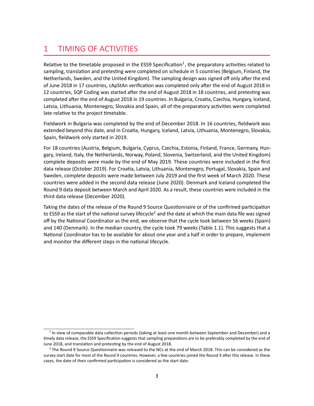# <span id="page-7-0"></span>1 TIMING OF ACTIVITIES

<span id="page-7-3"></span>Relative to the timetable proposed in the ESS9 Specification<sup>[1](#page-7-1)</sup>, the preparatory activities related to sampling, translation and pretesting were completed on schedule in 5 countries (Belgium, Finland, the Netherlands, Sweden, and the United Kingdom). The sampling design was signed off only after the end of June 2018 in 17 countries, cApStAn verification was completed only after the end of August 2018 in 12 countries, SQP Coding was started after the end of August 2018 in 18 countries, and pretesting was completed after the end of August 2018 in 19 countries. In Bulgaria, Croatia, Czechia, Hungary, Iceland, Latvia, Lithuania, Montenegro, Slovakia and Spain, all of the preparatory activities were completed late relative to the project timetable.

Fieldwork in Bulgaria was completed by the end of December 2018. In 16 countries, fieldwork was extended beyond this date, and in Croatia, Hungary, Iceland, Latvia, Lithuania, Montenegro, Slovakia, Spain, fieldwork only started in 2019.

For 18 countries (Austria, Belgium, Bulgaria, Cyprus, Czechia, Estonia, Finland, France, Germany, Hungary, Ireland, Italy, the Netherlands, Norway, Poland, Slovenia, Switzerland, and the United Kingdom) complete deposits were made by the end of May 2019. These countries were included in the first data release (October 2019). For Croatia, Latvia, Lithuania, Montenegro, Portugal, Slovakia, Spain and Sweden, complete deposits were made between July 2019 and the first week of March 2020. These countries were added in the second data release (June 2020). Denmark and Iceland completed the Round 9 data deposit between March and April 2020. As a result, these countries were included in the third data release (December 2020).

<span id="page-7-4"></span>Taking the dates of the release of the Round 9 Source Questionnaire or of the confirmed participation to ESS9 as the start of the national survey lifecycle<sup>[2](#page-7-2)</sup> and the date at which the main data file was signed off by the National Coordinator as the end, we observe that the cycle took between 56 weeks (Spain) and 140 (Denmark). In the median country, the cycle took 79 weeks (Table [1.1\)](#page-8-0). This suggests that a National Coordinator has to be available for about one year and a half in order to prepare, implement and monitor the different steps in the national lifecycle.

<span id="page-7-1"></span><sup>&</sup>lt;sup>[1](#page-7-3)</sup> In view of comparable data collection periods (taking at least one month between September and December) and a timely data release, the ESS9 Specification suggests that sampling preparations are to be preferably completed by the end of June 2018, and translation and pretesting by the end of August 2018.

<span id="page-7-2"></span> $2$  The Round 9 Source Questionnaire was released to the NCs at the end of March 2018. This can be considered as the survey start date for most of the Round 9 countries. However, a few countries joined the Round 9 after this release. In these cases, the date of their confirmed participation is considered as the start date.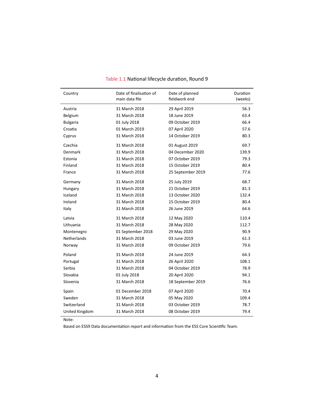<span id="page-8-0"></span>

| Country         | Date of finalisation of<br>main data file |                   | Duration<br>(weeks) |
|-----------------|-------------------------------------------|-------------------|---------------------|
| Austria         | 31 March 2018                             | 29 April 2019     | 56.3                |
| Belgium         | 31 March 2018                             | 18 June 2019      | 63.4                |
| <b>Bulgaria</b> | 01 July 2018                              | 09 October 2019   | 66.4                |
| Croatia         | 01 March 2019                             | 07 April 2020     | 57.6                |
| Cyprus          | 31 March 2018                             | 14 October 2019   | 80.3                |
| Czechia         | 31 March 2018                             | 01 August 2019    | 69.7                |
| Denmark         | 31 March 2018                             | 04 December 2020  | 139.9               |
| Estonia         | 31 March 2018                             | 07 October 2019   | 79.3                |
| Finland         | 31 March 2018                             | 15 October 2019   | 80.4                |
| France          | 31 March 2018                             | 25 September 2019 | 77.6                |
| Germany         | 31 March 2018                             | 25 July 2019      | 68.7                |
| Hungary         | 31 March 2018                             | 21 October 2019   | 81.3                |
| Iceland         | 31 March 2018                             | 13 October 2020   | 132.4               |
| Ireland         | 31 March 2018                             | 15 October 2019   | 80.4                |
| Italy           | 31 March 2018                             | 26 June 2019      | 64.6                |
| Latvia          | 31 March 2018                             | 12 May 2020       | 110.4               |
| Lithuania       | 31 March 2018                             | 28 May 2020       | 112.7               |
| Montenegro      | 01 September 2018                         | 29 May 2020       | 90.9                |
| Netherlands     | 31 March 2018                             | 03 June 2019      | 61.3                |
| Norway          | 31 March 2018                             | 09 October 2019   | 79.6                |
| Poland          | 31 March 2018                             | 24 June 2019      | 64.3                |
| Portugal        | 31 March 2018                             | 26 April 2020     | 108.1               |
| Serbia          | 31 March 2018                             | 04 October 2019   | 78.9                |
| Slovakia        | 01 July 2018                              | 20 April 2020     | 94.1                |
| Slovenia        | 31 March 2018                             | 18 September 2019 | 76.6                |
| Spain           | 01 December 2018                          | 07 April 2020     | 70.4                |
| Sweden          | 31 March 2018                             | 05 May 2020       | 109.4               |
| Switzerland     | 31 March 2018                             | 03 October 2019   | 78.7                |
| United Kingdom  | 31 March 2018                             | 08 October 2019   | 79.4                |

# Table 1.1 National lifecycle duration, Round 9

Note:

Based on ESS9 Data documentation report and information from the ESS Core Scientific Team.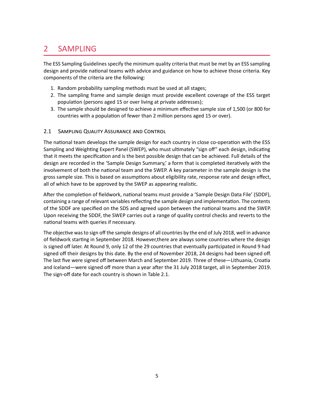# <span id="page-9-0"></span>2 SAMPLING

The ESS Sampling Guidelines specify the minimum quality criteria that must be met by an ESS sampling design and provide national teams with advice and guidance on how to achieve those criteria. Key components of the criteria are the following:

- 1. Random probability sampling methods must be used at all stages;
- 2. The sampling frame and sample design must provide excellent coverage of the ESS target population (persons aged 15 or over living at private addresses);
- 3. The sample should be designed to achieve a minimum effective sample size of 1,500 (or 800 for countries with a population of fewer than 2 million persons aged 15 or over).

# <span id="page-9-1"></span>2.1 SAMPLING QUALITY ASSURANCE AND CONTROL

The national team develops the sample design for each country in close co-operation with the ESS Sampling and Weighting Expert Panel (SWEP), who must ultimately "sign off" each design, indicating that it meets the specification and is the best possible design that can be achieved. Full details of the design are recorded in the 'Sample Design Summary,' a form that is completed iteratively with the involvement of both the national team and the SWEP. A key parameter in the sample design is the gross sample size. This is based on assumptions about eligibility rate, response rate and design effect, all of which have to be approved by the SWEP as appearing realistic.

After the completion of fieldwork, national teams must provide a 'Sample Design Data File' (SDDF), containing a range of relevant variables reflecting the sample design and implementation. The contents of the SDDF are specified on the SDS and agreed upon between the national teams and the SWEP. Upon receiving the SDDF, the SWEP carries out a range of quality control checks and reverts to the national teams with queries if necessary.

The objective was to sign off the sample designs of all countries by the end of July 2018, well in advance of fieldwork starting in September 2018. However,there are always some countries where the design is signed off later. At Round 9, only 12 of the 29 countries that eventually participated in Round 9 had signed off their designs by this date. By the end of November 2018, 24 designs had been signed off. The last five were signed off between March and September 2019. Three of these—Lithuania, Croatia and Iceland—were signed off more than a year after the 31 July 2018 target, all in September 2019. The sign-off date for each country is shown in Table [2.1.](#page-10-1)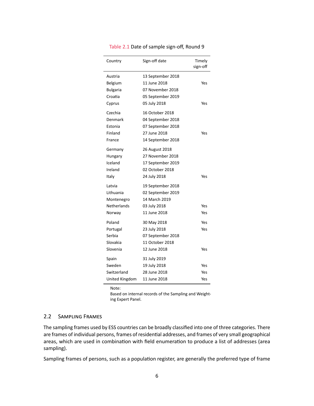<span id="page-10-1"></span>

| Country         | Sign-off date     | Timely<br>sign-off |
|-----------------|-------------------|--------------------|
| Austria         | 13 September 2018 |                    |
| Belgium         | 11 June 2018      | Yes                |
| <b>Bulgaria</b> | 07 November 2018  |                    |
| Croatia         | 05 September 2019 |                    |
| Cyprus          | 05 July 2018      | Yes                |
| Czechia         | 16 October 2018   |                    |
| Denmark         | 04 September 2018 |                    |
| Estonia         | 07 September 2018 |                    |
| Finland         | 27 June 2018      | Yes                |
| France          | 14 September 2018 |                    |
| Germany         | 26 August 2018    |                    |
| Hungary         | 27 November 2018  |                    |
| Iceland         | 17 September 2019 |                    |
| Ireland         | 02 October 2018   |                    |
| Italy           | 24 July 2018      | Yes                |
| Latvia          | 19 September 2018 |                    |
| Lithuania       | 02 September 2019 |                    |
| Montenegro      | 14 March 2019     |                    |
| Netherlands     | 03 July 2018      | Yes                |
| Norway          | 11 June 2018      | Yes                |
| Poland          | 30 May 2018       | Yes                |
| Portugal        | 23 July 2018      | Yes                |
| Serbia          | 07 September 2018 |                    |
| Slovakia        | 11 October 2018   |                    |
| Slovenia        | 12 June 2018      | Yes                |
| Spain           | 31 July 2019      |                    |
| Sweden          | 19 July 2018      | Yes                |
| Switzerland     | 28 June 2018      | Yes                |
| United Kingdom  | 11 June 2018      | Yes                |

Table 2.1 Date of sample sign-off, Round 9

Note:

Based on internal records of the Sampling and Weighting Expert Panel.

### <span id="page-10-0"></span>2.2 SAMPLING FRAMES

The sampling frames used by ESS countries can be broadly classified into one of three categories. There are frames of individual persons, frames of residential addresses, and frames of very small geographical areas, which are used in combination with field enumeration to produce a list of addresses (area sampling).

Sampling frames of persons, such as a population register, are generally the preferred type of frame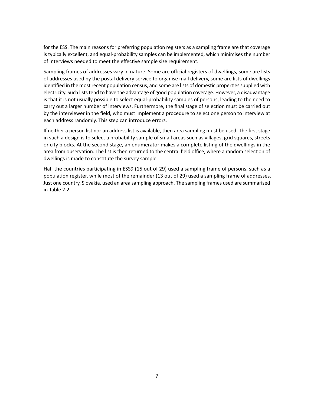for the ESS. The main reasons for preferring population registers as a sampling frame are that coverage is typically excellent, and equal-probability samples can be implemented, which minimises the number of interviews needed to meet the effective sample size requirement.

Sampling frames of addresses vary in nature. Some are official registers of dwellings, some are lists of addresses used by the postal delivery service to organise mail delivery, some are lists of dwellings identified in the most recent population census, and some are lists of domestic properties supplied with electricity. Such lists tend to have the advantage of good population coverage. However, a disadvantage is that it is not usually possible to select equal-probability samples of persons, leading to the need to carry out a larger number of interviews. Furthermore, the final stage of selection must be carried out by the interviewer in the field, who must implement a procedure to select one person to interview at each address randomly. This step can introduce errors.

If neither a person list nor an address list is available, then area sampling must be used. The first stage in such a design is to select a probability sample of small areas such as villages, grid squares, streets or city blocks. At the second stage, an enumerator makes a complete listing of the dwellings in the area from observation. The list is then returned to the central field office, where a random selection of dwellings is made to constitute the survey sample.

Half the countries participating in ESS9 (15 out of 29) used a sampling frame of persons, such as a population register, while most of the remainder (13 out of 29) used a sampling frame of addresses. Just one country, Slovakia, used an area sampling approach. The sampling frames used are summarised in Table [2.2.](#page-12-0)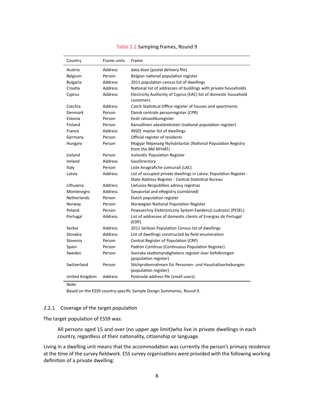<span id="page-12-0"></span>

| Country         | Frame units    | Frame                                                                                                                      |
|-----------------|----------------|----------------------------------------------------------------------------------------------------------------------------|
| Austria         | <b>Address</b> | data.door (postal delivery file)                                                                                           |
| <b>Belgium</b>  | Person         | Belgian national population register                                                                                       |
| <b>Bulgaria</b> | Address        | 2011 population census list of dwellings                                                                                   |
| Croatia         | <b>Address</b> | National list of addresses of buildings with private households                                                            |
| Cyprus          | Address        | Electricity Authority of Cyprus (EAC) list of domestic household<br>customers                                              |
| Czechia         | Address        | Czech Statistical Office register of houses and apartments                                                                 |
| Denmark         | Person         | Dansk centrale personregister (CPR)                                                                                        |
| Estonia         | Person         | Eesti rahvastikuregister                                                                                                   |
| Finland         | Person         | Kansallinen väestörekisteri (national population register)                                                                 |
| France          | Address        | <b>INSEE master list of dwellings</b>                                                                                      |
| Germany         | Person         | Official register of residents                                                                                             |
| Hungary         | Person         | Magyar Népesség Nyilvántartás (National Population Registry<br>from the BM NYHÁT)                                          |
| Iceland         | Person         | Icelandic Population Register                                                                                              |
| Ireland         | Address        | GeoDirectory                                                                                                               |
| Italy           | Person         | Liste Anagrafiche comunali (LAC)                                                                                           |
| Latvia          | <b>Address</b> | List of occupied private dwellings in Latvia: Population Register -<br>State Address Register - Central Statistical Bureau |
| Lithuania       | Address        | Lietuvos Respublikos adresų registras                                                                                      |
| Montenegro      | <b>Address</b> | Geoportal and eRegistry (combined)                                                                                         |
| Netherlands     | Person         | Dutch population register                                                                                                  |
| Norway          | Person         | Norwegian National Population Register                                                                                     |
| Poland          | Person         | Powszechny Elektroniczny System Ewidencji Ludności (PESEL)                                                                 |
| Portugal        | Address        | List of addresses of domestic clients of Energias de Portugal<br>(EDP)                                                     |
| Serbia          | Address        | 2011 Serbian Population Census list of dwellings                                                                           |
| Slovakia        | <b>Address</b> | List of dwellings constructed by field enumeration                                                                         |
| Slovenia        | Person         | Central Register of Population (CRP)                                                                                       |
| Spain           | Person         | Padrón Continuo (Continuous Population Register)                                                                           |
| Sweden          | Person         | Svenska skattemyndighetens register över befolkningen                                                                      |
|                 |                | (population register)                                                                                                      |
| Switzerland     | Person         | Stichprobenrahmen für Personen- und Haushaltserhebungen<br>(population register)                                           |
| United Kingdom  | Address        | Postcode address file (small users)                                                                                        |

#### Table 2.2 Sampling frames, Round 9

Note:

Based on the ESS9 country-specific Sample Design Summaries, Round 9.

#### 2.2.1 Coverage of the target population

The target population of ESS9 was:

All persons aged 15 and over (no upper age limit)who live in private dwellings in each country, regardless of their nationality, citizenship or language.

Living in a dwelling unit means that the accommodation was currently the person's primary residence at the time of the survey fieldwork. ESS survey organisations were provided with the following working definition of a private dwelling: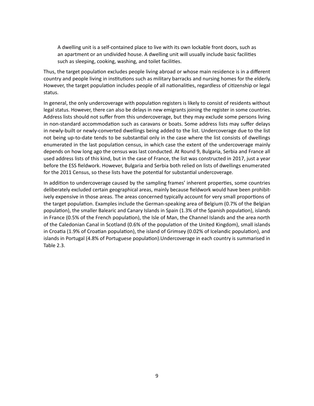A dwelling unit is a self-contained place to live with its own lockable front doors, such as an apartment or an undivided house. A dwelling unit will usually include basic facilities such as sleeping, cooking, washing, and toilet facilities.

Thus, the target population excludes people living abroad or whose main residence is in a different country and people living in institutions such as military barracks and nursing homes for the elderly. However, the target population includes people of all nationalities, regardless of citizenship or legal status.

In general, the only undercoverage with population registers is likely to consist of residents without legal status. However, there can also be delays in new emigrants joining the register in some countries. Address lists should not suffer from this undercoverage, but they may exclude some persons living in non-standard accommodation such as caravans or boats. Some address lists may suffer delays in newly-built or newly-converted dwellings being added to the list. Undercoverage due to the list not being up-to-date tends to be substantial only in the case where the list consists of dwellings enumerated in the last population census, in which case the extent of the undercoverage mainly depends on how long ago the census was last conducted. At Round 9, Bulgaria, Serbia and France all used address lists of this kind, but in the case of France, the list was constructed in 2017, just a year before the ESS fieldwork. However, Bulgaria and Serbia both relied on lists of dwellings enumerated for the 2011 Census, so these lists have the potential for substantial undercoverage.

In addition to undercoverage caused by the sampling frames' inherent properties, some countries deliberately excluded certain geographical areas, mainly because fieldwork would have been prohibitively expensive in those areas. The areas concerned typically account for very small proportions of the target population. Examples include the German-speaking area of Belgium (0.7% of the Belgian population), the smaller Balearic and Canary Islands in Spain (1.3% of the Spanish population), islands in France (0.5% of the French population), the Isle of Man, the Channel Islands and the area north of the Caledonian Canal in Scotland (0.6% of the population of the United Kingdom), small islands in Croatia (1.9% of Croatian population), the island of Grimsey (0.02% of Icelandic population), and islands in Portugal (4.8% of Portuguese population).Undercoverage in each country is summarised in Table [2.3.](#page-14-0)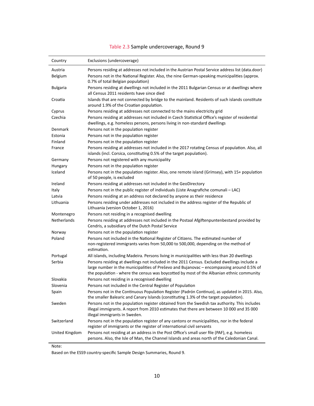<span id="page-14-0"></span>

| Country         | Exclusions (undercoverage)                                                                                                                                                                                                                                                           |
|-----------------|--------------------------------------------------------------------------------------------------------------------------------------------------------------------------------------------------------------------------------------------------------------------------------------|
| Austria         | Persons residing at addresses not included in the Austrian Postal Service address list (data.door)                                                                                                                                                                                   |
| Belgium         | Persons not in the National Register. Also, the nine German-speaking municipalities (approx.<br>0.7% of total Belgian population)                                                                                                                                                    |
| <b>Bulgaria</b> | Persons residing at dwellings not included in the 2011 Bulgarian Census or at dwellings where<br>all Census 2011 residents have since died                                                                                                                                           |
| Croatia         | Islands that are not connected by bridge to the mainland. Residents of such islands constitute<br>around 1.9% of the Croatian population.                                                                                                                                            |
| Cyprus          | Persons residing at addresses not connected to the mains electricity grid                                                                                                                                                                                                            |
| Czechia         | Persons residing at addresses not included in Czech Statistical Office's register of residential<br>dwellings, e.g. homeless persons, persons living in non-standard dwellings                                                                                                       |
| Denmark         | Persons not in the population register                                                                                                                                                                                                                                               |
| Estonia         | Persons not in the population register                                                                                                                                                                                                                                               |
| Finland         | Persons not in the population register                                                                                                                                                                                                                                               |
| France          | Persons residing at addresses not included in the 2017 rotating Census of population. Also, all<br>islands (incl. Corsica, constituting 0.5% of the target population).                                                                                                              |
| Germany         | Persons not registered with any municipality                                                                                                                                                                                                                                         |
| Hungary         | Persons not in the population register                                                                                                                                                                                                                                               |
| Iceland         | Persons not in the population register. Also, one remote island (Grimsey), with 15+ population<br>of 50 people, is excluded                                                                                                                                                          |
| Ireland         | Persons residing at addresses not included in the GeoDirectory                                                                                                                                                                                                                       |
| Italy           | Persons not in the public register of individuals (Liste Anagrafiche comunali - LAC)                                                                                                                                                                                                 |
| Latvia          | Persons residing at an address not declared by anyone as their residence                                                                                                                                                                                                             |
| Lithuania       | Persons residing under addresses not included in the address register of the Republic of<br>Lithuania (version October 1, 2016)                                                                                                                                                      |
| Montenegro      | Persons not residing in a recognised dwelling                                                                                                                                                                                                                                        |
| Netherlands     | Persons residing at addresses not included in the Postaal Afgiftenpuntenbestand provided by<br>Cendris, a subsidiary of the Dutch Postal Service                                                                                                                                     |
| Norway          | Persons not in the population register                                                                                                                                                                                                                                               |
| Poland          | Persons not included in the National Register of Citizens. The estimated number of<br>non-registered immigrants varies from 50,000 to 500,000, depending on the method of<br>estimation.                                                                                             |
| Portugal        | All islands, including Madeira. Persons living in municipalities with less than 20 dwellings                                                                                                                                                                                         |
| Serbia          | Persons residing at dwellings not included in the 2011 Census. Excluded dwellings include a<br>large number in the municipalities of Preševo and Bujanovac - encompassing around 0.5% of<br>the population - where the census was boycotted by most of the Albanian ethnic community |
| Slovakia        | Persons not residing in a recognised dwelling                                                                                                                                                                                                                                        |
| Slovenia        | Persons not included in the Central Register of Population                                                                                                                                                                                                                           |
| Spain           | Persons not in the Continuous Population Register (Padrón Continuo), as updated in 2015. Also,<br>the smaller Balearic and Canary Islands (constituting 1.3% of the target population).                                                                                              |
| Sweden          | Persons not in the population register obtained from the Swedish tax authority. This includes<br>illegal immigrants. A report from 2010 estimates that there are between 10 000 and 35 000<br>illegal immigrants in Sweden.                                                          |
| Switzerland     | Persons not in the population register of any cantons or municipalities, nor in the federal<br>register of immigrants or the register of international civil servants                                                                                                                |
| United Kingdom  | Persons not residing at an address in the Post Office's small user file (PAF), e.g. homeless<br>persons. Also, the Isle of Man, the Channel Islands and areas north of the Caledonian Canal.                                                                                         |

# Table 2.3 Sample undercoverage, Round 9

Note:

Based on the ESS9 country-specific Sample Design Summaries, Round 9.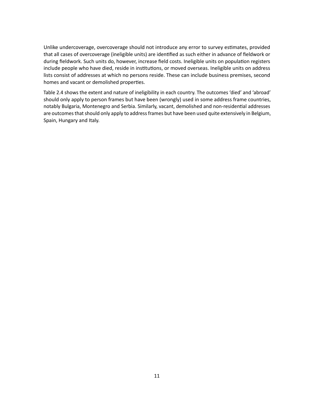Unlike undercoverage, overcoverage should not introduce any error to survey estimates, provided that all cases of overcoverage (ineligible units) are identified as such either in advance of fieldwork or during fieldwork. Such units do, however, increase field costs. Ineligible units on population registers include people who have died, reside in institutions, or moved overseas. Ineligible units on address lists consist of addresses at which no persons reside. These can include business premises, second homes and vacant or demolished properties.

Table [2.4](#page-16-1) shows the extent and nature of ineligibility in each country. The outcomes 'died' and 'abroad' should only apply to person frames but have been (wrongly) used in some address frame countries, notably Bulgaria, Montenegro and Serbia. Similarly, vacant, demolished and non-residential addresses are outcomes that should only apply to address frames but have been used quite extensively in Belgium, Spain, Hungary and Italy.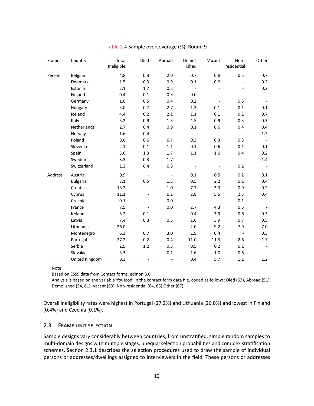<span id="page-16-1"></span>

| Frames  | Country         | Total<br>Ineligible | Died                         | Abroad                       | Demol-<br>ished          | Vacant                   | Non-<br>residential      | Other |
|---------|-----------------|---------------------|------------------------------|------------------------------|--------------------------|--------------------------|--------------------------|-------|
| Person  | Belgium         | 4.8                 | 0.3                          | 2.0                          | 0.7                      | 0.8                      | 0.5                      | 0.7   |
|         | Denmark         | 1.5                 | 0.3                          | 0.9                          | 0.1                      | 0.0                      | $\blacksquare$           | 0.2   |
|         | Estonia         | 2.1                 | 1.7                          | 0.2                          | $\blacksquare$           | $\overline{\phantom{a}}$ |                          | 0.2   |
|         | Finland         | 0.4                 | 0.1                          | 0.3                          | 0.0                      |                          |                          |       |
|         | Germany         | 1.6                 | 0.5                          | 0.4                          | 0.2                      |                          | 0.5                      |       |
|         | Hungary         | 5.0                 | 0.7                          | 2.7                          | 1.3                      | 0.1                      | $0.1\,$                  | 0.1   |
|         | Iceland         | 4.4                 | 0.2                          | 2.1                          | $1.1\,$                  | 0.1                      | 0.1                      | 0.7   |
|         | Italy           | 5.2                 | 0.9                          | 1.3                          | 1.5                      | 0.9                      | 0.3                      | 0.3   |
|         | Netherlands     | 2.7                 | 0.4                          | 0.9                          | 0.1                      | 0.6                      | 0.4                      | 0.4   |
|         | Norway          | 1.6                 | 0.4                          | $\overline{\phantom{a}}$     | $\overline{\phantom{a}}$ | $\sim$ $-$               | $\overline{\phantom{a}}$ | 1.2   |
|         | Poland          | 8.0                 | 0.6                          | 6.7                          | 0.3                      | 0.3                      | 0.3                      |       |
|         | Slovenia        | 2.1                 | 0.1                          | $1.1\,$                      | 0.1                      | 0.6                      | $0.1\,$                  | 0.1   |
|         | Spain           | 5.6                 | 1.3                          | 1.7                          | $1.1\,$                  | $1.0\,$                  | 0.4                      | 0.2   |
|         | Sweden          | 3.3                 | 0.3                          | 1.7                          |                          |                          | $\overline{\phantom{a}}$ | 1.4   |
|         | Switzerland     | 1.3                 | 0.4                          | 0.8                          |                          |                          | 0.2                      |       |
| Address | Austria         | 0.9                 | $\overline{\phantom{a}}$     | $\overline{\phantom{a}}$     | 0.1                      | 0.5                      | 0.2                      | 0.1   |
|         | <b>Bulgaria</b> | 5.1                 | 0.5                          | 1.5                          | 0.5                      | 2.2                      | 0.1                      | 0.4   |
|         | Croatia         | 13.2                | $\qquad \qquad \blacksquare$ | $1.0\,$                      | 7.7                      | 3.3                      | 0.9                      | 0.2   |
|         | Cyprus          | 11.1                | -                            | 0.2                          | 2.8                      | 5.5                      | 2.3                      | 0.4   |
|         | Czechia         | 0.1                 |                              | 0.0                          | $\bar{\phantom{a}}$      | $\sim$ $-$               | 0.1                      |       |
|         | France          | 7.5                 |                              | 0.0                          | 2.7                      | 4.3                      | 0.5                      |       |
|         | Ireland         | 5.2                 | 0.1                          | $\overline{\phantom{a}}$     | 0.4                      | 3.9                      | 0.6                      | 0.3   |
|         | Latvia          | 7.4                 | 0.3                          | 0.5                          | 1.6                      | 3.9                      | 0.7                      | 0.5   |
|         | Lithuania       | 26.0                | $\overline{\phantom{a}}$     | $\overline{\phantom{a}}$     | 2.0                      | 9.2                      | 7.9                      | 7.0   |
|         | Montenegro      | 6.3                 | 0.7                          | 3.0                          | 1.9                      | 0.4                      | $\overline{\phantom{a}}$ | 0.3   |
|         | Portugal        | 27.2                | 0.2                          | 0.4                          | 11.0                     | 11.3                     | 2.6                      | 1.7   |
|         | Serbia          | 2.5                 | $1.2\,$                      | 0.5                          | 0.5                      | 0.2                      | 0.1                      |       |
|         | Slovakia        | 3.3                 |                              | 0.1                          | 1.6                      | $1.0\,$                  | 0.6                      |       |
|         | United Kingdom  | 8.3                 | $\overline{\phantom{a}}$     | $\qquad \qquad \blacksquare$ | 0.4                      | 5.7                      | 1.1                      | 1.2   |

#### Table 2.4 Sample overcoverage (%), Round 9

Note:

Based on ESS9 data from Contact forms, edition 3.0.

Analysis is based on the variable 'foutcod' in the contact form data file, coded as follows: Died (63), Abroad (51), Demolished (54, 61), Vacant (63), Non-residential (64, 65) Other (67).

Overall ineligibility rates were highest in Portugal (27.2%) and Lithuania (26.0%) and lowest in Finland (0.4%) and Czechia (0.1%).

#### <span id="page-16-0"></span>2.3 FRAME UNIT SELECTION

Sample designs vary considerably between countries, from unstratified, simple random samples to multi-domain designs with multiple stages, unequal selection probabilities and complex stratification schemes. Section [2.3.1](#page-17-0) describes the selection procedures used to draw the sample of individual persons or addresses/dwellings assigned to interviewers in the field. These persons or addresses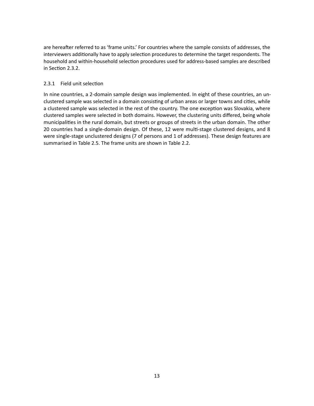are hereafter referred to as 'frame units.' For countries where the sample consists of addresses, the interviewers additionally have to apply selection procedures to determine the target respondents. The household and within-household selection procedures used for address-based samples are described in Section [2.3.2.](#page-18-1)

#### <span id="page-17-0"></span>2.3.1 Field unit selection

In nine countries, a 2-domain sample design was implemented. In eight of these countries, an unclustered sample was selected in a domain consisting of urban areas or larger towns and cities, while a clustered sample was selected in the rest of the country. The one exception was Slovakia, where clustered samples were selected in both domains. However, the clustering units differed, being whole municipalities in the rural domain, but streets or groups of streets in the urban domain. The other 20 countries had a single-domain design. Of these, 12 were multi-stage clustered designs, and 8 were single-stage unclustered designs (7 of persons and 1 of addresses). These design features are summarised in Table [2.5.](#page-18-0) The frame units are shown in Table [2.2.](#page-12-0)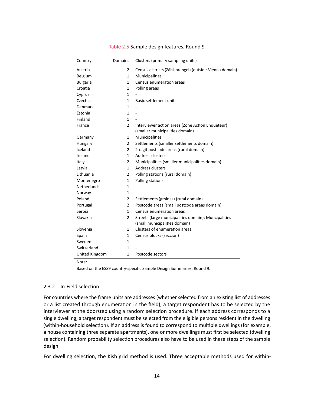<span id="page-18-0"></span>

| Country            | Domains        | Clusters (primary sampling units)                                                     |
|--------------------|----------------|---------------------------------------------------------------------------------------|
| Austria            | $\overline{2}$ | Census districts (Zählsprengel) (outside-Vienna domain)                               |
| Belgium            | $\mathbf{1}$   | Municipalities                                                                        |
| <b>Bulgaria</b>    | $\mathbf{1}$   | Census enumeration areas                                                              |
| Croatia            | $\mathbf{1}$   | Polling areas                                                                         |
| Cyprus             | $\mathbf{1}$   |                                                                                       |
| Czechia            | $\mathbf{1}$   | <b>Basic settlement units</b>                                                         |
| Denmark            | $\mathbf{1}$   |                                                                                       |
| Estonia            | $\mathbf{1}$   |                                                                                       |
| Finland            | $\mathbf{1}$   |                                                                                       |
| France             | $\overline{2}$ | Interviewer action areas (Zone Action Enquêteur)<br>(smaller municipalities domain)   |
| Germany            | 1              | Municipalities                                                                        |
| Hungary            | 2              | Settlements (smaller settlements domain)                                              |
| Iceland            | $\overline{2}$ | 2-digit postcode areas (rural domain)                                                 |
| Ireland            | $\mathbf{1}$   | Address clusters                                                                      |
| Italy              | $\overline{2}$ | Municipalities (smaller municipalities domain)                                        |
| Latvia             | $\mathbf{1}$   | Address clusters                                                                      |
| Lithuania          | $\overline{2}$ | Polling stations (rural domain)                                                       |
| Montenegro         | $\mathbf{1}$   | Polling stations                                                                      |
| <b>Netherlands</b> | $\mathbf{1}$   |                                                                                       |
| Norway             | $\mathbf{1}$   |                                                                                       |
| Poland             | $\overline{2}$ | Settlements (gminas) (rural domain)                                                   |
| Portugal           | $\overline{2}$ | Postcode areas (small postcode areas domain)                                          |
| Serbia             | 1              | Census enumeration areas                                                              |
| Slovakia           | $\overline{2}$ | Streets (large municipalities domain); Muncipalities<br>(small municipalities domain) |
| Slovenia           | $\mathbf{1}$   | Clusters of enumeration areas                                                         |
| Spain              | $\mathbf{1}$   | Census blocks (sección)                                                               |
| Sweden             | $\mathbf{1}$   |                                                                                       |
| Switzerland        | $\mathbf{1}$   |                                                                                       |
| United Kingdom     | $\mathbf{1}$   | Postcode sectors                                                                      |

#### Table 2.5 Sample design features, Round 9

Note:

Based on the ESS9 country-specific Sample Design Summaries, Round 9.

#### <span id="page-18-1"></span>2.3.2 In-Field selection

For countries where the frame units are addresses (whether selected from an existing list of addresses or a list created through enumeration in the field), a target respondent has to be selected by the interviewer at the doorstep using a random selection procedure. If each address corresponds to a single dwelling, a target respondent must be selected from the eligible persons resident in the dwelling (within-household selection). If an address is found to correspond to multiple dwellings (for example, a house containing three separate apartments), one or more dwellings must first be selected (dwelling selection). Random probability selection procedures also have to be used in these steps of the sample design.

For dwelling selection, the Kish grid method is used. Three acceptable methods used for within-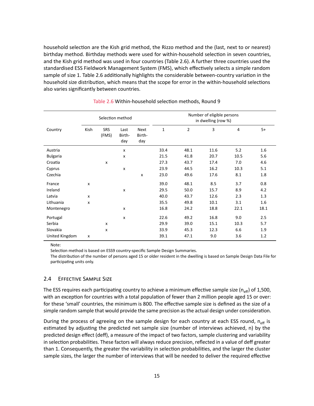household selection are the Kish grid method, the Rizzo method and the (last, next to or nearest) birthday method. Birthday methods were used for within-household selection in seven countries, and the Kish grid method was used in four countries (Table [2.6\)](#page-19-1). A further three countries used the standardised ESS Fieldwork Management System (FMS), which effectively selects a simple random sample of size 1. Table [2.6](#page-19-1) additionally highlights the considerable between-country variation in the household size distribution, which means that the scope for error in the within-household selections also varies significantly between countries.

<span id="page-19-1"></span>

|                 | Selection method |                     |                           | Number of eligible persons<br>in dwelling (row %) |      |      |      |                |      |
|-----------------|------------------|---------------------|---------------------------|---------------------------------------------------|------|------|------|----------------|------|
| Country         | Kish             | <b>SRS</b><br>(FMS) | Last<br>Birth-<br>day     | Next<br>Birth-<br>day                             | 1    | 2    | 3    | $\overline{4}$ | $5+$ |
| Austria         |                  |                     | X                         |                                                   | 33.4 | 48.1 | 11.6 | 5.2            | 1.6  |
| <b>Bulgaria</b> |                  |                     | x                         |                                                   | 21.5 | 41.8 | 20.7 | 10.5           | 5.6  |
| Croatia         |                  | x                   |                           |                                                   | 27.3 | 43.7 | 17.4 | 7.0            | 4.6  |
| Cyprus          |                  |                     | $\pmb{\times}$            |                                                   | 23.9 | 44.5 | 16.2 | 10.3           | 5.1  |
| Czechia         |                  |                     |                           | X                                                 | 23.0 | 49.6 | 17.6 | 8.1            | 1.8  |
| France          | x                |                     |                           |                                                   | 39.0 | 48.1 | 8.5  | 3.7            | 0.8  |
| Ireland         |                  |                     | X                         |                                                   | 29.5 | 50.0 | 15.7 | 8.9            | 4.2  |
| Latvia          | x                |                     |                           |                                                   | 40.0 | 43.7 | 12.6 | 2.3            | 1.3  |
| Lithuania       | x                |                     |                           |                                                   | 35.5 | 49.8 | 10.1 | 3.1            | 1.6  |
| Montenegro      |                  |                     | x                         |                                                   | 16.8 | 24.2 | 18.8 | 22.1           | 18.1 |
| Portugal        |                  |                     | $\boldsymbol{\mathsf{x}}$ |                                                   | 22.6 | 49.2 | 16.8 | 9.0            | 2.5  |
| Serbia          |                  | x                   |                           |                                                   | 29.9 | 39.0 | 15.1 | 10.3           | 5.7  |
| Slovakia        |                  | x                   |                           |                                                   | 33.9 | 45.3 | 12.3 | 6.6            | 1.9  |
| United Kingdom  | X                |                     |                           |                                                   | 39.1 | 47.1 | 9.0  | 3.6            | 1.2  |

#### Table 2.6 Within-household selection methods, Round 9

Note:

Selection method is based on ESS9 country-specific Sample Design Summaries.

The distribution of the number of persons aged 15 or older resident in the dwelling is based on Sample Design Data File for participating units only.

#### <span id="page-19-0"></span>2.4 EFFECTIVE SAMPLE SIZE

The ESS requires each participating country to achieve a minimum effective sample size ( $n_{\text{eff}}$ ) of 1,500, with an exception for countries with a total population of fewer than 2 million people aged 15 or over: for these 'small' countries, the minimum is 800. The effective sample size is defined as the size of a simple random sample that would provide the same precision as the actual design under consideration.

During the process of agreeing on the sample design for each country at each ESS round,  $n_{\text{eff}}$  is estimated by adjusting the predicted net sample size (number of interviews achieved, n) by the predicted design effect (deff), a measure of the impact of two factors, sample clustering and variability in selection probabilities. These factors will always reduce precision, reflected in a value of deff greater than 1. Consequently, the greater the variability in selection probabilities, and the larger the cluster sample sizes, the larger the number of interviews that will be needed to deliver the required effective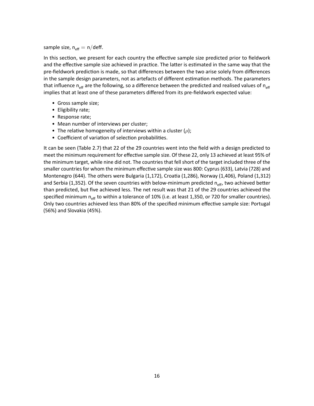### sample size,  $n_{\text{eff}} = n/\text{deff}$ .

In this section, we present for each country the effective sample size predicted prior to fieldwork and the effective sample size achieved in practice. The latter is estimated in the same way that the pre-fieldwork prediction is made, so that differences between the two arise solely from differences in the sample design parameters, not as artefacts of different estimation methods. The parameters that influence  $n_{\text{eff}}$  are the following, so a difference between the predicted and realised values of  $n_{\text{eff}}$ implies that at least one of these parameters differed from its pre-fieldwork expected value:

- Gross sample size;
- Eligibility rate;
- Response rate;
- Mean number of interviews per cluster;
- The relative homogeneity of interviews within a cluster  $(\rho)$ ;
- Coefficient of variation of selection probabilities.

It can be seen (Table [2.7\)](#page-21-0) that 22 of the 29 countries went into the field with a design predicted to meet the minimum requirement for effective sample size. Of these 22, only 13 achieved at least 95% of the minimum target, while nine did not. The countries that fell short of the target included three of the smaller countries for whom the minimum effective sample size was 800: Cyprus (633), Latvia (728) and Montenegro (644). The others were Bulgaria (1,172), Croatia (1,286), Norway (1,406), Poland (1,312) and Serbia (1,352). Of the seven countries with below-minimum predicted  $n_{\text{eff}}$ , two achieved better than predicted, but five achieved less. The net result was that 21 of the 29 countries achieved the specified minimum n<sub>eff</sub> to within a tolerance of 10% (i.e. at least 1,350, or 720 for smaller countries). Only two countries achieved less than 80% of the specified minimum effective sample size: Portugal (56%) and Slovakia (45%).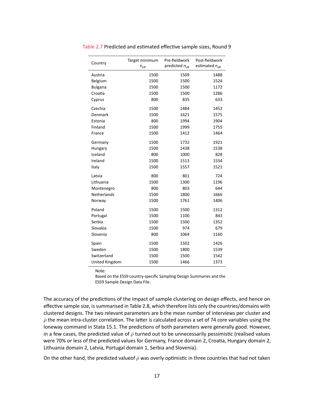| Country         | Target minimum<br>$\mathsf{n}_\mathsf{eff}$ | Pre-fieldwork<br>predicted n <sub>eff</sub> | Post-fieldwork<br>estimated n <sub>eff</sub> |
|-----------------|---------------------------------------------|---------------------------------------------|----------------------------------------------|
|                 |                                             |                                             |                                              |
| Austria         | 1500                                        | 1509                                        | 1488                                         |
| Belgium         | 1500                                        | 1500                                        | 1524                                         |
| <b>Bulgaria</b> | 1500                                        | 1500                                        | 1172                                         |
| Croatia         | 1500                                        | 1500                                        | 1286                                         |
| Cyprus          | 800                                         | 835                                         | 633                                          |
| Czechia         | 1500                                        | 1484                                        | 1452                                         |
| Denmark         | 1500                                        | 1621                                        | 1575                                         |
| Estonia         | 800                                         | 1994                                        | 1904                                         |
| Finland         | 1500                                        | 1999                                        | 1755                                         |
| France          | 1500                                        | 1412                                        | 1464                                         |
| Germany         | 1500                                        | 1732                                        | 1921                                         |
| Hungary         | 1500                                        | 1438                                        | 1538                                         |
| Iceland         | 800                                         | 1000                                        | 828                                          |
| Ireland         | 1500                                        | 1513                                        | 1534                                         |
| Italy           | 1500                                        | 1557                                        | 1521                                         |
| Latvia          | 800                                         | 801                                         | 724                                          |
| Lithuania       | 1500                                        | 1300                                        | 1196                                         |
| Montenegro      | 800                                         | 803                                         | 644                                          |
| Netherlands     | 1500                                        | 1800                                        | 1666                                         |
| Norway          | 1500                                        | 1761                                        | 1406                                         |
| Poland          | 1500                                        | 1500                                        | 1312                                         |
| Portugal        | 1500                                        | 1100                                        | 843                                          |
| Serbia          | 1500                                        | 1500                                        | 1352                                         |
| Slovakia        | 1500                                        | 974                                         | 679                                          |
| Slovenia        | 800                                         | 1064                                        | 1160                                         |
| Spain           | 1500                                        | 1502                                        | 1426                                         |
| Sweden          | 1500                                        | 1800                                        | 1539                                         |
| Switzerland     | 1500                                        | 1500                                        | 1542                                         |
| United Kingdom  | 1500                                        | 1466                                        | 1373                                         |

<span id="page-21-0"></span>Table 2.7 Predicted and estimated effective sample sizes, Round 9

Note:

Based on the ESS9 country-specific Sampling Design Summaries and the ESS9 Sample Design Data File.

The accuracy of the predictions of the impact of sample clustering on design effects, and hence on effective sample size, is summarised in Table [2.8,](#page-22-0) which therefore lists only the countries/domains with clustered designs. The two relevant parameters are b̄the mean number of interviews per cluster and  $\bar{\rho}$  the mean intra-cluster correlation. The latter is calculated across a set of 74 core variables using the loneway command in Stata 15.1. The predictions of both parameters were generally good. However, in a few cases, the predicted value of  $\bar{\rho}$  turned out to be unnecessarily pessimistic (realised values were 70% or less of the predicted values for Germany, France domain 2, Croatia, Hungary domain 2, Lithuania domain 2, Latvia, Portugal domain 1, Serbia and Slovenia).

On the other hand, the predicted valueof  $\bar{\rho}$  was overly optimistic in three countries that had not taken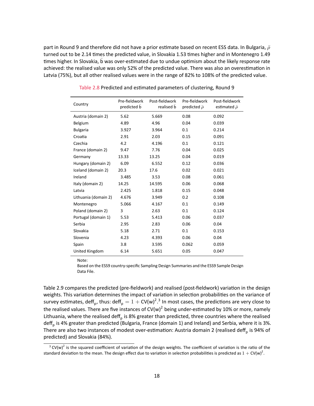part in Round 9 and therefore did not have a prior estimate based on recent ESS data. In Bulgaria,  $\bar{\rho}$ turned out to be 2.14 times the predicted value, in Slovakia 1.53 times higher and in Montenegro 1.49 times higher. In Slovakia, b was over-estimated due to undue optimism about the likely response rate achieved: the realised value was only 52% of the predicted value. There was also an overestimation in Latvia (75%), but all other realised values were in the range of 82% to 108% of the predicted value.

<span id="page-22-0"></span>

| Country              | Pre-fieldwork<br>predicted <b>b</b> | Post-fieldwork<br>realised b | Pre-fieldwork<br>predicted $\bar{\rho}$ | Post-fieldwork<br>estimated $\bar{\rho}$ |
|----------------------|-------------------------------------|------------------------------|-----------------------------------------|------------------------------------------|
| Austria (domain 2)   | 5.62                                | 5.669                        | 0.08                                    | 0.092                                    |
| Belgium              | 4.89                                | 4.96                         | 0.04                                    | 0.039                                    |
| <b>Bulgaria</b>      | 3.927                               | 3.964                        | 0.1                                     | 0.214                                    |
| Croatia              | 2.91                                | 2.03                         | 0.15                                    | 0.091                                    |
| Czechia              | 4.2                                 | 4.196                        | 0.1                                     | 0.121                                    |
| France (domain 2)    | 9.47                                | 7.76                         | 0.04                                    | 0.025                                    |
| Germany              | 13.33                               | 13.25                        | 0.04                                    | 0.019                                    |
| Hungary (domain 2)   | 6.09                                | 6.552                        | 0.12                                    | 0.036                                    |
| Iceland (domain 2)   | 20.3                                | 17.6                         | 0.02                                    | 0.021                                    |
| Ireland              | 3.485                               | 3.53                         | 0.08                                    | 0.061                                    |
| Italy (domain 2)     | 14.25                               | 14.595                       | 0.06                                    | 0.068                                    |
| Latvia               | 2.425                               | 1.818                        | 0.15                                    | 0.048                                    |
| Lithuania (domain 2) | 4.676                               | 3.949                        | 0.2                                     | 0.108                                    |
| Montenegro           | 5.066                               | 4.167                        | 0.1                                     | 0.149                                    |
| Poland (domain 2)    | 3                                   | 2.63                         | 0.1                                     | 0.124                                    |
| Portugal (domain 1)  | 5.53                                | 5.413                        | 0.06                                    | 0.037                                    |
| Serbia               | 2.95                                | 2.83                         | 0.06                                    | 0.04                                     |
| Slovakia             | 5.18                                | 2.71                         | 0.1                                     | 0.153                                    |
| Slovenia             | 4.23                                | 4.393                        | 0.06                                    | 0.04                                     |
| Spain                | 3.8                                 | 3.595                        | 0.062                                   | 0.059                                    |
| United Kingdom       | 6.14                                | 5.651                        | 0.05                                    | 0.047                                    |

Table 2.8 Predicted and estimated parameters of clustering, Round 9

Note:

<span id="page-22-2"></span>Based on the ESS9 country-specific Sampling Design Summaries and the ESS9 Sample Design Data File.

Table [2.9](#page-23-0) compares the predicted (pre-fieldwork) and realised (post-fieldwork) variation in the design weights. This variation determines the impact of variation in selection probabilities on the variance of survey estimates, deff<sub>p</sub>, thus: deff<sub>p</sub> =  $1 + \text{CV(w)}^{2.3}$  $1 + \text{CV(w)}^{2.3}$  $1 + \text{CV(w)}^{2.3}$  In most cases, the predictions are very close to the realised values. There are five instances of CV(w)<sup>2</sup> being under-estimated by 10% or more, namely Lithuania, where the realised deff<sub>p</sub> is 8% greater than predicted, three countries where the realised deff<sub>p</sub> is 4% greater than predicted (Bulgaria, France (domain 1) and Ireland) and Serbia, where it is 3%. There are also two instances of modest over-estimation: Austria domain 2 (realised deff<sub>p</sub> is 94% of predicted) and Slovakia (84%).

<span id="page-22-1"></span> $3$  CV(w)<sup>2</sup> is the squared coefficient of variation of the design weights. The coefficient of variation is the ratio of the standard deviation to the mean. The design effect due to variation in selection probabilities is predicted as  $1 + \text{CV(w)}^2$ .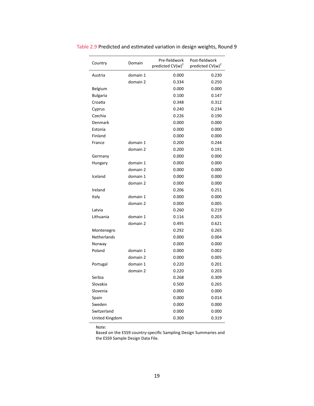| Country         | Domain   | Pre-fieldwork<br>predicted $CV(w)^2$ | Post-fieldwork<br>predicted CV(w) <sup>2</sup> |
|-----------------|----------|--------------------------------------|------------------------------------------------|
| Austria         | domain 1 | 0.000                                | 0.230                                          |
|                 | domain 2 | 0.334                                | 0.250                                          |
| Belgium         |          | 0.000                                | 0.000                                          |
| <b>Bulgaria</b> |          | 0.100                                | 0.147                                          |
| Croatia         |          | 0.348                                | 0.312                                          |
| Cyprus          |          | 0.240                                | 0.234                                          |
| Czechia         |          | 0.226                                | 0.190                                          |
| Denmark         |          | 0.000                                | 0.000                                          |
| Estonia         |          | 0.000                                | 0.000                                          |
| Finland         |          | 0.000                                | 0.000                                          |
| France          | domain 1 | 0.200                                | 0.244                                          |
|                 | domain 2 | 0.200                                | 0.191                                          |
| Germany         |          | 0.000                                | 0.000                                          |
| Hungary         | domain 1 | 0.000                                | 0.000                                          |
|                 | domain 2 | 0.000                                | 0.000                                          |
| Iceland         | domain 1 | 0.000                                | 0.000                                          |
|                 | domain 2 | 0.000                                | 0.000                                          |
| Ireland         |          | 0.206                                | 0.251                                          |
| Italy           | domain 1 | 0.000                                | 0.000                                          |
|                 | domain 2 | 0.000                                | 0.005                                          |
| Latvia          |          | 0.260                                | 0.219                                          |
| Lithuania       | domain 1 | 0.116                                | 0.203                                          |
|                 | domain 2 | 0.495                                | 0.621                                          |
| Montenegro      |          | 0.292                                | 0.265                                          |
| Netherlands     |          | 0.000                                | 0.004                                          |
| Norway          |          | 0.000                                | 0.000                                          |
| Poland          | domain 1 | 0.000                                | 0.002                                          |
|                 | domain 2 | 0.000                                | 0.005                                          |
| Portugal        | domain 1 | 0.220                                | 0.201                                          |
|                 | domain 2 | 0.220                                | 0.203                                          |
| Serbia          |          | 0.268                                | 0.309                                          |
| Slovakia        |          | 0.500                                | 0.265                                          |
| Slovenia        |          | 0.000                                | 0.000                                          |
| Spain           |          | 0.000                                | 0.014                                          |
| Sweden          |          | 0.000                                | 0.000                                          |
| Switzerland     |          | 0.000                                | 0.000                                          |
| United Kingdom  |          | 0.300                                | 0.319                                          |

<span id="page-23-0"></span>Table 2.9 Predicted and estimated variation in design weights, Round 9

Note:

Based on the ESS9 country-specific Sampling Design Summaries and the ESS9 Sample Design Data File.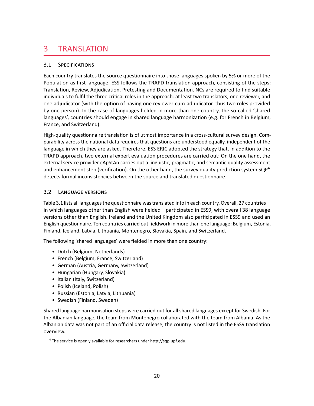# <span id="page-24-0"></span>3 TRANSLATION

# <span id="page-24-1"></span>3.1 SPECIFICATIONS

Each country translates the source questionnaire into those languages spoken by 5% or more of the Population as first language. ESS follows the TRAPD translation approach, consisting of the steps: Translation, Review, Adjudication, Pretesting and Documentation. NCs are required to find suitable individuals to fulfil the three critical roles in the approach: at least two translators, one reviewer, and one adjudicator (with the option of having one reviewer-cum-adjudicator, thus two roles provided by one person). In the case of languages fielded in more than one country, the so-called 'shared languages', countries should engage in shared language harmonization (e.g. for French in Belgium, France, and Switzerland).

High-quality questionnaire translation is of utmost importance in a cross-cultural survey design. Comparability across the national data requires that questions are understood equally, independent of the language in which they are asked. Therefore, ESS ERIC adopted the strategy that, in addition to the TRAPD approach, two external expert evaluation procedures are carried out: On the one hand, the external service provider cApStAn carries out a linguistic, pragmatic, and semantic quality assessment and enhancement step (verification). On the other hand, the survey quality prediction system  $SQP<sup>4</sup>$  $SQP<sup>4</sup>$  $SQP<sup>4</sup>$ detects formal inconsistencies between the source and translated questionnaire.

# <span id="page-24-4"></span><span id="page-24-2"></span>3.2 LANGUAGE VERSIONS

Table [3.1](#page-25-1) lists all languages the questionnaire was translated into in each country. Overall, 27 countries in which languages other than English were fielded—participated in ESS9, with overall 38 language versions other than English. Ireland and the United Kingdom also participated in ESS9 and used an English questionnaire. Ten countries carried out fieldwork in more than one language: Belgium, Estonia, Finland, Iceland, Latvia, Lithuania, Montenegro, Slovakia, Spain, and Switzerland.

The following 'shared languages' were fielded in more than one country:

- Dutch (Belgium, Netherlands)
- French (Belgium, France, Switzerland)
- German (Austria, Germany, Switzerland)
- Hungarian (Hungary, Slovakia)
- Italian (Italy, Switzerland)
- Polish (Iceland, Polish)
- Russian (Estonia, Latvia, Lithuania)
- Swedish (Finland, Sweden)

Shared language harmonisation steps were carried out for all shared languages except for Swedish. For the Albanian language, the team from Montenegro collaborated with the team from Albania. As the Albanian data was not part of an official data release, the country is not listed in the ESS9 translation overview.

<span id="page-24-3"></span>[<sup>4</sup>](#page-24-4) The service is openly available for researchers under [http://sqp.upf.edu.](http://sqp.upf.edu)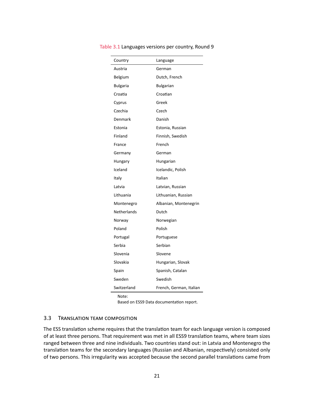| Country            | Language                |
|--------------------|-------------------------|
| Austria            | German                  |
| Belgium            | Dutch, French           |
| <b>Bulgaria</b>    | <b>Bulgarian</b>        |
| Croatia            | Croatian                |
| Cyprus             | Greek                   |
| Czechia            | Czech                   |
| Denmark            | Danish                  |
| Estonia            | Estonia, Russian        |
| Finland            | Finnish, Swedish        |
| France             | French                  |
| Germany            | German                  |
| Hungary            | Hungarian               |
| Iceland            | Icelandic, Polish       |
| Italy              | Italian                 |
| Latvia             | Latvian, Russian        |
| Lithuania          | Lithuanian, Russian     |
| Montenegro         | Albanian, Montenegrin   |
| <b>Netherlands</b> | Dutch                   |
| Norway             | Norwegian               |
| Poland             | Polish                  |
| Portugal           | Portuguese              |
| Serbia             | Serbian                 |
| Slovenia           | Slovene                 |
| Slovakia           | Hungarian, Slovak       |
| Spain              | Spanish, Catalan        |
| Sweden             | Swedish                 |
| Switzerland        | French, German, Italian |

#### <span id="page-25-1"></span>Table 3.1 Languages versions per country, Round 9

Note:

Based on ESS9 Data documentation report.

### <span id="page-25-0"></span>3.3 TRANSLATION TEAM COMPOSITION

The ESS translation scheme requires that the translation team for each language version is composed of at least three persons. That requirement was met in all ESS9 translation teams, where team sizes ranged between three and nine individuals. Two countries stand out: in Latvia and Montenegro the translation teams for the secondary languages (Russian and Albanian, respectively) consisted only of two persons. This irregularity was accepted because the second parallel translations came from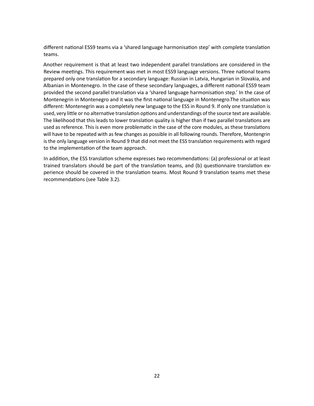different national ESS9 teams via a 'shared language harmonisation step' with complete translation teams.

Another requirement is that at least two independent parallel translations are considered in the Review meetings. This requirement was met in most ESS9 language versions. Three national teams prepared only one translation for a secondary language: Russian in Latvia, Hungarian in Slovakia, and Albanian in Montenegro. In the case of these secondary languages, a different national ESS9 team provided the second parallel translation via a 'shared language harmonisation step.' In the case of Montenegrin in Montenegro and it was the first national language in Montenegro.The situation was different: Montenegrin was a completely new language to the ESS in Round 9. If only one translation is used, very little or no alternative translation options and understandings of the source text are available. The likelihood that this leads to lower translation quality is higher than if two parallel translations are used as reference. This is even more problematic in the case of the core modules, as these translations will have to be repeated with as few changes as possible in all following rounds. Therefore, Montengrin is the only language version in Round 9 that did not meet the ESS translation requirements with regard to the implementation of the team approach.

In addition, the ESS translation scheme expresses two recommendations: (a) professional or at least trained translators should be part of the translation teams, and (b) questionnaire translation experience should be covered in the translation teams. Most Round 9 translation teams met these recommendations (see Table [3.2\)](#page-27-0).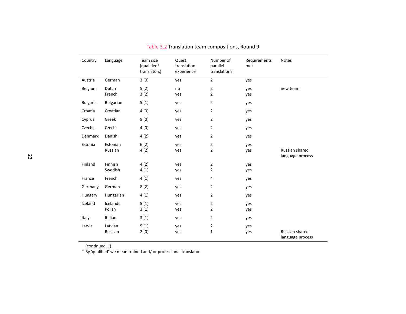| Country         | Language            | Team size<br>(qualified <sup>a</sup><br>translators) | Quest.<br>translation<br>experience | Number of<br>parallel<br>translations | Requirements<br>met | <b>Notes</b>                       |
|-----------------|---------------------|------------------------------------------------------|-------------------------------------|---------------------------------------|---------------------|------------------------------------|
| Austria         | German              | 3(0)                                                 | yes                                 | $\overline{2}$                        | yes                 |                                    |
| Belgium         | Dutch<br>French     | 5(2)<br>3(2)                                         | no<br>yes                           | $\mathbf{2}$<br>$\overline{2}$        | yes<br>yes          | new team                           |
| <b>Bulgaria</b> | <b>Bulgarian</b>    | 5(1)                                                 | yes                                 | $\overline{2}$                        | yes                 |                                    |
| Croatia         | Croatian            | 4(0)                                                 | yes                                 | 2                                     | yes                 |                                    |
| Cyprus          | Greek               | 9(0)                                                 | yes                                 | $\overline{2}$                        | yes                 |                                    |
| Czechia         | Czech               | 4(0)                                                 | yes                                 | $\overline{2}$                        | yes                 |                                    |
| Denmark         | Danish              | 4(2)                                                 | yes                                 | 2                                     | yes                 |                                    |
| Estonia         | Estonian<br>Russian | 6(2)<br>4(2)                                         | yes<br>yes                          | $\overline{2}$<br>$\overline{2}$      | yes<br>yes          | Russian shared<br>language process |
| Finland         | Finnish<br>Swedish  | 4(2)<br>4(1)                                         | yes<br>yes                          | $\overline{c}$<br>$\overline{2}$      | yes<br>yes          |                                    |
| France          | French              | 4(1)                                                 | yes                                 | 4                                     | yes                 |                                    |
| Germany         | German              | 8(2)                                                 | yes                                 | $\overline{2}$                        | yes                 |                                    |
| Hungary         | Hungarian           | 4(1)                                                 | yes                                 | $\overline{2}$                        | yes                 |                                    |
| Iceland         | Icelandic<br>Polish | 5(1)<br>3(1)                                         | yes<br>yes                          | $\overline{2}$<br>$\overline{2}$      | yes<br>yes          |                                    |
| Italy           | Italian             | 3(1)                                                 | yes                                 | $\overline{2}$                        | yes                 |                                    |
| Latvia          | Latvian<br>Russian  | 5(1)<br>2(0)                                         | yes<br>yes                          | $\overline{2}$<br>$\mathbf 1$         | yes<br>yes          | Russian shared<br>language process |

Table 3.2 Translation team compositions, Round <sup>9</sup>

<span id="page-27-0"></span>

(continued …) a By 'qualified' we mean trained and/ or professional translator.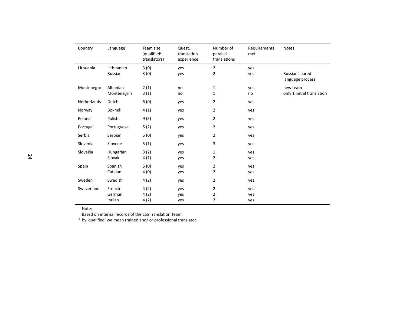| Country            | Language    | Team size<br>(qualified <sup>a</sup><br>translators) | Quest.<br>translation<br>experience | Number of<br>parallel<br>translations | Requirements<br>met | <b>Notes</b>                       |
|--------------------|-------------|------------------------------------------------------|-------------------------------------|---------------------------------------|---------------------|------------------------------------|
| Lithuania          | Lithuanian  | 3(0)                                                 | yes                                 | 2                                     | yes                 |                                    |
|                    | Russian     | 3(0)                                                 | yes                                 | $\overline{2}$                        | yes                 | Russian shared<br>language process |
| Montenegro         | Albanian    | 2(1)                                                 | no                                  | 1                                     | yes                 | new team                           |
|                    | Montenegrin | 3(1)                                                 | no                                  | 1                                     | no                  | only 1 initial translation         |
| <b>Netherlands</b> | Dutch       | 6(0)                                                 | yes                                 | $\overline{2}$                        | yes                 |                                    |
| Norway             | Bokmål      | 4(1)                                                 | yes                                 | $\overline{2}$                        | yes                 |                                    |
| Poland             | Polish      | 9(3)                                                 | yes                                 | 2                                     | yes                 |                                    |
| Portugal           | Portuguese  | 5(2)                                                 | yes                                 | $\overline{2}$                        | yes                 |                                    |
| Serbia             | Serbian     | 5(0)                                                 | yes                                 | $\overline{2}$                        | yes                 |                                    |
| Slovenia           | Slovene     | 5(1)                                                 | yes                                 | 3                                     | yes                 |                                    |
| Slovakia           | Hungarian   | 3(2)                                                 | yes                                 | 1                                     | yes                 |                                    |
|                    | Slovak      | 4(1)                                                 | yes                                 | $\overline{2}$                        | yes                 |                                    |
| Spain              | Spanish     | 5(0)                                                 | yes                                 | $\overline{2}$                        | yes                 |                                    |
|                    | Catalan     | 4(0)                                                 | yes                                 | $\overline{2}$                        | yes                 |                                    |
| Sweden             | Swedish     | 4(2)                                                 | yes                                 | $\overline{2}$                        | yes                 |                                    |
| Switzerland        | French      | 4(2)                                                 | yes                                 | $\overline{2}$                        | yes                 |                                    |
|                    | German      | 4(2)                                                 | yes                                 | $\overline{2}$                        | yes                 |                                    |
|                    | Italian     | 4(2)                                                 | yes                                 | $\overline{2}$                        | yes                 |                                    |

Note:

Based on internal records of the ESS Translation Team.

Based on internal records of the ESS Translation Team. a By 'qualified' we mean trained and/ or professional translator.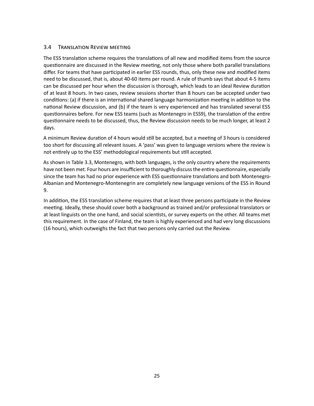### <span id="page-29-0"></span>3.4 TRANSLATION REVIEW MEETING

The ESS translation scheme requires the translations of all new and modified items from the source questionnaire are discussed in the Review meeting, not only those where both parallel translations differ. For teams that have participated in earlier ESS rounds, thus, only these new and modified items need to be discussed, that is, about 40-60 items per round. A rule of thumb says that about 4-5 items can be discussed per hour when the discussion is thorough, which leads to an ideal Review duration of at least 8 hours. In two cases, review sessions shorter than 8 hours can be accepted under two conditions: (a) if there is an international shared language harmonization meeting in addition to the national Review discussion, and (b) if the team is very experienced and has translated several ESS questionnaires before. For new ESS teams (such as Montenegro in ESS9), the translation of the entire questionnaire needs to be discussed, thus, the Review discussion needs to be much longer, at least 2 days.

A minimum Review duration of 4 hours would still be accepted, but a meeting of 3 hours is considered too short for discussing all relevant issues. A 'pass' was given to language versions where the review is not entirely up to the ESS' methodological requirements but still accepted.

As shown in Table [3.3,](#page-30-0) Montenegro, with both languages, is the only country where the requirements have not been met. Four hours are insufficient to thoroughly discuss the entire questionnaire, especially since the team has had no prior experience with ESS questionnaire translations and both Montenegro-Albanian and Montenegro-Montenegrin are completely new language versions of the ESS in Round 9.

In addition, the ESS translation scheme requires that at least three persons participate in the Review meeting. Ideally, these should cover both a background as trained and/or professional translators or at least linguists on the one hand, and social scientists, or survey experts on the other. All teams met this requirement. In the case of Finland, the team is highly experienced and had very long discussions (16 hours), which outweighs the fact that two persons only carried out the Review.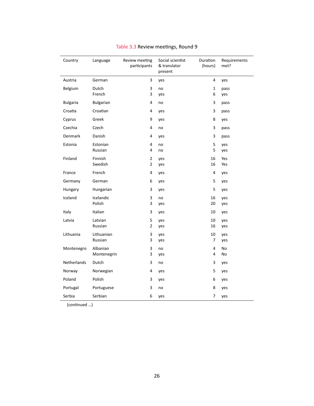<span id="page-30-0"></span>

| Country         | Language                | Review meeting<br>participants | Social scientist<br>& translator<br>present | Duration<br>(hours) | Requirements<br>met? |
|-----------------|-------------------------|--------------------------------|---------------------------------------------|---------------------|----------------------|
| Austria         | German                  | 3                              | yes                                         | 4                   | yes                  |
| Belgium         | Dutch<br>French         | 3<br>3                         | no<br>yes                                   | $\mathbf{1}$<br>6   | pass<br>yes          |
| <b>Bulgaria</b> | Bulgarian               | 4                              | no                                          | 3                   | pass                 |
| Croatia         | Croatian                | 4                              | yes                                         | 3                   | pass                 |
| Cyprus          | Greek                   | 9                              | yes                                         | 8                   | yes                  |
| Czechia         | Czech                   | 4                              | no                                          | 3                   | pass                 |
| Denmark         | Danish                  | 4                              | yes                                         | 3                   | pass                 |
| Estonia         | Estonian<br>Russian     | 4<br>4                         | no<br>no                                    | 5<br>5              | yes<br>yes           |
| Finland         | Finnish<br>Swedish      | $\mathbf 2$<br>$\overline{2}$  | yes<br>yes                                  | 16<br>16            | Yes<br>Yes           |
| France          | French                  | 4                              | yes                                         | 4                   | yes                  |
| Germany         | German                  | 6                              | yes                                         | 5                   | yes                  |
| Hungary         | Hungarian               | 3                              | yes                                         | 5                   | yes                  |
| Iceland         | Icelandic               | 3                              | no                                          | 16                  | yes                  |
|                 | Polish                  | 3                              | yes                                         | 20                  | yes                  |
| Italy           | Italian                 | 3                              | yes                                         | 10                  | yes                  |
| Latvia          | Latvian<br>Russian      | 5<br>$\overline{2}$            | yes<br>yes                                  | 10<br>16            | yes<br>yes           |
| Lithuania       | Lithuanian<br>Russian   | 3<br>3                         | yes<br>yes                                  | 10<br>7             | yes<br>yes           |
| Montenegro      | Albanian<br>Montenegrin | 3<br>3                         | no<br>yes                                   | 4<br>4              | No<br>No             |
| Netherlands     | Dutch                   | 3                              | no                                          | 3                   | yes                  |
| Norway          | Norwegian               | 4                              | yes                                         | 5                   | yes                  |
| Poland          | Polish                  | 3                              | yes                                         | 6                   | yes                  |
| Portugal        | Portuguese              | 3                              | no                                          | 8                   | yes                  |
| Serbia          | Serbian                 | 6                              | yes                                         | 7                   | yes                  |

# Table 3.3 Review meetings, Round 9

(continued …)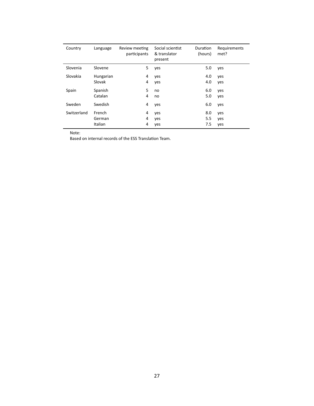| Country     | Language  | Review meeting<br>participants | Social scientist<br>& translator<br>present | <b>Duration</b><br>(hours) | Requirements<br>met? |
|-------------|-----------|--------------------------------|---------------------------------------------|----------------------------|----------------------|
| Slovenia    | Slovene   | 5                              | yes                                         | 5.0                        | yes                  |
| Slovakia    | Hungarian | 4                              | yes                                         | 4.0                        | yes                  |
|             | Slovak    | 4                              | yes                                         | 4.0                        | yes                  |
| Spain       | Spanish   | 5                              | no                                          | 6.0                        | yes                  |
|             | Catalan   | 4                              | no                                          | 5.0                        | yes                  |
| Sweden      | Swedish   | 4                              | yes                                         | 6.0                        | yes                  |
| Switzerland | French    | 4                              | yes                                         | 8.0                        | yes                  |
|             | German    | 4                              | yes                                         | 5.5                        | yes                  |
|             | Italian   | 4                              | yes                                         | 7.5                        | yes                  |

Note:

Based on internal records of the ESS Translation Team.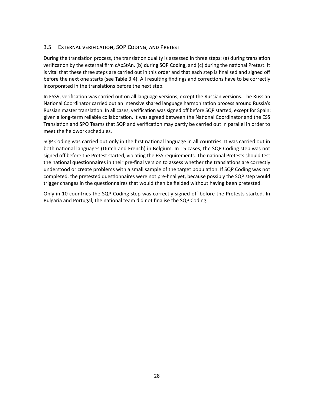# <span id="page-32-0"></span>3.5 EXTERNAL VERIFICATION, SQP CODING, AND PRETEST

During the translation process, the translation quality is assessed in three steps: (a) during translation verification by the external firm cApStAn, (b) during SQP Coding, and (c) during the national Pretest. It is vital that these three steps are carried out in this order and that each step is finalised and signed off before the next one starts (see Table [3.4\)](#page-33-0). All resulting findings and corrections have to be correctly incorporated in the translations before the next step.

In ESS9, verification was carried out on all language versions, except the Russian versions. The Russian National Coordinator carried out an intensive shared language harmonization process around Russia's Russian master translation. In all cases, verification was signed off before SQP started, except for Spain: given a long-term reliable collaboration, it was agreed between the National Coordinator and the ESS Translation and SPQ Teams that SQP and verification may partly be carried out in parallel in order to meet the fieldwork schedules.

SQP Coding was carried out only in the first national language in all countries. It was carried out in both national languages (Dutch and French) in Belgium. In 15 cases, the SQP Coding step was not signed off before the Pretest started, violating the ESS requirements. The national Pretests should test the national questionnaires in their pre-final version to assess whether the translations are correctly understood or create problems with a small sample of the target population. If SQP Coding was not completed, the pretested questionnaires were not pre-final yet, because possibly the SQP step would trigger changes in the questionnaires that would then be fielded without having been pretested.

Only in 10 countries the SQP Coding step was correctly signed off before the Pretests started. In Bulgaria and Portugal, the national team did not finalise the SQP Coding.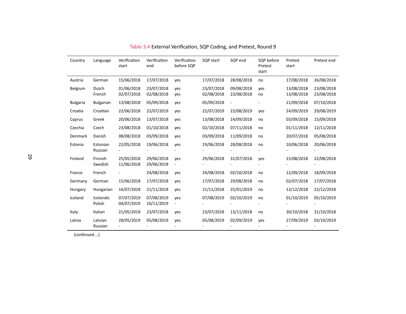| Country         | Language            | Verification<br>start    | Verification<br>end      | Verification<br>before SQP | SQP start                | SQP end                  | SQP before<br>Pretest<br>start | Pretest<br>start         | Pretest end              |
|-----------------|---------------------|--------------------------|--------------------------|----------------------------|--------------------------|--------------------------|--------------------------------|--------------------------|--------------------------|
| Austria         | German              | 15/06/2018               | 17/07/2018               | ves                        | 17/07/2018               | 28/08/2018               | no                             | 17/08/2018               | 26/08/2018               |
| Belgium         | Dutch<br>French     | 01/06/2018<br>02/07/2018 | 23/07/2018<br>02/08/2018 | yes<br>yes                 | 23/07/2018<br>02/08/2018 | 09/08/2018<br>23/08/2018 | yes<br>no                      | 13/08/2018<br>13/08/2018 | 23/08/2018<br>23/08/2018 |
| <b>Bulgaria</b> | <b>Bulgarian</b>    | 13/08/2018               | 05/09/2018               | yes                        | 05/09/2018               |                          |                                | 21/09/2018               | 07/10/2018               |
| Croatia         | Croatian            | 22/06/2018               | 22/07/2019               | yes                        | 22/07/2019               | 22/08/2019               | yes                            | 24/09/2019               | 29/08/2019               |
| Cyprus          | Greek               | 20/06/2018               | 13/07/2018               | yes                        | 13/08/2018               | 14/09/2018               | no                             | 03/09/2018               | 15/09/2018               |
| Czechia         | Czech               | 23/08/2018               | 01/10/2018               | yes                        | 02/10/2018               | 07/11/2018               | no                             | 01/11/2018               | 12/11/2018               |
| Denmark         | Danish              | 08/08/2018               | 03/09/2018               | yes                        | 03/09/2018               | 11/09/2018               | no                             | 20/07/2018               | 05/08/2018               |
| Estonia         | Estonian<br>Russian | 22/05/2018               | 19/06/2018               | yes                        | 19/06/2018               | 28/08/2018               | no                             | 10/06/2018               | 20/06/2018               |
| Finland         | Finnish<br>Swedish  | 25/05/2018<br>11/06/2018 | 29/06/2018<br>29/06/2018 | yes                        | 29/06/2018               | 31/07/2018               | yes                            | 15/08/2018               | 22/08/2018               |
| France          | French              |                          | 24/08/2018               | yes                        | 24/08/2018               | 02/10/2018               | no                             | 12/09/2018               | 18/09/2018               |
| Germany         | German              | 15/06/2018               | 17/07/2018               | yes                        | 17/07/2018               | 29/08/2018               | no                             | 02/07/2018               | 17/07/2018               |
| Hungary         | Hungarian           | 16/07/2018               | 21/11/2018               | yes                        | 21/11/2018               | 25/01/2019               | no                             | 13/12/2018               | 22/12/2018               |
| Iceland         | Icelandic<br>Polish | 07/07/2019<br>04/07/2019 | 07/08/2019<br>10/11/2019 | yes                        | 07/08/2019               | 02/10/2019               | no                             | 01/10/2019               | 05/10/2019               |
| Italy           | Italian             | 21/05/2018               | 23/07/2018               | yes                        | 23/07/2018               | 13/11/2018               | no                             | 30/10/2018               | 31/10/2018               |
| Latvia          | Latvian<br>Russian  | 28/05/2019               | 05/08/2019               | yes                        | 05/08/2019               | 02/09/2019               | yes                            | 27/09/2019               | 03/10/2019               |

Table 3.4 External Verification, SQP Coding, and Pretest, Round <sup>9</sup>

<span id="page-33-0"></span>(continued …)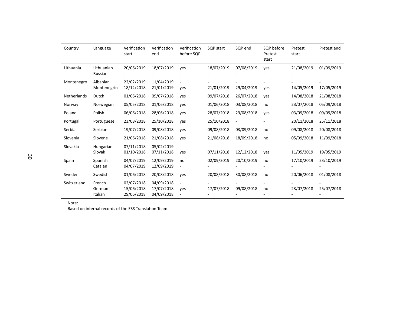| Country            | Language                    | Verification<br>start                  | Verification<br>end                    | Verification<br>before SQP | SQP start  | SQP end    | SQP before<br>Pretest<br>start | Pretest<br>start | Pretest end |
|--------------------|-----------------------------|----------------------------------------|----------------------------------------|----------------------------|------------|------------|--------------------------------|------------------|-------------|
| Lithuania          | Lithuanian<br>Russian       | 20/06/2019                             | 18/07/2019                             | ves                        | 18/07/2019 | 07/08/2019 | yes                            | 21/08/2019       | 01/09/2019  |
| Montenegro         | Albanian<br>Montenegrin     | 22/02/2019<br>18/12/2018               | 11/04/2019<br>21/01/2019               | yes                        | 21/01/2019 | 29/04/2019 | yes                            | 14/05/2019       | 17/05/2019  |
| <b>Netherlands</b> | Dutch                       | 01/06/2018                             | 09/07/2018                             | yes                        | 09/07/2018 | 26/07/2018 | yes                            | 14/08/2018       | 21/08/2018  |
| Norway             | Norwegian                   | 05/05/2018                             | 01/06/2018                             | yes                        | 01/06/2018 | 03/08/2018 | no                             | 23/07/2018       | 05/09/2018  |
| Poland             | Polish                      | 06/06/2018                             | 28/06/2018                             | ves                        | 28/07/2018 | 29/08/2018 | ves                            | 03/09/2018       | 09/09/2018  |
| Portugal           | Portuguese                  | 23/08/2018                             | 25/10/2018                             | yes                        | 25/10/2018 |            |                                | 20/11/2018       | 25/11/2018  |
| Serbia             | Serbian                     | 19/07/2018                             | 09/08/2018                             | ves                        | 09/08/2018 | 03/09/2018 | no                             | 09/08/2018       | 20/08/2018  |
| Slovenia           | Slovene                     | 21/06/2018                             | 21/08/2018                             | yes                        | 21/08/2018 | 18/09/2018 | no                             | 05/09/2018       | 11/09/2018  |
| Slovakia           | Hungarian<br>Slovak         | 07/11/2018<br>01/10/2018               | 05/02/2019<br>07/11/2018               | ves                        | 07/11/2018 | 12/12/2018 | yes                            | 11/05/2019       | 19/05/2019  |
| Spain              | Spanish<br>Catalan          | 04/07/2019<br>04/07/2019               | 12/09/2019<br>12/09/2019               | no                         | 02/09/2019 | 20/10/2019 | no                             | 17/10/2019       | 23/10/2019  |
| Sweden             | Swedish                     | 01/06/2018                             | 20/08/2018                             | ves                        | 20/08/2018 | 30/08/2018 | no                             | 20/06/2018       | 01/08/2018  |
| Switzerland        | French<br>German<br>Italian | 02/07/2018<br>15/06/2018<br>29/06/2018 | 04/09/2018<br>17/07/2018<br>04/09/2018 | ves                        | 17/07/2018 | 09/08/2018 | no                             | 23/07/2018       | 25/07/2018  |

Note:

Based on internal records of the ESS Translation Team.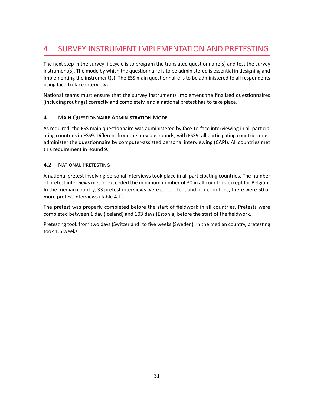# <span id="page-35-0"></span>4 SURVEY INSTRUMENT IMPLEMENTATION AND PRETESTING

The next step in the survey lifecycle is to program the translated questionnaire(s) and test the survey instrument(s). The mode by which the questionnaire is to be administered is essential in designing and implementing the instrument(s). The ESS main questionnaire is to be administered to all respondents using face-to-face interviews.

National teams must ensure that the survey instruments implement the finalised questionnaires (including routings) correctly and completely, and a national pretest has to take place.

# <span id="page-35-1"></span>4.1 MAIN QUESTIONNAIRE ADMINISTRATION MODE

As required, the ESS main questionnaire was administered by face-to-face interviewing in all participating countries in ESS9. Different from the previous rounds, with ESS9, all participating countries must administer the questionnaire by computer-assisted personal interviewing (CAPI). All countries met this requirement in Round 9.

### <span id="page-35-2"></span>4.2 NATIONAL PRETESTING

A national pretest involving personal interviews took place in all participating countries. The number of pretest interviews met or exceeded the minimum number of 30 in all countries except for Belgium. In the median country, 33 pretest interviews were conducted, and in 7 countries, there were 50 or more pretest interviews (Table [4.1\)](#page-36-0).

The pretest was properly completed before the start of fieldwork in all countries. Pretests were completed between 1 day (Iceland) and 103 days (Estonia) before the start of the fieldwork.

Pretesting took from two days (Switzerland) to five weeks (Sweden). In the median country, pretesting took 1.5 weeks.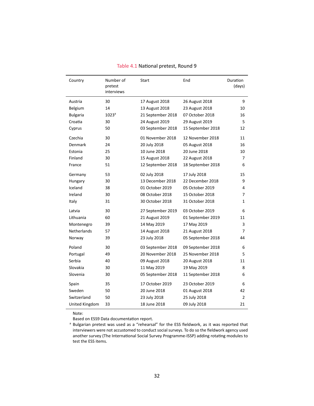| Country         | Number of<br>pretest<br>interviews | Start             | End               | Duration<br>(days) |
|-----------------|------------------------------------|-------------------|-------------------|--------------------|
| Austria         | 30                                 | 17 August 2018    | 26 August 2018    | 9                  |
| Belgium         | 14                                 | 13 August 2018    | 23 August 2018    | 10                 |
| <b>Bulgaria</b> | 1023 <sup>a</sup>                  | 21 September 2018 | 07 October 2018   | 16                 |
| Croatia         | 30                                 | 24 August 2019    | 29 August 2019    | 5                  |
| Cyprus          | 50                                 | 03 September 2018 | 15 September 2018 | 12                 |
| Czechia         | 30                                 | 01 November 2018  | 12 November 2018  | 11                 |
| Denmark         | 24                                 | 20 July 2018      | 05 August 2018    | 16                 |
| Estonia         | 25                                 | 10 June 2018      | 20 June 2018      | 10                 |
| Finland         | 30                                 | 15 August 2018    | 22 August 2018    | 7                  |
| France          | 51                                 | 12 September 2018 | 18 September 2018 | 6                  |
| Germany         | 53                                 | 02 July 2018      | 17 July 2018      | 15                 |
| Hungary         | 30                                 | 13 December 2018  | 22 December 2018  | 9                  |
| Iceland         | 38                                 | 01 October 2019   | 05 October 2019   | 4                  |
| Ireland         | 30                                 | 08 October 2018   | 15 October 2018   | 7                  |
| Italy           | 31                                 | 30 October 2018   | 31 October 2018   | 1                  |
| Latvia          | 30                                 | 27 September 2019 | 03 October 2019   | 6                  |
| Lithuania       | 60                                 | 21 August 2019    | 01 September 2019 | 11                 |
| Montenegro      | 39                                 | 14 May 2019       | 17 May 2019       | 3                  |
| Netherlands     | 57                                 | 14 August 2018    | 21 August 2018    | 7                  |
| Norway          | 39                                 | 23 July 2018      | 05 September 2018 | 44                 |
| Poland          | 30                                 | 03 September 2018 | 09 September 2018 | 6                  |
| Portugal        | 49                                 | 20 November 2018  | 25 November 2018  | 5                  |
| Serbia          | 40                                 | 09 August 2018    | 20 August 2018    | 11                 |
| Slovakia        | 30                                 | 11 May 2019       | 19 May 2019       | 8                  |
| Slovenia        | 30                                 | 05 September 2018 | 11 September 2018 | 6                  |
| Spain           | 35                                 | 17 October 2019   | 23 October 2019   | 6                  |
| Sweden          | 50                                 | 20 June 2018      | 01 August 2018    | 42                 |
| Switzerland     | 50                                 | 23 July 2018      | 25 July 2018      | 2                  |
| United Kingdom  | 33                                 | 18 June 2018      | 09 July 2018      | 21                 |

Table 4.1 National pretest, Round 9

Based on ESS9 Data documentation report.

<sup>&</sup>lt;sup>a</sup> Bulgarian pretest was used as a "rehearsal" for the ESS fieldwork, as it was reported that interviewers were not accustomed to conduct social surveys. To do so the fieldwork agency used another survey (The International Social Survey Programme-ISSP) adding rotating modules to test the ESS items.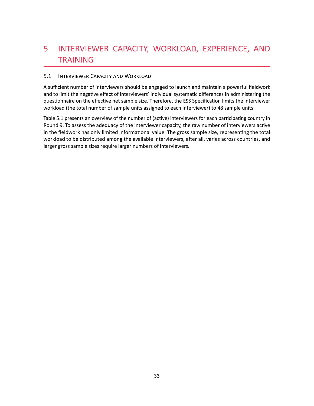# 5 INTERVIEWER CAPACITY, WORKLOAD, EXPERIENCE, AND TRAINING

# 5.1 INTERVIEWER CAPACITY AND WORKLOAD

A sufficient number of interviewers should be engaged to launch and maintain a powerful fieldwork and to limit the negative effect of interviewers' individual systematic differences in administering the questionnaire on the effective net sample size. Therefore, the ESS Specification limits the interviewer workload (the total number of sample units assigned to each interviewer) to 48 sample units.

Table [5.1](#page-38-0) presents an overview of the number of (active) interviewers for each participating country in Round 9. To assess the adequacy of the interviewer capacity, the raw number of interviewers active in the fieldwork has only limited informational value. The gross sample size, representing the total workload to be distributed among the available interviewers, after all, varies across countries, and larger gross sample sizes require larger numbers of interviewers.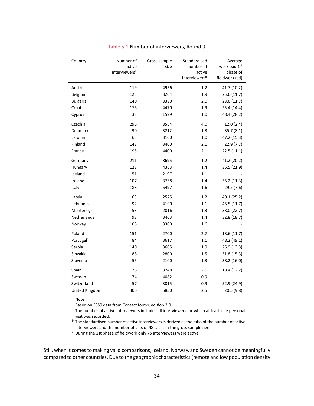<span id="page-38-0"></span>

| Country               | Number of<br>active<br>interviewers <sup>a</sup> | Gross sample<br>size | Standardised<br>number of<br>active<br>interviewers <sup>b</sup> | Average<br>workload 1st<br>phase of<br>fieldwork (sd) |
|-----------------------|--------------------------------------------------|----------------------|------------------------------------------------------------------|-------------------------------------------------------|
| Austria               | 119                                              | 4956                 | 1.2                                                              | 41.7 (10.2)                                           |
| Belgium               | 125                                              | 3204                 | 1.9                                                              | 25.6 (11.7)                                           |
| <b>Bulgaria</b>       | 140                                              | 3330                 | 2.0                                                              | 23.6(11.7)                                            |
| Croatia               | 176                                              | 4470                 | 1.9                                                              | 25.4 (14.4)                                           |
| Cyprus                | 33                                               | 1599                 | 1.0                                                              | 48.4 (28.2)                                           |
| Czechia               | 296                                              | 3564                 | 4.0                                                              | 12.0(2.4)                                             |
| Denmark               | 90                                               | 3212                 | 1.3                                                              | 35.7(8.1)                                             |
| Estonia               | 65                                               | 3100                 | 1.0                                                              | 47.2 (15.3)                                           |
| Finland               | 148                                              | 3400                 | 2.1                                                              | 22.9(7.7)                                             |
| France                | 195                                              | 4400                 | 2.1                                                              | 22.5(11.1)                                            |
| Germany               | 211                                              | 8695                 | 1.2                                                              | 41.2 (20.2)                                           |
| Hungary               | 123                                              | 4363                 | 1.4                                                              | 35.5 (21.9)                                           |
| Iceland               | 51                                               | 2197                 | 1.1                                                              |                                                       |
| Ireland               | 107                                              | 3768                 | 1.4                                                              | 35.2 (11.3)                                           |
| Italy                 | 188                                              | 5497                 | 1.6                                                              | 29.2 (7.6)                                            |
| Latvia                | 63                                               | 2525                 | 1.2                                                              | 40.1 (25.2)                                           |
| Lithuania             | 92                                               | 4190                 | 1.1                                                              | 45.5 (11.7)                                           |
| Montenegro            | 53                                               | 2016                 | 1.3                                                              | 38.0 (22.7)                                           |
| Netherlands           | 98                                               | 3463                 | 1.4                                                              | 32.8 (18.7)                                           |
| Norway                | 108                                              | 3300                 | 1.6                                                              |                                                       |
| Poland                | 151                                              | 2700                 | 2.7                                                              | 18.6 (11.7)                                           |
| Portugal <sup>c</sup> | 84                                               | 3617                 | 1.1                                                              | 48.2 (49.1)                                           |
| Serbia                | 140                                              | 3605                 | 1.9                                                              | 25.9 (13.3)                                           |
| Slovakia              | 88                                               | 2800                 | $1.5\,$                                                          | 31.8(15.3)                                            |
| Slovenia              | 55                                               | 2100                 | 1.3                                                              | 38.2 (16.0)                                           |
| Spain                 | 176                                              | 3248                 | 2.6                                                              | 18.4 (12.2)                                           |
| Sweden                | 74                                               | 4082                 | 0.9                                                              |                                                       |
| Switzerland           | 57                                               | 3015                 | 0.9                                                              | 52.9 (24.9)                                           |
| United Kingdom        | 306                                              | 5850                 | 2.5                                                              | 20.5(9.8)                                             |

#### Table 5.1 Number of interviewers, Round 9

Note:

Based on ESS9 data from Contact forms, edition 3.0.

<sup>a</sup> The number of active interviewers includes all interviewers for which at least one personal visit was recorded.

 $<sup>b</sup>$  The standardised number of active interviewers is derived as the ratio of the number of active</sup> interviewers and the number of sets of 48 cases in the gross sample size.

 $c$  During the 1st phase of fieldwork only 75 interviewers were active.

Still, when it comes to making valid comparisons, Iceland, Norway, and Sweden cannot be meaningfully compared to other countries. Due to the geographic characteristics (remote and low population density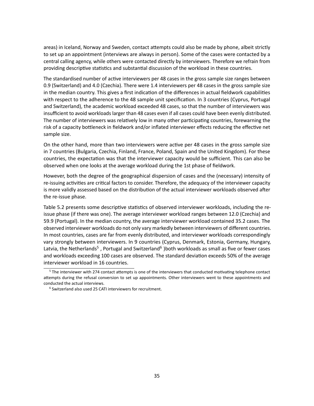areas) in Iceland, Norway and Sweden, contact attempts could also be made by phone, albeit strictly to set up an appointment (interviews are always in person). Some of the cases were contacted by a central calling agency, while others were contacted directly by interviewers. Therefore we refrain from providing descriptive statistics and substantial discussion of the workload in these countries.

The standardised number of active interviewers per 48 cases in the gross sample size ranges between 0.9 (Switzerland) and 4.0 (Czechia). There were 1.4 interviewers per 48 cases in the gross sample size in the median country. This gives a first indication of the differences in actual fieldwork capabilities with respect to the adherence to the 48 sample unit specification. In 3 countries (Cyprus, Portugal and Switzerland), the academic workload exceeded 48 cases, so that the number of interviewers was insufficient to avoid workloads larger than 48 cases even if all cases could have been evenly distributed. The number of interviewers was relatively low in many other participating countries, forewarning the risk of a capacity bottleneck in fieldwork and/or inflated interviewer effects reducing the effective net sample size.

On the other hand, more than two interviewers were active per 48 cases in the gross sample size in 7 countries (Bulgaria, Czechia, Finland, France, Poland, Spain and the United Kingdom). For these countries, the expectation was that the interviewer capacity would be sufficient. This can also be observed when one looks at the average workload during the 1st phase of fieldwork.

However, both the degree of the geographical dispersion of cases and the (necessary) intensity of re-issuing activities are critical factors to consider. Therefore, the adequacy of the interviewer capacity is more validly assessed based on the distribution of the actual interviewer workloads observed after the re-issue phase.

Table [5.2](#page-40-0) presents some descriptive statistics of observed interviewer workloads, including the reissue phase (if there was one). The average interviewer workload ranges between 12.0 (Czechia) and 59.9 (Portugal). In the median country, the average interviewer workload contained 35.2 cases. The observed interviewer workloads do not only vary markedly between interviewers of different countries. In most countries, cases are far from evenly distributed, and interviewer workloads correspondingly vary strongly between interviewers. In 9 countries (Cyprus, Denmark, Estonia, Germany, Hungary, Latvia, the Netherlands<sup>[5](#page-39-0)</sup>, Portugal and Switzerland<sup>[6](#page-39-1)</sup>) both workloads as small as five or fewer cases and workloads exceeding 100 cases are observed. The standard deviation exceeds 50% of the average interviewer workload in 16 countries.

<span id="page-39-2"></span><span id="page-39-0"></span>[<sup>5</sup>](#page-39-2) The interviewer with 274 contact attempts is one of the interviewers that conducted motivating telephone contact attempts during the refusal conversion to set up appointments. Other interviewers went to these appointments and conducted the actual interviews.

<span id="page-39-3"></span><span id="page-39-1"></span><sup>&</sup>lt;sup>[6](#page-39-3)</sup> Switzerland also used 25 CATI interviewers for recruitment.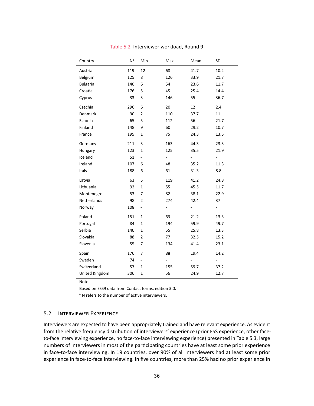<span id="page-40-0"></span>

| Country         | N <sup>a</sup> | Min                      | Max | Mean                     | SD                           |
|-----------------|----------------|--------------------------|-----|--------------------------|------------------------------|
| Austria         | 119            | 12                       | 68  | 41.7                     | 10.2                         |
| Belgium         | 125            | 8                        | 126 | 33.9                     | 21.7                         |
| <b>Bulgaria</b> | 140            | 6                        | 54  | 23.6                     | 11.7                         |
| Croatia         | 176            | 5                        | 45  | 25.4                     | 14.4                         |
| Cyprus          | 33             | 3                        | 146 | 55                       | 36.7                         |
| Czechia         | 296            | 6                        | 20  | 12                       | 2.4                          |
| Denmark         | 90             | $\overline{2}$           | 110 | 37.7                     | 11                           |
| Estonia         | 65             | 5                        | 112 | 56                       | 21.7                         |
| Finland         | 148            | 9                        | 60  | 29.2                     | 10.7                         |
| France          | 195            | $\mathbf 1$              | 75  | 24.3                     | 13.5                         |
| Germany         | 211            | 3                        | 163 | 44.3                     | 23.3                         |
| Hungary         | 123            | $\mathbf 1$              | 125 | 35.5                     | 21.9                         |
| Iceland         | 51             | $\overline{\phantom{0}}$ | -   | $\overline{\phantom{0}}$ | $\overline{\phantom{0}}$     |
| Ireland         | 107            | 6                        | 48  | 35.2                     | 11.3                         |
| Italy           | 188            | 6                        | 61  | 31.3                     | 8.8                          |
| Latvia          | 63             | 5                        | 119 | 41.2                     | 24.8                         |
| Lithuania       | 92             | $\mathbf 1$              | 55  | 45.5                     | 11.7                         |
| Montenegro      | 53             | 7                        | 82  | 38.1                     | 22.9                         |
| Netherlands     | 98             | $\overline{2}$           | 274 | 42.4                     | 37                           |
| Norway          | 108            | $\overline{\phantom{0}}$ | ÷   | $\overline{\phantom{m}}$ | $\qquad \qquad \blacksquare$ |
| Poland          | 151            | $\mathbf 1$              | 63  | 21.2                     | 13.3                         |
| Portugal        | 84             | $\mathbf 1$              | 194 | 59.9                     | 49.7                         |
| Serbia          | 140            | $\mathbf{1}$             | 55  | 25.8                     | 13.3                         |
| Slovakia        | 88             | $\overline{2}$           | 77  | 32.5                     | 15.2                         |
| Slovenia        | 55             | 7                        | 134 | 41.4                     | 23.1                         |
| Spain           | 176            | 7                        | 88  | 19.4                     | 14.2                         |
| Sweden          | 74             | ÷,                       |     | $\overline{\phantom{a}}$ |                              |
| Switzerland     | 57             | $\mathbf{1}$             | 155 | 59.7                     | 37.2                         |
| United Kingdom  | 306            | $\mathbf 1$              | 56  | 24.9                     | 12.7                         |

Table 5.2 Interviewer workload, Round 9

Based on ESS9 data from Contact forms, edition 3.0.

<sup>a</sup> N refers to the number of active interviewers.

#### 5.2 INTERVIEWER EXPERIENCE

Interviewers are expected to have been appropriately trained and have relevant experience. As evident from the relative frequency distribution of interviewers' experience (prior ESS experience, other faceto-face interviewing experience, no face-to-face interviewing experience) presented in Table [5.3,](#page-41-0) large numbers of interviewers in most of the participating countries have at least some prior experience in face-to-face interviewing. In 19 countries, over 90% of all interviewers had at least some prior experience in face-to-face interviewing. In five countries, more than 25% had no prior experience in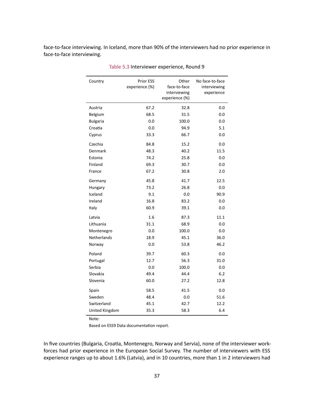<span id="page-41-0"></span>face-to-face interviewing. In Iceland, more than 90% of the interviewers had no prior experience in face-to-face interviewing.

| Country         | <b>Prior ESS</b> | Other          | No face-to-face |
|-----------------|------------------|----------------|-----------------|
|                 | experience (%)   | face-to-face   | interviewing    |
|                 |                  | interviewing   | experience      |
|                 |                  | experience (%) |                 |
| Austria         | 67.2             | 32.8           | 0.0             |
| Belgium         | 68.5             | 31.5           | 0.0             |
| <b>Bulgaria</b> | 0.0              | 100.0          | 0.0             |
| Croatia         | 0.0              | 94.9           | 5.1             |
| Cyprus          | 33.3             | 66.7           | 0.0             |
| Czechia         | 84.8             | 15.2           | 0.0             |
| Denmark         | 48.3             | 40.2           | 11.5            |
| Estonia         | 74.2             | 25.8           | 0.0             |
| Finland         | 69.3             | 30.7           | 0.0             |
| France          | 67.2             | 30.8           | 2.0             |
| Germany         | 45.8             | 41.7           | 12.5            |
| Hungary         | 73.2             | 26.8           | 0.0             |
| Iceland         | 9.1              | 0.0            | 90.9            |
| Ireland         | 16.8             | 83.2           | 0.0             |
| Italy           | 60.9             | 39.1           | 0.0             |
| Latvia          | 1.6              | 87.3           | 11.1            |
| Lithuania       | 31.1             | 68.9           | 0.0             |
| Montenegro      | 0.0              | 100.0          | 0.0             |
| Netherlands     | 18.9             | 45.1           | 36.0            |
| Norway          | 0.0              | 53.8           | 46.2            |
| Poland          | 39.7             | 60.3           | 0.0             |
| Portugal        | 12.7             | 56.3           | 31.0            |
| Serbia          | 0.0              | 100.0          | 0.0             |
| Slovakia        | 49.4             | 44.4           | 6.2             |
| Slovenia        | 60.0             | 27.2           | 12.8            |
| Spain           | 58.5             | 41.5           | 0.0             |
| Sweden          | 48.4             | 0.0            | 51.6            |
| Switzerland     | 45.1             | 42.7           | 12.2            |
| United Kingdom  | 35.3             | 58.3           | 6.4             |

Table 5.3 Interviewer experience, Round 9

Note:

Based on ESS9 Data documentation report.

In five countries (Bulgaria, Croatia, Montenegro, Norway and Servia), none of the interviewer workforces had prior experience in the European Social Survey. The number of interviewers with ESS experience ranges up to about 1.6% (Latvia), and in 10 countries, more than 1 in 2 interviewers had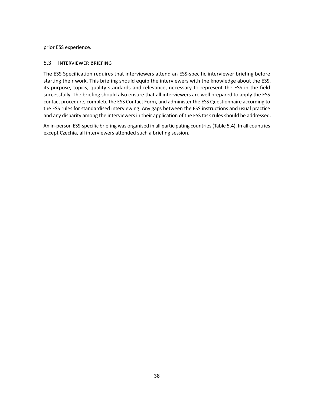prior ESS experience.

# 5.3 INTERVIEWER BRIEFING

The ESS Specification requires that interviewers attend an ESS-specific interviewer briefing before starting their work. This briefing should equip the interviewers with the knowledge about the ESS, its purpose, topics, quality standards and relevance, necessary to represent the ESS in the field successfully. The briefing should also ensure that all interviewers are well prepared to apply the ESS contact procedure, complete the ESS Contact Form, and administer the ESS Questionnaire according to the ESS rules for standardised interviewing. Any gaps between the ESS instructions and usual practice and any disparity among the interviewers in their application of the ESS task rules should be addressed.

An in-person ESS-specific briefing was organised in all participating countries (Table [5.4\)](#page-43-0). In all countries except Czechia, all interviewers attended such a briefing session.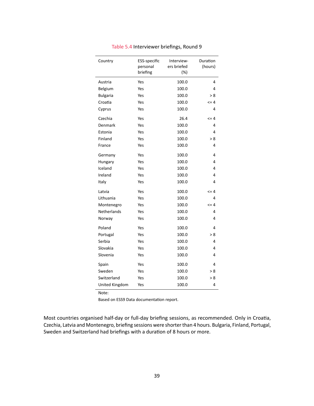<span id="page-43-0"></span>

| Country         | ESS-specific         | Interview-            | Duration   |
|-----------------|----------------------|-----------------------|------------|
|                 | personal<br>briefing | ers briefed<br>$(\%)$ | (hours)    |
|                 |                      |                       |            |
| Austria         | Yes                  | 100.0                 | 4          |
| Belgium         | Yes                  | 100.0                 | 4          |
| <b>Bulgaria</b> | Yes                  | 100.0                 | > 8        |
| Croatia         | Yes                  | 100.0                 | $\leq$ = 4 |
| Cyprus          | Yes                  | 100.0                 | 4          |
| Czechia         | Yes                  | 26.4                  | $\leq$ = 4 |
| Denmark         | Yes                  | 100.0                 | 4          |
| Estonia         | Yes                  | 100.0                 | 4          |
| Finland         | Yes                  | 100.0                 | > 8        |
| France          | Yes                  | 100.0                 | 4          |
| Germany         | Yes                  | 100.0                 | 4          |
| Hungary         | Yes                  | 100.0                 | 4          |
| Iceland         | Yes                  | 100.0                 | 4          |
| Ireland         | Yes                  | 100.0                 | 4          |
| Italy           | Yes                  | 100.0                 | 4          |
| Latvia          | Yes                  | 100.0                 | $\leq$ = 4 |
| Lithuania       | Yes                  | 100.0                 | 4          |
| Montenegro      | Yes                  | 100.0                 | $\leq$ = 4 |
| Netherlands     | Yes                  | 100.0                 | 4          |
| Norway          | Yes                  | 100.0                 | 4          |
| Poland          | Yes                  | 100.0                 | 4          |
| Portugal        | Yes                  | 100.0                 | > 8        |
| Serbia          | Yes                  | 100.0                 | 4          |
| Slovakia        | Yes                  | 100.0                 | 4          |
| Slovenia        | Yes                  | 100.0                 | 4          |
| Spain           | Yes                  | 100.0                 | 4          |
| Sweden          | Yes                  | 100.0                 | > 8        |
| Switzerland     | Yes                  | 100.0                 | > 8        |
| United Kingdom  | Yes                  | 100.0                 | 4          |

Table 5.4 Interviewer briefings, Round 9

Based on ESS9 Data documentation report.

Most countries organised half-day or full-day briefing sessions, as recommended. Only in Croatia, Czechia, Latvia and Montenegro, briefing sessions were shorter than 4 hours. Bulgaria, Finland, Portugal, Sweden and Switzerland had briefings with a duration of 8 hours or more.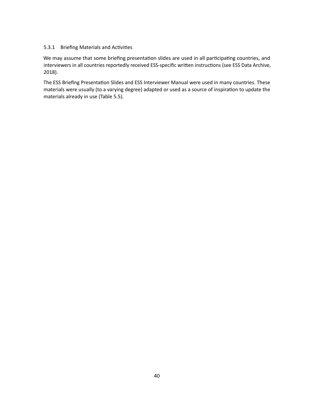# 5.3.1 Briefing Materials and Activities

We may assume that some briefing presentation slides are used in all participating countries, and interviewers in all countries reportedly received ESS-specific written instructions (see ESS Data Archive, 2018).

The ESS Briefing Presentation Slides and ESS Interviewer Manual were used in many countries. These materials were usually (to a varying degree) adapted or used as a source of inspiration to update the materials already in use (Table [5.5\)](#page-45-0).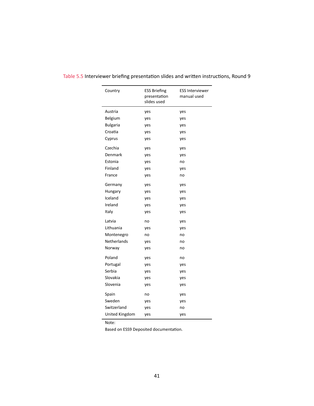| Country         | <b>ESS Briefing</b><br>presentation<br>slides used | <b>ESS Interviewer</b><br>manual used |
|-----------------|----------------------------------------------------|---------------------------------------|
| Austria         | yes                                                | yes                                   |
| Belgium         | yes                                                | yes                                   |
| <b>Bulgaria</b> | yes                                                | yes                                   |
| Croatia         | yes                                                | yes                                   |
| Cyprus          | yes                                                | yes                                   |
| Czechia         | yes                                                | yes                                   |
| Denmark         | yes                                                | yes                                   |
| Estonia         | yes                                                | no                                    |
| Finland         | yes                                                | yes                                   |
| France          | yes                                                | no                                    |
| Germany         | yes                                                | yes                                   |
| Hungary         | yes                                                | yes                                   |
| Iceland         | yes                                                | yes                                   |
| Ireland         | yes                                                | yes                                   |
| Italy           | yes                                                | yes                                   |
| Latvia          | no                                                 | yes                                   |
| Lithuania       | yes                                                | yes                                   |
| Montenegro      | no                                                 | no                                    |
| Netherlands     | yes                                                | no                                    |
| Norway          | yes                                                | no                                    |
| Poland          | yes                                                | no                                    |
| Portugal        | yes                                                | yes                                   |
| Serbia          | yes                                                | yes                                   |
| Slovakia        | yes                                                | yes                                   |
| Slovenia        | yes                                                | yes                                   |
| Spain           | no                                                 | yes                                   |
| Sweden          | yes                                                | yes                                   |
| Switzerland     | yes                                                | no                                    |
| United Kingdom  | yes                                                | yes                                   |

# <span id="page-45-0"></span>Table 5.5 Interviewer briefing presentation slides and written instructions, Round 9

Note:

Based on ESS9 Deposited documentation.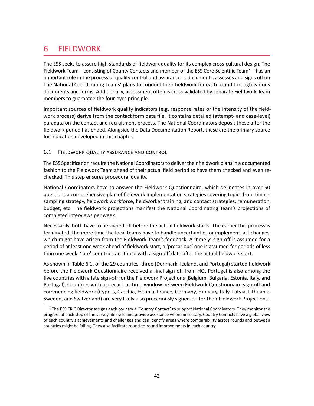# 6 FIELDWORK

<span id="page-46-1"></span>The ESS seeks to assure high standards of fieldwork quality for its complex cross-cultural design. The Fieldwork Team—consisting of County Contacts and member of the ESS Core Scientific Team<sup>[7](#page-46-0)</sup>—has an important role in the process of quality control and assurance. It documents, assesses and signs off on The National Coordinating Teams' plans to conduct their fieldwork for each round through various documents and forms. Additionally, assessment often is cross-validated by separate Fieldwork Team members to guarantee the four-eyes principle.

Important sources of fieldwork quality indicators (e.g. response rates or the intensity of the fieldwork process) derive from the contact form data file. It contains detailed (attempt- and case-level) paradata on the contact and recruitment process. The National Coordinators deposit these after the fieldwork period has ended. Alongside the Data Documentation Report, these are the primary source for indicators developed in this chapter.

# 6.1 FIELDWORK QUALITY ASSURANCE AND CONTROL

The ESS Specification require the National Coordinators to deliver their fieldwork plans in a documented fashion to the Fieldwork Team ahead of their actual field period to have them checked and even rechecked. This step ensures procedural quality.

National Coordinators have to answer the Fieldwork Questionnaire, which delineates in over 50 questions a comprehensive plan of fieldwork implementation strategies covering topics from timing, sampling strategy, fieldwork workforce, fieldworker training, and contact strategies, remuneration, budget, etc. The fieldwork projections manifest the National Coordinating Team's projections of completed interviews per week.

Necessarily, both have to be signed off before the actual fieldwork starts. The earlier this process is terminated, the more time the local teams have to handle uncertainties or implement last changes, which might have arisen from the Fieldwork Team's feedback. A 'timely' sign-off is assumed for a period of at least one week ahead of fieldwork start; a 'precarious' one is assumed for periods of less than one week; 'late' countries are those with a sign-off date after the actual fieldwork start.

As shown in Table [6.1,](#page-47-0) of the 29 countries, three (Denmark, Iceland, and Portugal) started fieldwork before the Fieldwork Questionnaire received a final sign-off from HQ. Portugal is also among the five countries with a late sign-off for the Fieldwork Projections (Belgium, Bulgaria, Estonia, Italy, and Portugal). Countries with a precarious time window between Fieldwork Questionnaire sign-off and commencing fieldwork (Cyprus, Czechia, Estonia, France, Germany, Hungary, Italy, Latvia, Lithuania, Sweden, and Switzerland) are very likely also precariously signed-off for their Fieldwork Projections.

<span id="page-46-0"></span><sup>&</sup>lt;sup>[7](#page-46-1)</sup> The ESS ERIC Director assigns each country a 'Country Contact' to support National Coordinators. They monitor the progress of each step of the survey life cycle and provide assistance where necessary. Country Contacts have a global view of each country's achievements and challenges and can identify areas where comparability across rounds and between countries might be failing. They also facilitate round-to-round improvements in each country.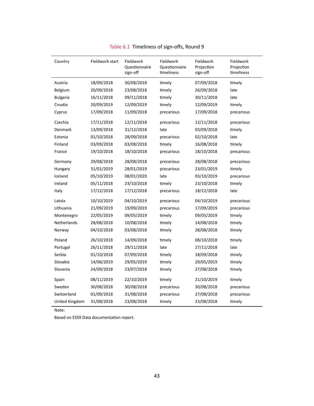<span id="page-47-0"></span>

| Country            | Fieldwork start | Fieldwork<br>Questionnaire<br>sign-off | Fieldwork<br>Questionnaire<br>timeliness | Fieldwork<br>Projection<br>sign-off | Fieldwork<br>Projection<br>timeliness |
|--------------------|-----------------|----------------------------------------|------------------------------------------|-------------------------------------|---------------------------------------|
| Austria            | 18/09/2018      | 30/08/2018                             | timely                                   | 07/09/2018                          | timely                                |
| Belgium            | 20/09/2018      | 23/08/2018                             | timely                                   | 26/09/2018                          | late                                  |
| <b>Bulgaria</b>    | 16/11/2018      | 09/11/2018                             | timely                                   | 30/11/2018                          | late                                  |
| Croatia            | 20/09/2019      | 12/09/2019                             | timely                                   | 12/09/2019                          | timely                                |
| Cyprus             | 17/09/2018      | 11/09/2018                             | precarious                               | 17/09/2018                          | precarious                            |
| Czechia            | 17/11/2018      | 12/11/2018                             | precarious                               | 12/11/2018                          | precarious                            |
| Denmark            | 13/09/2018      | 31/12/2018                             | late                                     | 03/09/2018                          | timely                                |
| Estonia            | 01/10/2018      | 28/09/2018                             | precarious                               | 02/10/2018                          | late                                  |
| Finland            | 03/09/2018      | 03/08/2018                             | timely                                   | 16/08/2018                          | timely                                |
| France             | 19/10/2018      | 18/10/2018                             | precarious                               | 18/10/2018                          | precarious                            |
| Germany            | 29/08/2018      | 28/08/2018                             | precarious                               | 28/08/2018                          | precarious                            |
| Hungary            | 31/01/2019      | 28/01/2019                             | precarious                               | 23/01/2019                          | timely                                |
| Iceland            | 05/10/2019      | 08/01/2020                             | late                                     | 03/10/2019                          | precarious                            |
| Ireland            | 05/11/2018      | 23/10/2018                             | timely                                   | 23/10/2018                          | timely                                |
| Italy              | 17/12/2018      | 17/12/2018                             | precarious                               | 18/12/2018                          | late                                  |
| Latvia             | 10/10/2019      | 04/10/2019                             | precarious                               | 04/10/2019                          | precarious                            |
| Lithuania          | 21/09/2019      | 19/09/2019                             | precarious                               | 17/09/2019                          | precarious                            |
| Montenegro         | 22/05/2019      | 09/05/2019                             | timely                                   | 09/05/2019                          | timely                                |
| <b>Netherlands</b> | 28/08/2018      | 10/08/2018                             | timely                                   | 14/08/2018                          | timely                                |
| Norway             | 04/10/2018      | 03/08/2018                             | timely                                   | 28/08/2018                          | timely                                |
| Poland             | 26/10/2018      | 14/09/2018                             | timely                                   | 08/10/2018                          | timely                                |
| Portugal           | 26/11/2018      | 29/11/2018                             | late                                     | 27/11/2018                          | late                                  |
| Serbia             | 01/10/2018      | 07/09/2018                             | timely                                   | 18/09/2018                          | timely                                |
| Slovakia           | 14/06/2019      | 29/05/2019                             | timely                                   | 29/05/2019                          | timely                                |
| Slovenia           | 24/09/2018      | 23/07/2018                             | timely                                   | 27/08/2018                          | timely                                |
| Spain              | 08/11/2019      | 22/10/2019                             | timely                                   | 21/10/2019                          | timely                                |
| Sweden             | 30/08/2018      | 30/08/2018                             | precarious                               | 30/08/2018                          | precarious                            |
| Switzerland        | 01/09/2018      | 31/08/2018                             | precarious                               | 27/08/2018                          | precarious                            |
| United Kingdom     | 31/08/2018      | 23/08/2018                             | timely                                   | 23/08/2018                          | timely                                |

Table 6.1 Timeliness of sign-offs, Round 9

Based on ESS9 Data documentation report.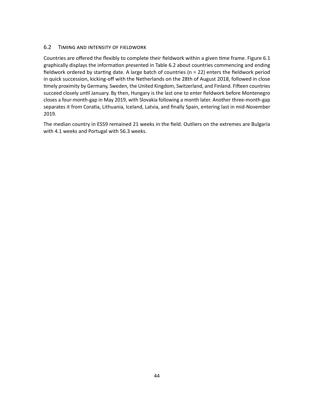# 6.2 TIMING AND INTENSITY OF FIELDWORK

Countries are offered the flexibly to complete their fieldwork within a given time frame. Figure [6.1](#page-50-0) graphically displays the information presented in Table [6.2](#page-49-0) about countries commencing and ending fieldwork ordered by starting date. A large batch of countries (n = 22) enters the fieldwork period in quick succession, kicking-off with the Netherlands on the 28th of August 2018, followed in close timely proximity by Germany, Sweden, the United Kingdom, Switzerland, and Finland. Fifteen countries succeed closely until January. By then, Hungary is the last one to enter fieldwork before Montenegro closes a four-month-gap in May 2019, with Slovakia following a month later. Another three-month-gap separates it from Coratia, Lithuania, Iceland, Latvia, and finally Spain, entering last in mid-November 2019.

The median country in ESS9 remained 21 weeks in the field. Outliers on the extremes are Bulgaria with 4.1 weeks and Portugal with 56.3 weeks.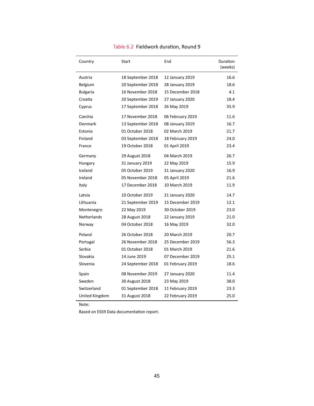| Country            | Start             | End              | Duration<br>(weeks) |
|--------------------|-------------------|------------------|---------------------|
| Austria            | 18 September 2018 | 12 January 2019  | 16.6                |
| <b>Belgium</b>     | 20 September 2018 | 28 January 2019  | 18.6                |
| <b>Bulgaria</b>    | 16 November 2018  | 15 December 2018 | 4.1                 |
| Croatia            | 20 September 2019 | 27 January 2020  | 18.4                |
| Cyprus             | 17 September 2018 | 26 May 2019      | 35.9                |
| Czechia            | 17 November 2018  | 06 February 2019 | 11.6                |
| Denmark            | 13 September 2018 | 08 January 2019  | 16.7                |
| Estonia            | 01 October 2018   | 02 March 2019    | 21.7                |
| Finland            | 03 September 2018 | 18 February 2019 | 24.0                |
| France             | 19 October 2018   | 01 April 2019    | 23.4                |
| Germany            | 29 August 2018    | 04 March 2019    | 26.7                |
| Hungary            | 31 January 2019   | 22 May 2019      | 15.9                |
| Iceland            | 05 October 2019   | 31 January 2020  | 16.9                |
| Ireland            | 05 November 2018  | 05 April 2019    | 21.6                |
| Italy              | 17 December 2018  | 10 March 2019    | 11.9                |
| Latvia             | 10 October 2019   | 21 January 2020  | 14.7                |
| Lithuania          | 21 September 2019 | 15 December 2019 | 12.1                |
| Montenegro         | 22 May 2019       | 30 October 2019  | 23.0                |
| <b>Netherlands</b> | 28 August 2018    | 22 January 2019  | 21.0                |
| Norway             | 04 October 2018   | 16 May 2019      | 32.0                |
| Poland             | 26 October 2018   | 20 March 2019    | 20.7                |
| Portugal           | 26 November 2018  | 25 December 2019 | 56.3                |
| Serbia             | 01 October 2018   | 01 March 2019    | 21.6                |
| Slovakia           | 14 June 2019      | 07 December 2019 | 25.1                |
| Slovenia           | 24 September 2018 | 01 February 2019 | 18.6                |
| Spain              | 08 November 2019  | 27 January 2020  | 11.4                |
| Sweden             | 30 August 2018    | 23 May 2019      | 38.0                |
| Switzerland        | 01 September 2018 | 11 February 2019 | 23.3                |
| United Kingdom     | 31 August 2018    | 22 February 2019 | 25.0                |

### Table 6.2 Fieldwork duration, Round 9

Note:

<span id="page-49-0"></span>l.

Based on ESS9 Data documentation report.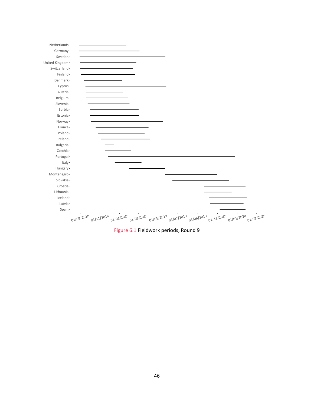<span id="page-50-0"></span>

Figure 6.1 Fieldwork periods, Round 9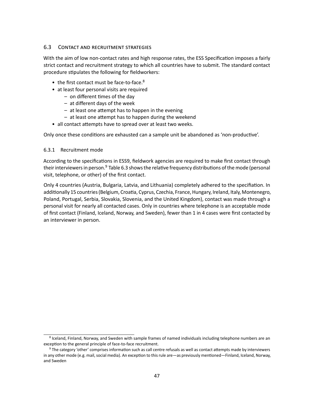# 6.3 CONTACT AND RECRUITMENT STRATEGIES

With the aim of low non-contact rates and high response rates, the ESS Specification imposes a fairly strict contact and recruitment strategy to which all countries have to submit. The standard contact procedure stipulates the following for fieldworkers:

- <span id="page-51-2"></span>• the first contact must be face-to-face.<sup>[8](#page-51-0)</sup>
- at least four personal visits are required
	- on different times of the day
	- at different days of the week
	- at least one attempt has to happen in the evening
	- at least one attempt has to happen during the weekend
- all contact attempts have to spread over at least two weeks.

Only once these conditions are exhausted can a sample unit be abandoned as 'non-productive'.

#### 6.3.1 Recruitment mode

<span id="page-51-3"></span>According to the specifications in ESS9, fieldwork agencies are required to make first contact through their interviewers in person.<sup>[9](#page-51-1)</sup> Table [6.3](#page-52-0) shows the relative frequency distributions of the mode (personal visit, telephone, or other) of the first contact.

Only 4 countries (Austria, Bulgaria, Latvia, and Lithuania) completely adhered to the specifiation. In additionally 15 countries (Belgium, Croatia, Cyprus, Czechia, France, Hungary, Ireland, Italy, Montenegro, Poland, Portugal, Serbia, Slovakia, Slovenia, and the United Kingdom), contact was made through a personal visit for nearly all contacted cases. Only in countries where telephone is an acceptable mode of first contact (Finland, Iceland, Norway, and Sweden), fewer than 1 in 4 cases were first contacted by an interviewer in person.

<span id="page-51-0"></span><sup>&</sup>lt;sup>[8](#page-51-2)</sup> Iceland, Finland, Norway, and Sweden with sample frames of named individuals including telephone numbers are an exception to the general principle of face-to-face recruitment.

<span id="page-51-1"></span><sup>&</sup>lt;sup>[9](#page-51-3)</sup> The category 'other' comprises information such as call centre refusals as well as contact attempts made by interviewers in any other mode (e.g. mail, social media). An exception to this rule are—as previously mentioned—Finland, Iceland, Norway, and Sweden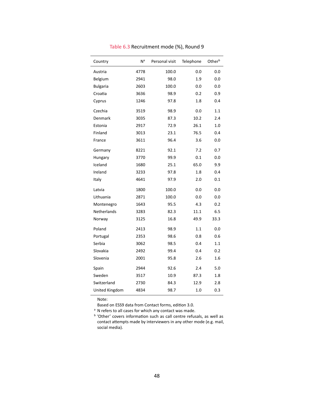<span id="page-52-0"></span>

| Country         | N <sup>a</sup> | Personal visit | Telephone | Otherb |
|-----------------|----------------|----------------|-----------|--------|
| Austria         | 4778           | 100.0          | 0.0       | 0.0    |
| Belgium         | 2941           | 98.0           | 1.9       | 0.0    |
| <b>Bulgaria</b> | 2603           | 100.0          | 0.0       | 0.0    |
| Croatia         | 3636           | 98.9           | 0.2       | 0.9    |
| Cyprus          | 1246           | 97.8           | 1.8       | 0.4    |
| Czechia         | 3519           | 98.9           | 0.0       | 1.1    |
| Denmark         | 3035           | 87.3           | 10.2      | 2.4    |
| Estonia         | 2917           | 72.9           | 26.1      | 1.0    |
| Finland         | 3013           | 23.1           | 76.5      | 0.4    |
| France          | 3611           | 96.4           | 3.6       | 0.0    |
| Germany         | 8221           | 92.1           | 7.2       | 0.7    |
| Hungary         | 3770           | 99.9           | 0.1       | 0.0    |
| Iceland         | 1680           | 25.1           | 65.0      | 9.9    |
| Ireland         | 3233           | 97.8           | 1.8       | 0.4    |
| Italy           | 4641           | 97.9           | 2.0       | 0.1    |
| Latvia          | 1800           | 100.0          | 0.0       | 0.0    |
| Lithuania       | 2871           | 100.0          | 0.0       | 0.0    |
| Montenegro      | 1643           | 95.5           | 4.3       | 0.2    |
| Netherlands     | 3283           | 82.3           | 11.1      | 6.5    |
| Norway          | 3125           | 16.8           | 49.9      | 33.3   |
| Poland          | 2413           | 98.9           | 1.1       | 0.0    |
| Portugal        | 2353           | 98.6           | 0.8       | 0.6    |
| Serbia          | 3062           | 98.5           | 0.4       | 1.1    |
| Slovakia        | 2492           | 99.4           | 0.4       | 0.2    |
| Slovenia        | 2001           | 95.8           | 2.6       | 1.6    |
| Spain           | 2944           | 92.6           | 2.4       | 5.0    |
| Sweden          | 3517           | 10.9           | 87.3      | 1.8    |
| Switzerland     | 2730           | 84.3           | 12.9      | 2.8    |
| United Kingdom  | 4834           | 98.7           | 1.0       | 0.3    |

Table 6.3 Recruitment mode (%), Round 9

Based on ESS9 data from Contact forms, edition 3.0.

<sup>a</sup> N refers to all cases for which any contact was made.

<sup>b</sup> 'Other' covers information such as call centre refusals, as well as contact attempts made by interviewers in any other mode (e.g. mail, social media).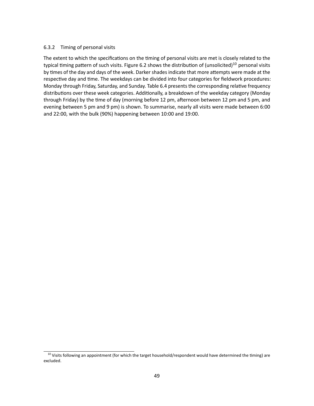### 6.3.2 Timing of personal visits

<span id="page-53-1"></span>The extent to which the specifications on the timing of personal visits are met is closely related to the typical timing pattern of such visits. Figure [6.2](#page-56-0) shows the distribution of (unsolicited)<sup>[10](#page-53-0)</sup> personal visits by times of the day and days of the week. Darker shades indicate that more attempts were made at the respective day and time. The weekdays can be divided into four categories for fieldwork procedures: Monday through Friday, Saturday, and Sunday. Table [6.4](#page-57-0) presents the corresponding relative frequency distributions over these week categories. Additionally, a breakdown of the weekday category (Monday through Friday) by the time of day (morning before 12 pm, afternoon between 12 pm and 5 pm, and evening between 5 pm and 9 pm) is shown. To summarise, nearly all visits were made between 6:00 and 22:00, with the bulk (90%) happening between 10:00 and 19:00.

<span id="page-53-0"></span> $10$  Visits following an appointment (for which the target household/respondent would have determined the timing) are excluded.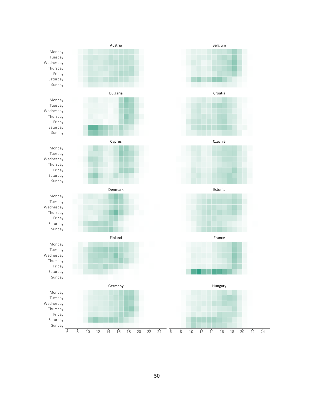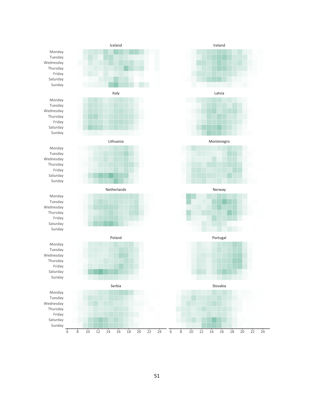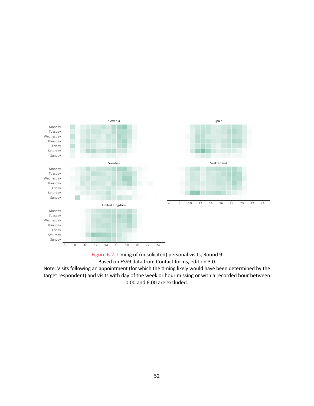<span id="page-56-0"></span>



Note: Visits following an appointment (for which the timing likely would have been determined by the target respondent) and visits with day of the week or hour missing or with a recorded hour between 0:00 and 6:00 are excluded.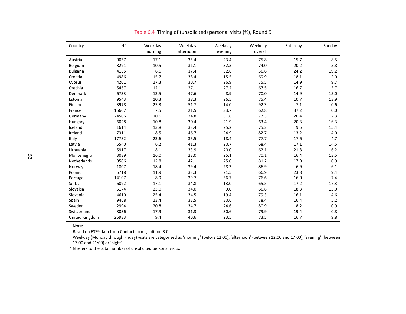| Country         | N <sup>a</sup> | Weekday | Weekday   | Weekday | Weekday | Saturday | Sunday |
|-----------------|----------------|---------|-----------|---------|---------|----------|--------|
|                 |                | morning | afternoon | evening | overall |          |        |
| Austria         | 9037           | 17.1    | 35.4      | 23.4    | 75.8    | 15.7     | 8.5    |
| Belgium         | 8291           | 10.5    | 31.1      | 32.3    | 74.0    | 20.2     | 5.8    |
| <b>Bulgaria</b> | 4165           | 6.6     | 17.4      | 32.6    | 56.6    | 24.2     | 19.2   |
| Croatia         | 4986           | 15.7    | 38.4      | 15.5    | 69.9    | 18.1     | 12.0   |
| Cyprus          | 4201           | 17.3    | 30.7      | 26.9    | 75.5    | 14.9     | 9.7    |
| Czechia         | 5467           | 12.1    | 27.1      | 27.2    | 67.5    | 16.7     | 15.7   |
| Denmark         | 6733           | 13.5    | 47.6      | 8.9     | 70.0    | 14.9     | 15.0   |
| Estonia         | 9543           | 10.3    | 38.3      | 26.5    | 75.4    | 10.7     | 13.9   |
| Finland         | 3978           | 25.3    | 51.7      | 14.0    | 92.3    | 7.1      | 0.6    |
| France          | 15607          | 7.5     | 21.5      | 33.7    | 62.8    | 37.2     | 0.0    |
| Germany         | 24506          | 10.6    | 34.8      | 31.8    | 77.3    | 20.4     | 2.3    |
| Hungary         | 6028           | 10.8    | 30.4      | 21.9    | 63.4    | 20.3     | 16.3   |
| Iceland         | 1614           | 13.8    | 33.4      | 25.2    | 75.2    | 9.5      | 15.4   |
| Ireland         | 7311           | 8.5     | 46.7      | 24.9    | 82.7    | 13.2     | 4.0    |
| Italy           | 17732          | 23.6    | 35.5      | 18.4    | 77.7    | 17.6     | 4.7    |
| Latvia          | 5540           | $6.2$   | 41.3      | 20.7    | 68.4    | 17.1     | 14.5   |
| Lithuania       | 5917           | 8.1     | 33.9      | 20.0    | 62.1    | 21.8     | 16.2   |
| Montenegro      | 3039           | 16.0    | 28.0      | 25.1    | 70.1    | 16.4     | 13.5   |
| Netherlands     | 9586           | 12.8    | 42.1      | 25.0    | 81.2    | 17.9     | 0.9    |
| Norway          | 1807           | 18.4    | 39.4      | 28.3    | 86.9    | 6.9      | 6.1    |
| Poland          | 5718           | 11.9    | 33.3      | 21.5    | 66.9    | 23.8     | 9.4    |
| Portugal        | 14107          | 8.9     | 29.7      | 36.7    | 76.6    | 16.0     | 7.4    |
| Serbia          | 6092           | 17.1    | 34.8      | 13.0    | 65.5    | 17.2     | 17.3   |
| Slovakia        | 5174           | 23.0    | 34.0      | 9.0     | 66.8    | 18.3     | 15.0   |
| Slovenia        | 4610           | 25.4    | 34.5      | 19.4    | 79.3    | 16.1     | 4.6    |
| Spain           | 9468           | 13.4    | 33.5      | 30.6    | 78.4    | 16.4     | 5.2    |
| Sweden          | 2994           | 20.8    | 34.7      | 24.6    | 80.9    | 8.2      | 10.9   |
| Switzerland     | 8036           | 17.9    | 31.3      | 30.6    | 79.9    | 19.4     | 0.8    |
| United Kingdom  | 25933          | 9.4     | 40.6      | 23.5    | 73.5    | 16.7     | 9.8    |

Table 6.4 Timing of (unsolicited) personal visits (%), Round <sup>9</sup>

Based on ESS9 data from Contact forms, edition 3.0. Based on ESS9 data from Contact forms, edition 3.0.

Weekday (Monday through Friday) visits are categorised as 'morning' (before 12:00), 'afternoon' (between 12:00 and 17:00), 'evening' (between<br>17:00 and 21:00) or 'night' 17:00 and 21:00) or 'night'

<span id="page-57-0"></span><sup>a</sup> N refers to the total number of unsolicited personal visits.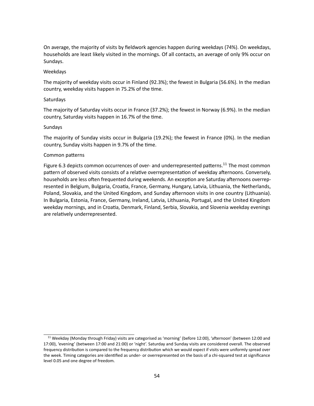On average, the majority of visits by fieldwork agencies happen during weekdays (74%). On weekdays, households are least likely visited in the mornings. Of all contacts, an average of only 9% occur on Sundays.

#### Weekdays

The majority of weekday visits occur in Finland (92.3%); the fewest in Bulgaria (56.6%). In the median country, weekday visits happen in 75.2% of the time.

#### Saturdays

The majority of Saturday visits occur in France (37.2%); the fewest in Norway (6.9%). In the median country, Saturday visits happen in 16.7% of the time.

### Sundays

The majority of Sunday visits occur in Bulgaria (19.2%); the fewest in France (0%). In the median country, Sunday visits happen in 9.7% of the time.

### <span id="page-58-1"></span>Common patterns

Figure [6.3](#page-59-0) depicts common occurrences of over- and underrepresented patterns.<sup>[11](#page-58-0)</sup> The most common pattern of observed visits consists of a relative overrepresentation of weekday afternoons. Conversely, households are less often frequented during weekends. An exception are Saturday afternoons overrepresented in Belgium, Bulgaria, Croatia, France, Germany, Hungary, Latvia, Lithuania, the Netherlands, Poland, Slovakia, and the United Kingdom, and Sunday afternoon visits in one country (Lithuania). In Bulgaria, Estonia, France, Germany, Ireland, Latvia, Lithuania, Portugal, and the United Kingdom weekday mornings, and in Croatia, Denmark, Finland, Serbia, Slovakia, and Slovenia weekday evenings are relatively underrepresented.

<span id="page-58-0"></span><sup>&</sup>lt;sup>[11](#page-58-1)</sup> Weekday (Monday through Friday) visits are categorised as 'morning' (before 12:00), 'afternoon' (between 12:00 and 17:00), 'evening' (between 17:00 and 21:00) or 'night'. Saturday and Sunday visits are considered overall. The observed frequency distribution is compared to the frequency distribution which we would expect if visits were uniformly spread over the week. Timing categories are identified as under- or overrepresented on the basis of a chi-squared test at significance level 0.05 and one degree of freedom.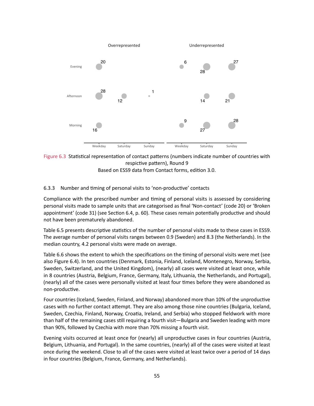<span id="page-59-0"></span>



#### 6.3.3 Number and timing of personal visits to 'non-productive' contacts

Compliance with the prescribed number and timing of personal visits is assessed by considering personal visits made to sample units that are categorised as final 'Non-contact' (code 20) or 'Broken appointment' (code 31) (see Section [6.4,](#page-64-0) p. [60\)](#page-64-0). These cases remain potentially productive and should not have been prematurely abandoned.

Table [6.5](#page-60-0) presents descriptive statistics of the number of personal visits made to these cases in ESS9. The average number of personal visits ranges between 0.9 (Sweden) and 8.3 (the Netherlands). In the median country, 4.2 personal visits were made on average.

Table [6.6](#page-62-0) shows the extent to which the specifications on the timing of personal visits were met (see also Figure [6.4\)](#page-61-0). In ten countries (Denmark, Estonia, Finland, Iceland, Montenegro, Norway, Serbia, Sweden, Switzerland, and the United Kingdom), (nearly) all cases were visited at least once, while in 8 countries (Austria, Belgium, France, Germany, Italy, Lithuania, the Netherlands, and Portugal), (nearly) all of the cases were personally visited at least four times before they were abandoned as non-productive.

Four countries (Iceland, Sweden, Finland, and Norway) abandoned more than 10% of the unproductive cases with no further contact attempt. They are also among those nine countries (Bulgaria, Iceland, Sweden, Czechia, Finland, Norway, Croatia, Ireland, and Serbia) who stopped fieldwork with more than half of the remaining cases still requiring a fourth visit—Bulgaria and Sweden leading with more than 90%, followed by Czechia with more than 70% missing a fourth visit.

Evening visits occurred at least once for (nearly) all unproductive cases in four countries (Austria, Belgium, Lithuania, and Portugal). In the same countries, (nearly) all of the cases were visited at least once during the weekend. Close to all of the cases were visited at least twice over a period of 14 days in four countries (Belgium, France, Germany, and Netherlands).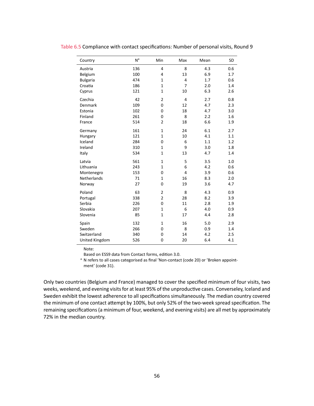| Country         | N <sup>a</sup> | Min            | Max            | Mean | SD  |
|-----------------|----------------|----------------|----------------|------|-----|
| Austria         | 136            | 4              | 8              | 4.3  | 0.6 |
| Belgium         | 100            | 4              | 13             | 6.9  | 1.7 |
| <b>Bulgaria</b> | 474            | $\mathbf{1}$   | $\overline{4}$ | 1.7  | 0.6 |
| Croatia         | 186            | $\mathbf{1}$   | $\overline{7}$ | 2.0  | 1.4 |
| Cyprus          | 121            | $\mathbf{1}$   | 10             | 6.3  | 2.6 |
| Czechia         | 42             | $\overline{2}$ | $\overline{4}$ | 2.7  | 0.8 |
| Denmark         | 109            | 0              | 12             | 4.7  | 2.3 |
| Estonia         | 102            | 0              | 18             | 4.7  | 3.0 |
| Finland         | 261            | 0              | 8              | 2.2  | 1.6 |
| France          | 514            | $\overline{2}$ | 18             | 6.6  | 1.9 |
| Germany         | 161            | $\mathbf{1}$   | 24             | 6.1  | 2.7 |
| Hungary         | 121            | $\mathbf{1}$   | 10             | 4.1  | 1.1 |
| Iceland         | 284            | 0              | 6              | 1.1  | 1.2 |
| Ireland         | 310            | $\mathbf{1}$   | 9              | 3.0  | 1.8 |
| Italy           | 534            | $\mathbf{1}$   | 13             | 4.7  | 1.4 |
| Latvia          | 561            | $\mathbf{1}$   | 5              | 3.5  | 1.0 |
| Lithuania       | 243            | $\mathbf{1}$   | 6              | 4.2  | 0.6 |
| Montenegro      | 153            | 0              | $\overline{4}$ | 3.9  | 0.6 |
| Netherlands     | 71             | $\mathbf{1}$   | 16             | 8.3  | 2.0 |
| Norway          | 27             | 0              | 19             | 3.6  | 4.7 |
| Poland          | 63             | $\overline{2}$ | 8              | 4.3  | 0.9 |
| Portugal        | 338            | $\overline{2}$ | 28             | 8.2  | 3.9 |
| Serbia          | 226            | 0              | 11             | 2.8  | 1.9 |
| Slovakia        | 207            | $\mathbf{1}$   | 6              | 4.0  | 0.9 |
| Slovenia        | 85             | $\mathbf{1}$   | 17             | 4.4  | 2.8 |
| Spain           | 132            | $\mathbf{1}$   | 16             | 5.0  | 2.9 |
| Sweden          | 266            | 0              | 8              | 0.9  | 1.4 |
| Switzerland     | 340            | 0              | 14             | 4.2  | 2.5 |
| United Kingdom  | 526            | 0              | 20             | 6.4  | 4.1 |

<span id="page-60-0"></span>Table 6.5 Compliance with contact specifications: Number of personal visits, Round 9

Note:

Based on ESS9 data from Contact forms, edition 3.0.

<sup>a</sup> N refers to all cases categorised as final 'Non-contact (code 20) or 'Broken appointment' (code 31).

Only two countries (Belgium and France) managed to cover the specified minimum of four visits, two weeks, weekend, and evening visits for at least 95% of the unproductive cases. Converseley, Iceland and Sweden exhibit the lowest adherence to all specifications simultaneously. The median country covered the minimum of one contact attempt by 100%, but only 52% of the two-week spread specification. The remaining specifications (a minimum of four, weekend, and evening visits) are all met by approximately 72% in the median country.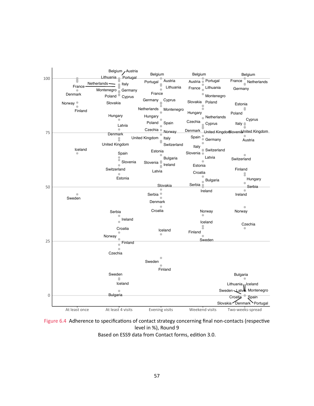<span id="page-61-0"></span>

Figure 6.4 Adherence to specifications of contact strategy concerning final non-contacts (respective level in %), Round 9 Based on ESS9 data from Contact forms, edition 3.0.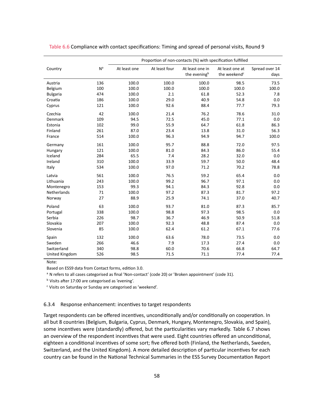|                 |                | Proportion of non-contacts (%) with specification fulfilled |               |                                             |                                             |                        |
|-----------------|----------------|-------------------------------------------------------------|---------------|---------------------------------------------|---------------------------------------------|------------------------|
| Country         | N <sup>a</sup> | At least one                                                | At least four | At least one in<br>the evening <sup>b</sup> | At least one at<br>the weekend <sup>c</sup> | Spread over 14<br>days |
| Austria         | 136            | 100.0                                                       | 100.0         | 100.0                                       | 98.5                                        | 73.5                   |
| Belgium         | 100            | 100.0                                                       | 100.0         | 100.0                                       | 100.0                                       | 100.0                  |
| <b>Bulgaria</b> | 474            | 100.0                                                       | 2.1           | 61.8                                        | 52.3                                        | 7.8                    |
| Croatia         | 186            | 100.0                                                       | 29.0          | 40.9                                        | 54.8                                        | 0.0                    |
| Cyprus          | 121            | 100.0                                                       | 92.6          | 88.4                                        | 77.7                                        | 79.3                   |
| Czechia         | 42             | 100.0                                                       | 21.4          | 76.2                                        | 78.6                                        | 31.0                   |
| Denmark         | 109            | 94.5                                                        | 72.5          | 45.0                                        | 77.1                                        | 0.0                    |
| Estonia         | 102            | 99.0                                                        | 55.9          | 64.7                                        | 61.8                                        | 86.3                   |
| Finland         | 261            | 87.0                                                        | 23.4          | 13.8                                        | 31.0                                        | 56.3                   |
| France          | 514            | 100.0                                                       | 96.3          | 94.9                                        | 94.7                                        | 100.0                  |
| Germany         | 161            | 100.0                                                       | 95.7          | 88.8                                        | 72.0                                        | 97.5                   |
| Hungary         | 121            | 100.0                                                       | 81.0          | 84.3                                        | 86.0                                        | 55.4                   |
| Iceland         | 284            | 65.5                                                        | 7.4           | 28.2                                        | 32.0                                        | 0.0                    |
| Ireland         | 310            | 100.0                                                       | 33.9          | 59.7                                        | 50.0                                        | 48.4                   |
| Italy           | 534            | 100.0                                                       | 97.0          | 71.2                                        | 70.2                                        | 78.8                   |
| Latvia          | 561            | 100.0                                                       | 76.5          | 59.2                                        | 65.4                                        | 0.0                    |
| Lithuania       | 243            | 100.0                                                       | 99.2          | 96.7                                        | 97.1                                        | 0.0                    |
| Montenegro      | 153            | 99.3                                                        | 94.1          | 84.3                                        | 92.8                                        | 0.0                    |
| Netherlands     | 71             | 100.0                                                       | 97.2          | 87.3                                        | 81.7                                        | 97.2                   |
| Norway          | 27             | 88.9                                                        | 25.9          | 74.1                                        | 37.0                                        | 40.7                   |
| Poland          | 63             | 100.0                                                       | 93.7          | 81.0                                        | 87.3                                        | 85.7                   |
| Portugal        | 338            | 100.0                                                       | 98.8          | 97.3                                        | 98.5                                        | 0.0                    |
| Serbia          | 226            | 98.7                                                        | 36.7          | 46.9                                        | 50.9                                        | 51.8                   |
| Slovakia        | 207            | 100.0                                                       | 92.3          | 48.8                                        | 87.4                                        | 0.0                    |
| Slovenia        | 85             | 100.0                                                       | 62.4          | 61.2                                        | 67.1                                        | 77.6                   |
| Spain           | 132            | 100.0                                                       | 63.6          | 78.0                                        | 73.5                                        | 0.0                    |
| Sweden          | 266            | 46.6                                                        | 7.9           | 17.3                                        | 27.4                                        | 0.0                    |
| Switzerland     | 340            | 98.8                                                        | 60.0          | 70.6                                        | 66.8                                        | 64.7                   |
| United Kingdom  | 526            | 98.5                                                        | 71.5          | 71.1                                        | 77.4                                        | 77.4                   |

#### <span id="page-62-0"></span>Table 6.6 Compliance with contact specifications: Timing and spread of personal visits, Round 9

#### Note:

Based on ESS9 data from Contact forms, edition 3.0.

<sup>a</sup> N refers to all cases categorised as final 'Non-contact' (code 20) or 'Broken appointment' (code 31).

<sup>b</sup> Visits after 17:00 are categorised as 'evening'.

<sup>c</sup> Visits on Saturday or Sunday are categorised as 'weekend'.

#### 6.3.4 Response enhancement: incentives to target respondents

Target respondents can be offered incentives, unconditionally and/or conditionally on cooperation. In all but 8 countries (Belgium, Bulgaria, Cyprus, Denmark, Hungary, Montenegro, Slovakia, and Spain), some incentives were (standardly) offered, but the particularities vary markedly. Table [6.7](#page-63-0) shows an overview of the respondent incentives that were used. Eight countries offered an unconditional, eighteen a conditional incentives of some sort; five offered both (Finland, the Netherlands, Sweden, Switzerland, and the United Kingdom). A more detailed description of particular incentives for each country can be found in the National Technical Summaries in the ESS Survey Documentation Report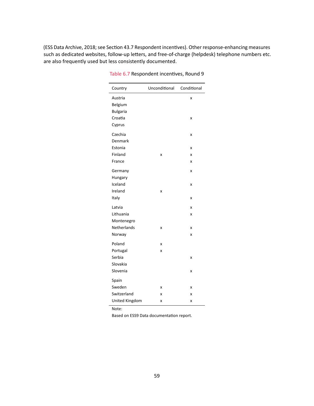<span id="page-63-0"></span>(ESS Data Archive, 2018; see Section 43.7 Respondent incentives). Other response-enhancing measures such as dedicated websites, follow-up letters, and free-of-charge (helpdesk) telephone numbers etc. are also frequently used but less consistently documented.

| Country         | Unconditional | Conditional |
|-----------------|---------------|-------------|
| Austria         |               | X           |
| Belgium         |               |             |
| <b>Bulgaria</b> |               |             |
| Croatia         |               | X           |
| Cyprus          |               |             |
| Czechia         |               | X           |
| Denmark         |               |             |
| Estonia         |               | X           |
| Finland         | X             | X           |
| France          |               | x           |
| Germany         |               | x           |
| Hungary         |               |             |
| Iceland         |               | x           |
| Ireland         | X             |             |
| Italy           |               | X           |
| Latvia          |               | X           |
| Lithuania       |               | X           |
| Montenegro      |               |             |
| Netherlands     | X             | X           |
| Norway          |               | x           |
| Poland          | X             |             |
| Portugal        | X             |             |
| Serbia          |               | X           |
| Slovakia        |               |             |
| Slovenia        |               | X           |
| Spain           |               |             |
| Sweden          | X             | X           |
| Switzerland     | X             | X           |
| United Kingdom  | X             | X           |

Table 6.7 Respondent incentives, Round 9

Note:

Based on ESS9 Data documentation report.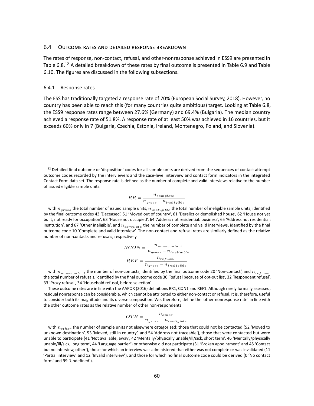#### <span id="page-64-0"></span>6.4 OUTCOME RATES AND DETAILED RESPONSE BREAKDOWN

<span id="page-64-2"></span>The rates of response, non-contact, refusal, and other-nonresponse achieved in ESS9 are presented in Table [6.8.](#page-65-0)<sup>[12](#page-64-1)</sup> A detailed breakdown of these rates by final outcome is presented in Table [6.9](#page-67-0) and Table [6.10.](#page-69-0) The figures are discussed in the following subsections.

#### 6.4.1 Response rates

The ESS has traditionally targeted a response rate of 70% (European Social Survey, 2018). However, no country has been able to reach this (for many countries quite ambitious) target. Looking at Table [6.8,](#page-65-0) the ESS9 response rates range between 27.6% (Germany) and 69.4% (Bulgaria). The median country achieved a response rate of 51.8%. A response rate of at least 50% was achieved in 16 countries, but it exceeds 60% only in 7 (Bulgaria, Czechia, Estonia, Ireland, Montenegro, Poland, and Slovenia).

$$
RR = \frac{n_{complete}}{n_{gross} - n_{ineligible}}
$$

with  $n_{gross}$  the total number of issued sample units,  $n_{ineligible}$  the total number of ineligible sample units, identified by the final outcome codes 43 'Deceased', 51 'Moved out of country', 61 'Derelict or demolished house', 62 'House not yet built, not ready for occupation', 63 'House not occupied', 64 'Address not residential: business', 65 'Address not residential: institution', and 67 'Other ineligible', and  $n_{complete}$  the number of complete and valid interviews, identified by the final outcome code 10 'Complete and valid interview'. The non-contact and refusal rates are similarly defined as the relative number of non-contacts and refusals, respectively.

$$
NCON = \frac{n_{non-contact}}{n_{gross} - n_{ineligible}}
$$
  

$$
REF = \frac{n_{refusal}}{n_{gross} - n_{ineligible}}
$$

with  $n_{non-contact}$  the number of non-contacts, identified by the final outcome code 20 'Non-contact', and  $n_{refusal}$ the total number of refusals, identified by the final outcome code 30 'Refusal because of opt-out list', 32 'Respondent refusal', 33 'Proxy refusal', 34 'Household refusal, before selection'.

These outcome rates are in line with the AAPOR (2016) definitions RR1, CON1 and REF1. Although rarely formally assessed, residual nonresponse can be considerable, which cannot be attributed to either non-contact or refusal. It is, therefore, useful to consider both its magnitude and its diverse composition. We, therefore, define the 'other-nonresponse rate' in line with the other outcome rates as the relative number of other non-respondents.

$$
OTH = \frac{n_{other}}{n_{gross} - n_{ineligible}}
$$

with  $n_{other}$  the number of sample units not elsewhere categorised: those that could not be contacted (52 'Moved to unknown destination', 53 'Moved, still in country', and 54 'Address not traceable'), those that were contacted but were unable to participate (41 'Not available, away', 42 'Mentally/physically unable/ill/sick, short term', 46 'Mentally/physically unable/ill/sick, long term', 44 'Language barrier') or otherwise did not participate (31 'Broken appointment' and 45 'Contact but no interview, other'), those for which an interview was administered that either was not complete or was invalidated (11 'Partial interview' and 12 'Invalid interview'), and those for which no final outcome code could be derived (0 'No contact form' and 99 'Undefined').

<span id="page-64-1"></span> $12$  Detailed final outcome or 'disposition' codes for all sample units are derived from the sequences of contact attempt outcome codes recorded by the interviewers and the case-level interview and contact form indicators in the integrated Contact Form data set. The response rate is defined as the number of complete and valid interviews relative to the number of issued eligible sample units.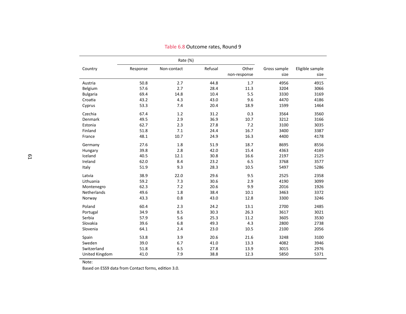|                 |          | Rate (%)    |         |                       |                      |                         |
|-----------------|----------|-------------|---------|-----------------------|----------------------|-------------------------|
| Country         | Response | Non-contact | Refusal | Other<br>non-response | Gross sample<br>size | Eligible sample<br>size |
| Austria         | 50.8     | 2.7         | 44.8    | 1.7                   | 4956                 | 4915                    |
| Belgium         | 57.6     | 2.7         | 28.4    | 11.3                  | 3204                 | 3066                    |
| <b>Bulgaria</b> | 69.4     | 14.8        | 10.4    | 5.5                   | 3330                 | 3169                    |
| Croatia         | 43.2     | 4.3         | 43.0    | 9.6                   | 4470                 | 4186                    |
| Cyprus          | 53.3     | 7.4         | 20.4    | 18.9                  | 1599                 | 1464                    |
| Czechia         | 67.4     | 1.2         | 31.2    | 0.3                   | 3564                 | 3560                    |
| <b>Denmark</b>  | 49.5     | 2.9         | 36.9    | 10.7                  | 3212                 | 3166                    |
| Estonia         | 62.7     | 2.3         | 27.8    | 7.2                   | 3100                 | 3035                    |
| Finland         | 51.8     | 7.1         | 24.4    | 16.7                  | 3400                 | 3387                    |
| France          | 48.1     | 10.7        | 24.9    | 16.3                  | 4400                 | 4178                    |
| Germany         | 27.6     | 1.8         | 51.9    | 18.7                  | 8695                 | 8556                    |
| Hungary         | 39.8     | 2.8         | 42.0    | 15.4                  | 4363                 | 4169                    |
| Iceland         | 40.5     | 12.1        | 30.8    | 16.6                  | 2197                 | 2125                    |
| Ireland         | 62.0     | 8.4         | 23.2    | 6.5                   | 3768                 | 3577                    |
| Italy           | 51.9     | 9.3         | 28.3    | 10.5                  | 5497                 | 5286                    |
| Latvia          | 38.9     | 22.0        | 29.6    | 9.5                   | 2525                 | 2358                    |
| Lithuania       | 59.2     | 7.3         | 30.6    | 2.9                   | 4190                 | 3099                    |
| Montenegro      | 62.3     | 7.2         | 20.6    | 9.9                   | 2016                 | 1926                    |
| Netherlands     | 49.6     | 1.8         | 38.4    | 10.1                  | 3463                 | 3372                    |
| Norway          | 43.3     | 0.8         | 43.0    | 12.8                  | 3300                 | 3246                    |
| Poland          | 60.4     | 2.3         | 24.2    | 13.1                  | 2700                 | 2485                    |
| Portugal        | 34.9     | 8.5         | 30.3    | 26.3                  | 3617                 | 3021                    |
| Serbia          | 57.9     | 5.6         | 25.3    | 11.2                  | 3605                 | 3530                    |
| Slovakia        | 39.6     | 6.8         | 49.3    | 4.3                   | 2800                 | 2738                    |
| Slovenia        | 64.1     | 2.4         | 23.0    | 10.5                  | 2100                 | 2056                    |
| Spain           | 53.8     | 3.9         | 20.6    | 21.6                  | 3248                 | 3100                    |
| Sweden          | 39.0     | 6.7         | 41.0    | 13.3                  | 4082                 | 3946                    |
| Switzerland     | 51.8     | 6.5         | 27.8    | 13.9                  | 3015                 | 2976                    |
| United Kingdom  | 41.0     | 7.9         | 38.8    | 12.3                  | 5850                 | 5371                    |

Table 6.8 Outcome rates, Round <sup>9</sup>

<span id="page-65-0"></span>Based on ESS9 data from Contact forms, edition 3.0.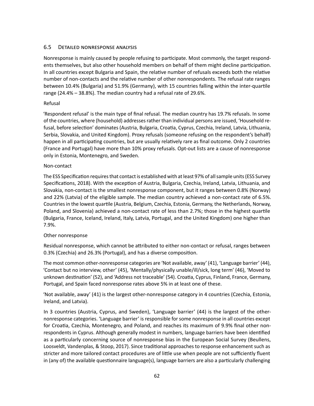# 6.5 DETAILED NONRESPONSE ANALYSIS

Nonresponse is mainly caused by people refusing to participate. Most commonly, the target respondents themselves, but also other household members on behalf of them might decline participation. In all countries except Bulgaria and Spain, the relative number of refusals exceeds both the relative number of non-contacts and the relative number of other nonrespondents. The refusal rate ranges between 10.4% (Bulgaria) and 51.9% (Germany), with 15 countries falling within the inter-quartile range (24.4% – 38.8%). The median country had a refusal rate of 29.6%.

# Refusal

'Respondent refusal' is the main type of final refusal. The median country has 19.7% refusals. In some of the countries, where (household) addresses rather than individual persons are issued, 'Household refusal, before selection' dominates (Austria, Bulgaria, Croatia, Cyprus, Czechia, Ireland, Latvia, Lithuania, Serbia, Slovakia, and United Kingdom). Proxy refusals (someone refusing on the respondent's behalf) happen in all participating countries, but are usually relatively rare as final outcome. Only 2 countries (France and Portugal) have more than 10% proxy refusals. Opt-out lists are a cause of nonresponse only in Estonia, Montenegro, and Sweden.

### Non-contact

The ESS Specification requires that contact is established with at least 97% of all sample units (ESS Survey Specifications, 2018). With the exception of Austria, Bulgaria, Czechia, Ireland, Latvia, Lithuania, and Slovakia, non-contact is the smallest nonresponse component, but it ranges between 0.8% (Norway) and 22% (Latvia) of the eligible sample. The median country achieved a non-contact rate of 6.5%. Countries in the lowest quartile (Austria, Belgium, Czechia, Estonia, Germany, the Netherlands, Norway, Poland, and Slovenia) achieved a non-contact rate of less than 2.7%; those in the highest quartile (Bulgaria, France, Iceland, Ireland, Italy, Latvia, Portugal, and the United Kingdom) one higher than 7.9%.

# Other nonresponse

Residual nonresponse, which cannot be attributed to either non-contact or refusal, ranges between 0.3% (Czechia) and 26.3% (Portugal), and has a diverse composition.

The most common other-nonresponse categories are 'Not available, away' (41), 'Language barrier' (44), 'Contact but no interview, other' (45), 'Mentally/physically unable/ill/sick, long term' (46), 'Moved to unknown destination' (52), and 'Address not traceable' (54). Croatia, Cyprus, Finland, France, Germany, Portugal, and Spain faced nonresponse rates above 5% in at least one of these.

'Not available, away' (41) is the largest other-nonresponse category in 4 countries (Czechia, Estonia, Ireland, and Latvia).

In 3 countries (Austria, Cyprus, and Sweden), 'Language barrier' (44) is the largest of the othernonresponse categories. 'Language barrier' is responsible for some nonresponse in all countries except for Croatia, Czechia, Montenegro, and Poland, and reaches its maximum of 9.9% final other nonrespondents in Cyprus. Although generally modest in numbers, language barriers have been identified as a particularly concerning source of nonresponse bias in the European Social Survey (Beullens, Loosveldt, Vandenplas, & Stoop, 2017). Since traditional approaches to response enhancement such as stricter and more tailored contact procedures are of little use when people are not sufficiently fluent in (any of) the available questionnaire language(s), language barriers are also a particularly challenging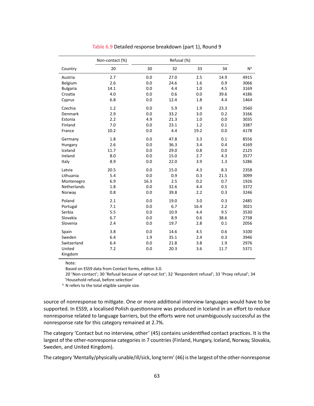<span id="page-67-0"></span>

|                 | Non-contact (%) |      |      |      |      |                |
|-----------------|-----------------|------|------|------|------|----------------|
| Country         | 20              | 30   | 32   | 33   | 34   | N <sup>a</sup> |
| Austria         | 2.7             | 0.0  | 27.0 | 2.5  | 14.9 | 4915           |
| Belgium         | 2.6             | 0.0  | 24.6 | 1.6  | 0.9  | 3066           |
| <b>Bulgaria</b> | 14.1            | 0.0  | 4.4  | 1.0  | 4.5  | 3169           |
| Croatia         | 4.0             | 0.0  | 0.6  | 0.0  | 39.6 | 4186           |
| Cyprus          | 6.8             | 0.0  | 12.4 | 1.8  | 4.4  | 1464           |
| Czechia         | 1.2             | 0.0  | 5.9  | 1.9  | 23.3 | 3560           |
| Denmark         | 2.9             | 0.0  | 33.2 | 3.0  | 0.2  | 3166           |
| Estonia         | 2.2             | 4.9  | 21.3 | 1.0  | 0.0  | 3035           |
| Finland         | 7.0             | 0.0  | 23.1 | 1.2  | 0.1  | 3387           |
| France          | 10.2            | 0.0  | 4.4  | 19.2 | 0.0  | 4178           |
| Germany         | 1.8             | 0.0  | 47.8 | 3.3  | 0.1  | 8556           |
| Hungary         | 2.6             | 0.0  | 36.3 | 3.4  | 0.4  | 4169           |
| Iceland         | 11.7            | 0.0  | 29.0 | 0.8  | 0.0  | 2125           |
| Ireland         | 8.0             | 0.0  | 15.0 | 2.7  | 4.3  | 3577           |
| Italy           | 8.9             | 0.0  | 22.0 | 3.9  | 1.3  | 5286           |
| Latvia          | 20.5            | 0.0  | 15.0 | 4.3  | 8.3  | 2358           |
| Lithuania       | 5.4             | 0.0  | 0.9  | 0.3  | 21.5 | 3099           |
| Montenegro      | 6.9             | 16.3 | 2.5  | 0.2  | 0.7  | 1926           |
| Netherlands     | 1.8             | 0.0  | 32.6 | 4.4  | 0.5  | 3372           |
| Norway          | 0.8             | 0.0  | 39.8 | 2.2  | 0.3  | 3246           |
| Poland          | 2.1             | 0.0  | 19.0 | 3.0  | 0.3  | 2485           |
| Portugal        | 7.1             | 0.0  | 6.7  | 16.4 | 2.2  | 3021           |
| Serbia          | 5.5             | 0.0  | 10.9 | 4.4  | 9.5  | 3530           |
| Slovakia        | 6.7             | 0.0  | 8.9  | 0.6  | 38.6 | 2738           |
| Slovenia        | 2.4             | 0.0  | 19.7 | 2.8  | 0.1  | 2056           |
| Spain           | 3.8             | 0.0  | 14.6 | 4.5  | 0.6  | 3100           |
| Sweden          | 6.4             | 1.9  | 35.1 | 2.4  | 0.3  | 3946           |
| Switzerland     | 6.4             | 0.0  | 21.8 | 3.8  | 1.9  | 2976           |
| United          | 7.2             | 0.0  | 20.3 | 3.6  | 11.7 | 5371           |
| Kingdom         |                 |      |      |      |      |                |

#### Table 6.9 Detailed response breakdown (part 1), Round 9

Note:

Based on ESS9 data from Contact forms, edition 3.0.

20 'Non-contact'; 30 'Refusal because of opt-out list'; 32 'Respondent refusal'; 33 'Proxy refusal'; 34 'Household refusal, before selection'

<sup>a</sup> N refers to the total eligible sample size.

source of nonresponse to mitigate. One or more additional interview languages would have to be supported. In ESS9, a localised Polish questionnaire was produced in Iceland in an effort to reduce nonresponse related to language barriers, but the efforts were not unambiguously successful as the nonresponse rate for this category remained at 2.7%.

The category 'Contact but no interview, other' (45) contains unidentified contact practices. It is the largest of the other-nonresponse categories in 7 countries (Finland, Hungary, Iceland, Norway, Slovakia, Sweden, and United Kingdom).

The category 'Mentally/physically unable/ill/sick, long term' (46) is the largest of the other-nonresponse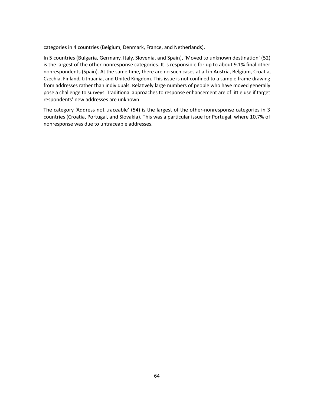categories in 4 countries (Belgium, Denmark, France, and Netherlands).

In 5 countries (Bulgaria, Germany, Italy, Slovenia, and Spain), 'Moved to unknown destination' (52) is the largest of the other-nonresponse categories. It is responsible for up to about 9.1% final other nonrespondents (Spain). At the same time, there are no such cases at all in Austria, Belgium, Croatia, Czechia, Finland, Lithuania, and United Kingdom. This issue is not confined to a sample frame drawing from addresses rather than individuals. Relatively large numbers of people who have moved generally pose a challenge to surveys. Traditional approaches to response enhancement are of little use if target respondents' new addresses are unknown.

The category 'Address not traceable' (54) is the largest of the other-nonresponse categories in 3 countries (Croatia, Portugal, and Slovakia). This was a particular issue for Portugal, where 10.7% of nonresponse was due to untraceable addresses.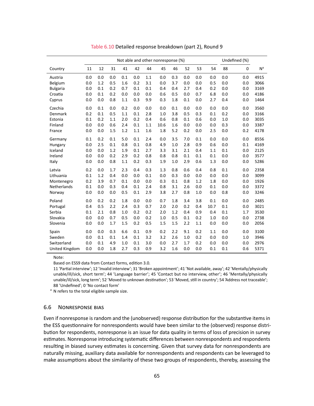<span id="page-69-0"></span>

|                 | Not able and other nonresponse (%) |     |     |     |     |     |      |     |     |     |      | Undefined (%) |     |                |
|-----------------|------------------------------------|-----|-----|-----|-----|-----|------|-----|-----|-----|------|---------------|-----|----------------|
| Country         | 11                                 | 12  | 31  | 41  | 42  | 44  | 45   | 46  | 52  | 53  | 54   | 88            | 0   | N <sup>a</sup> |
| Austria         | 0.0                                | 0.0 | 0.0 | 0.1 | 0.0 | 1.1 | 0.0  | 0.3 | 0.0 | 0.0 | 0.0  | 0.0           | 0.0 | 4915           |
| Belgium         | 0.0                                | 1.2 | 0.5 | 1.6 | 0.2 | 3.1 | 0.0  | 3.7 | 0.0 | 0.0 | 0.5  | 0.0           | 0.0 | 3066           |
| <b>Bulgaria</b> | 0.0                                | 0.1 | 0.2 | 0.7 | 0.1 | 0.1 | 0.4  | 0.4 | 2.7 | 0.4 | 0.2  | 0.0           | 0.0 | 3169           |
| Croatia         | 0.0                                | 0.1 | 0.2 | 0.0 | 0.0 | 0.0 | 0.6  | 0.5 | 0.0 | 0.7 | 6.8  | 0.0           | 0.0 | 4186           |
| Cyprus          | 0.0                                | 0.0 | 0.8 | 1.1 | 0.3 | 9.9 | 0.3  | 1.8 | 0.1 | 0.0 | 2.7  | 0.4           | 0.0 | 1464           |
| Czechia         | 0.0                                | 0.1 | 0.0 | 0.2 | 0.0 | 0.0 | 0.0  | 0.1 | 0.0 | 0.0 | 0.0  | 0.0           | 0.0 | 3560           |
| Denmark         | 0.2                                | 0.1 | 0.5 | 1.1 | 0.1 | 2.8 | 1.0  | 3.8 | 0.5 | 0.3 | 0.1  | 0.2           | 0.0 | 3166           |
| Estonia         | 0.1                                | 0.2 | 1.1 | 2.0 | 0.2 | 0.4 | 0.6  | 0.8 | 0.1 | 0.6 | 0.0  | 1.0           | 0.0 | 3035           |
| Finland         | 0.0                                | 0.0 | 0.6 | 2.4 | 0.1 | 1.1 | 10.6 | 1.6 | 0.0 | 0.0 | 0.0  | 0.3           | 0.0 | 3387           |
| France          | 0.0                                | 0.0 | 1.5 | 1.2 | 1.1 | 1.6 | 1.8  | 5.2 | 0.2 | 0.0 | 2.5  | 0.0           | 0.2 | 4178           |
| Germany         | 0.1                                | 0.2 | 0.1 | 5.0 | 0.1 | 2.4 | 0.0  | 3.5 | 7.0 | 0.1 | 0.0  | 0.0           | 0.0 | 8556           |
| Hungary         | 0.0                                | 2.5 | 0.1 | 0.8 | 0.1 | 0.8 | 4.9  | 1.0 | 2.8 | 0.9 | 0.6  | 0.0           | 0.1 | 4169           |
| Iceland         | 0.0                                | 0.0 | 1.2 | 1.9 | 0.1 | 2.7 | 3.3  | 3.1 | 2.1 | 0.4 | 1.1  | 0.1           | 0.0 | 2125           |
| Ireland         | 0.0                                | 0.0 | 0.2 | 2.9 | 0.2 | 0.8 | 0.8  | 0.8 | 0.1 | 0.1 | 0.1  | 0.0           | 0.0 | 3577           |
| Italy           | 0.0                                | 0.0 | 0.8 | 1.1 | 0.2 | 0.3 | 1.9  | 1.0 | 2.9 | 0.6 | 1.3  | 0.0           | 0.0 | 5286           |
| Latvia          | 0.2                                | 0.0 | 1.7 | 2.3 | 0.4 | 0.3 | 1.3  | 0.8 | 0.6 | 0.4 | 0.8  | 0.1           | 0.0 | 2358           |
| Lithuania       | 0.1                                | 1.2 | 0.4 | 0.0 | 0.0 | 0.1 | 0.0  | 0.3 | 0.0 | 0.0 | 0.0  | 0.0           | 0.0 | 3099           |
| Montenegro      | 0.2                                | 3.9 | 0.7 | 0.1 | 0.0 | 0.0 | 0.3  | 0.1 | 0.8 | 1.2 | 1.8  | 0.0           | 0.0 | 1926           |
| Netherlands     | 0.1                                | 0.0 | 0.3 | 0.4 | 0.1 | 2.4 | 0.8  | 3.1 | 2.6 | 0.0 | 0.1  | 0.0           | 0.0 | 3372           |
| Norway          | 0.0                                | 0.0 | 0.0 | 0.5 | 0.1 | 2.9 | 3.8  | 2.7 | 0.8 | 1.0 | 0.0  | 0.8           | 0.0 | 3246           |
| Poland          | 0.0                                | 0.2 | 0.2 | 1.8 | 0.0 | 0.0 | 0.7  | 1.8 | 3.4 | 3.8 | 0.1  | 0.0           | 0.0 | 2485           |
| Portugal        | 0.4                                | 0.5 | 2.2 | 2.4 | 0.3 | 0.7 | 2.0  | 2.0 | 0.2 | 0.4 | 10.7 | 0.1           | 0.0 | 3021           |
| Serbia          | 0.1                                | 2.1 | 0.8 | 1.0 | 0.2 | 0.2 | 2.0  | 1.2 | 0.4 | 0.9 | 0.4  | 0.1           | 1.7 | 3530           |
| Slovakia        | 0.0                                | 0.0 | 0.7 | 0.5 | 0.0 | 0.2 | 1.0  | 0.5 | 0.1 | 0.2 | 1.0  | 0.0           | 0.0 | 2738           |
| Slovenia        | 0.0                                | 0.0 | 1.7 | 1.5 | 0.2 | 0.5 | 1.5  | 1.5 | 2.2 | 1.1 | 0.0  | 0.0           | 0.0 | 2056           |
| Spain           | 0.0                                | 0.0 | 0.3 | 6.6 | 0.1 | 0.9 | 0.2  | 2.2 | 9.1 | 0.2 | 1.1  | 0.0           | 0.0 | 3100           |
| Sweden          | 0.0                                | 0.1 | 0.1 | 1.4 | 0.1 | 3.2 | 3.2  | 2.6 | 1.0 | 0.2 | 0.0  | 0.0           | 1.0 | 3946           |
| Switzerland     | 0.0                                | 0.1 | 4.9 | 1.0 | 0.1 | 3.0 | 0.0  | 2.7 | 1.7 | 0.2 | 0.0  | 0.0           | 0.0 | 2976           |
| United Kingdom  | 0.0                                | 0.0 | 1.8 | 2.7 | 0.3 | 0.9 | 3.2  | 1.6 | 0.0 | 0.0 | 0.1  | 0.1           | 0.6 | 5371           |

Table 6.10 Detailed response breakdown (part 2), Round 9

Based on ESS9 data from Contact forms, edition 3.0.

11 'Partial interview'; 12 'Invalid interview'; 31 'Broken appointment'; 41 'Not available, away'; 42 'Mentally/physically unable/ill/sick, short term'; 44 'Language barrier'; 45 'Contact but no interview, other'; 46 'Mentally/physically unable/ill/sick, long term'; 52 'Moved to unknown destination'; 53 'Moved, still in country'; 54 'Address not traceable'; 88 'Undefined'; 0 'No contact form'

<sup>a</sup> N refers to the total eligible sample size.

#### 6.6 NONRESPONSE BIAS

Even if nonresponse is random and the (unobserved) response distribution for the substantive items in the ESS questionnaire for nonrespondents would have been similar to the (observed) response distribution for respondents, nonresponse is an issue for data quality in terms of loss of precision in survey estimates. Nonresponse introducing systematic differences between nonrespondents and respondents resulting in biased survey estimates is concerning. Given that survey data for nonrespondents are naturally missing, auxiliary data available for nonrespondents and respondents can be leveraged to make assumptions about the similarity of these two groups of respondents, thereby, assessing the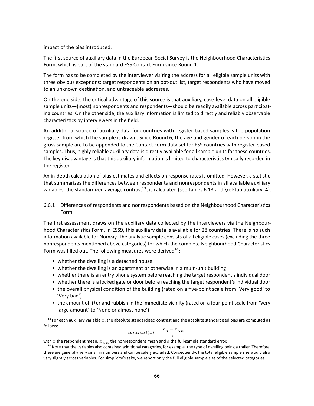impact of the bias introduced.

The first source of auxiliary data in the European Social Survey is the Neighbourhood Characteristics Form, which is part of the standard ESS Contact Form since Round 1.

The form has to be completed by the interviewer visiting the address for all eligible sample units with three obvious exceptions: target respondents on an opt-out list, target respondents who have moved to an unknown destination, and untraceable addresses.

On the one side, the critical advantage of this source is that auxiliary, case-level data on all eligible sample units—(most) nonrespondents and respondents—should be readily available across participating countries. On the other side, the auxiliary information is limited to directly and reliably observable characteristics by interviewers in the field.

An additional source of auxiliary data for countries with register-based samples is the population register from which the sample is drawn. Since Round 6, the age and gender of each person in the gross sample are to be appended to the Contact Form data set for ESS countries with register-based samples. Thus, highly reliable auxiliary data is directly available for all sample units for these countries. The key disadvantage is that this auxiliary information is limited to characteristics typically recorded in the register.

<span id="page-70-2"></span>An in-depth calculation of bias-estimates and effects on response rates is omitted. However, a statistic that summarizes the differences between respondents and nonrespondents in all available auxiliary variables, the standardized average contrast<sup>[13](#page-70-0)</sup>, is calculated (see Tables [6.13](#page-74-0) and \ref{tab:auxiliary 4).

# 6.6.1 Differences of respondents and nonrespondents based on the Neighbourhood Characteristics Form

The first assessment draws on the auxiliary data collected by the interviewers via the Neighbourhood Characteristics Form. In ESS9, this auxiliary data is available for 28 countries. There is no such information available for Norway. The analytic sample consists of all eligible cases (excluding the three nonrespondents mentioned above categories) for which the complete Neighbourhood Characteristics Form was filled out. The following measures were derived $14$ :

- whether the dwelling is a detached house
- whether the dwelling is an apartment or otherwise in a multi-unit building
- whether there is an entry phone system before reaching the target respondent's individual door
- whether there is a locked gate or door before reaching the target respondent's individual door
- the overall physical condition of the building (rated on a five-point scale from 'Very good' to 'Very bad')
- the amount of li†er and rubbish in the immediate vicinity (rated on a four-point scale from 'Very large amount' to 'None or almost none')

<span id="page-70-3"></span>
$$
contrast(x)=|\frac{\bar{x}_R-\bar{x}_{NR}}{s}|
$$

with  $\bar{x}$  the respondent mean,  $\bar{x}_{NR}$  the nonrespondent mean and s the full-sample standard error.

<span id="page-70-0"></span><sup>&</sup>lt;sup>[13](#page-70-2)</sup> For each auxiliary variable  $x$ , the absolute standardised contrast and the absolute standardised bias are computed as follows:

<span id="page-70-1"></span> $14$  Note that the variables also contained additional categories, for example, the type of dwelling being a trailer. Therefore, these are generally very small in numbers and can be safely excluded. Consequently, the total eligible sample size would also vary slightly across variables. For simplicity's sake, we report only the full eligible sample size of the selected categories.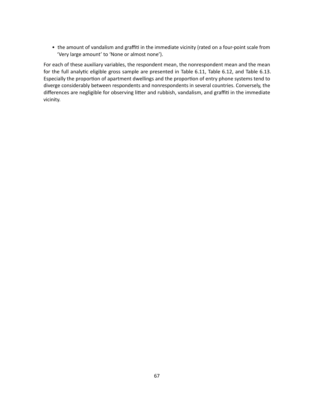• the amount of vandalism and graffiti in the immediate vicinity (rated on a four-point scale from 'Very large amount' to 'None or almost none').

For each of these auxiliary variables, the respondent mean, the nonrespondent mean and the mean for the full analytic eligible gross sample are presented in Table [6.11,](#page-72-0) Table [6.12,](#page-73-0) and Table [6.13.](#page-74-0) Especially the proportion of apartment dwellings and the proportion of entry phone systems tend to diverge considerably between respondents and nonrespondents in several countries. Conversely, the differences are negligible for observing litter and rubbish, vandalism, and graffiti in the immediate vicinity.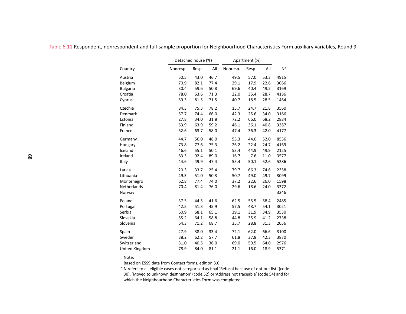|                    | Detached house (%) |       |      | Apartment (%) |       |      |                |
|--------------------|--------------------|-------|------|---------------|-------|------|----------------|
| Country            | Nonresp.           | Resp. | All  | Nonresp.      | Resp. | All  | N <sup>a</sup> |
| Austria            | 50.5               | 43.0  | 46.7 | 49.5          | 57.0  | 53.3 | 4915           |
| Belgium            | 70.9               | 82.1  | 77.4 | 29.1          | 17.9  | 22.6 | 3066           |
| <b>Bulgaria</b>    | 30.4               | 59.6  | 50.8 | 69.6          | 40.4  | 49.2 | 3169           |
| Croatia            | 78.0               | 63.6  | 71.3 | 22.0          | 36.4  | 28.7 | 4186           |
| Cyprus             | 59.3               | 81.5  | 71.5 | 40.7          | 18.5  | 28.5 | 1464           |
| Czechia            | 84.3               | 75.3  | 78.2 | 15.7          | 24.7  | 21.8 | 3560           |
| Denmark            | 57.7               | 74.4  | 66.0 | 42.3          | 25.6  | 34.0 | 3166           |
| Estonia            | 27.8               | 34.0  | 31.8 | 72.2          | 66.0  | 68.2 | 2884           |
| Finland            | 53.9               | 63.9  | 59.2 | 46.1          | 36.1  | 40.8 | 3387           |
| France             | 52.6               | 63.7  | 58.0 | 47.4          | 36.3  | 42.0 | 4177           |
| Germany            | 44.7               | 56.0  | 48.0 | 55.3          | 44.0  | 52.0 | 8556           |
| Hungary            | 73.8               | 77.6  | 75.3 | 26.2          | 22.4  | 24.7 | 4169           |
| Iceland            | 46.6               | 55.1  | 50.1 | 53.4          | 44.9  | 49.9 | 2125           |
| Ireland            | 83.3               | 92.4  | 89.0 | 16.7          | 7.6   | 11.0 | 3577           |
| Italy              | 44.6               | 49.9  | 47.4 | 55.4          | 50.1  | 52.6 | 5286           |
| Latvia             | 20.3               | 33.7  | 25.4 | 79.7          | 66.3  | 74.6 | 2358           |
| Lithuania          | 49.3               | 51.0  | 50.3 | 50.7          | 49.0  | 49.7 | 3099           |
| Montenegro         | 62.8               | 77.4  | 74.0 | 37.2          | 22.6  | 26.0 | 1598           |
| <b>Netherlands</b> | 70.4               | 81.4  | 76.0 | 29.6          | 18.6  | 24.0 | 3372           |
| Norway             |                    |       |      |               |       |      | 3246           |
| Poland             | 37.5               | 44.5  | 41.6 | 62.5          | 55.5  | 58.4 | 2485           |
| Portugal           | 42.5               | 51.3  | 45.9 | 57.5          | 48.7  | 54.1 | 3021           |
| Serbia             | 60.9               | 68.1  | 65.1 | 39.1          | 31.9  | 34.9 | 3530           |
| Slovakia           | 55.2               | 64.1  | 58.8 | 44.8          | 35.9  | 41.2 | 2738           |
| Slovenia           | 64.3               | 71.2  | 68.7 | 35.7          | 28.8  | 31.3 | 2056           |
| Spain              | 27.9               | 38.0  | 33.4 | 72.1          | 62.0  | 66.6 | 3100           |
| Sweden             | 38.2               | 62.2  | 57.7 | 61.8          | 37.8  | 42.3 | 3870           |
| Switzerland        | 31.0               | 40.5  | 36.0 | 69.0          | 59.5  | 64.0 | 2976           |
| United Kingdom     | 78.9               | 84.0  | 81.1 | 21.1          | 16.0  | 18.9 | 5371           |

Table 6.11 Respondent, nonrespondent and full-sample proportion for Neighbourhood Characteristics Form auxiliary variables, Round <sup>9</sup>

Based on ESS9 data from Contact forms, edition 3.0.

a N refers to all eligible cases not categorised as final 'Refusal because of opt-out list' (code هوا السهود ا<br>20) 'Moved to unknown destination' (code 52) or 'Address not traceable' (code 54) and for 30), 'Moved to unknown destination' (code 52) or 'Address not traceable' (code 54) and for which the Neighbourhood Characteristics Form was completed.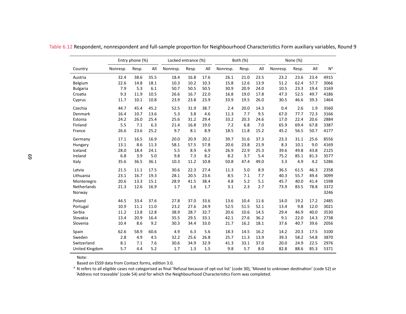|                    |          | Entry phone (%) |      |          | Locked entrance (%) |      |          | Both (%) |      |          | None (%) |      |                |
|--------------------|----------|-----------------|------|----------|---------------------|------|----------|----------|------|----------|----------|------|----------------|
| Country            | Nonresp. | Resp.           | All  | Nonresp. | Resp.               | All  | Nonresp. | Resp.    | All  | Nonresp. | Resp.    | All  | N <sup>a</sup> |
| Austria            | 32.4     | 38.6            | 35.5 | 18.4     | 16.8                | 17.6 | 26.1     | 21.0     | 23.5 | 23.2     | 23.6     | 23.4 | 4915           |
| Belgium            | 22.6     | 14.8            | 18.1 | 10.3     | 10.2                | 10.3 | 15.8     | 12.6     | 13.9 | 51.2     | 62.4     | 57.7 | 3066           |
| <b>Bulgaria</b>    | 7.9      | 5.3             | 6.1  | 50.7     | 50.5                | 50.5 | 30.9     | 20.9     | 24.0 | 10.5     | 23.3     | 19.4 | 3169           |
| Croatia            | 9.3      | 11.9            | 10.5 | 26.6     | 16.7                | 22.0 | 16.8     | 19.0     | 17.8 | 47.3     | 52.5     | 49.7 | 4186           |
| Cyprus             | 11.7     | 10.1            | 10.8 | 23.9     | 23.8                | 23.9 | 33.9     | 19.5     | 26.0 | 30.5     | 46.6     | 39.3 | 1464           |
| Czechia            | 44.7     | 45.4            | 45.2 | 52.5     | 31.9                | 38.7 | 2.4      | 20.0     | 14.3 | 0.4      | 2.6      | 1.9  | 3560           |
| Denmark            | 16.4     | 10.7            | 13.6 | 5.3      | 3.8                 | 4.6  | 11.3     | 7.7      | 9.5  | 67.0     | 77.7     | 72.3 | 3166           |
| Estonia            | 24.2     | 26.0            | 25.4 | 25.6     | 31.2                | 29.4 | 33.2     | 20.3     | 24.6 | 17.0     | 22.4     | 20.6 | 2884           |
| Finland            | 5.5      | 7.1             | 6.3  | 21.4     | 16.8                | 19.0 | 7.2      | 6.8      | 7.0  | 65.9     | 69.4     | 67.8 | 3387           |
| France             | 26.6     | 23.6            | 25.2 | 9.7      | 8.1                 | 8.9  | 18.5     | 11.8     | 15.2 | 45.2     | 56.5     | 50.7 | 4177           |
| Germany            | 17.1     | 16.5            | 16.9 | 20.0     | 20.9                | 20.2 | 39.7     | 31.6     | 37.3 | 23.3     | 31.1     | 25.6 | 8556           |
| Hungary            | 13.1     | 8.6             | 11.3 | 58.1     | 57.5                | 57.8 | 20.6     | 23.8     | 21.9 | 8.3      | 10.1     | 9.0  | 4169           |
| Iceland            | 28.0     | 18.4            | 24.1 | 5.5      | 8.9                 | 6.9  | 26.9     | 22.9     | 25.3 | 39.6     | 49.8     | 43.8 | 2125           |
| Ireland            | 6.8      | 3.9             | 5.0  | 9.8      | 7.3                 | 8.2  | 8.2      | 3.7      | 5.4  | 75.2     | 85.1     | 81.3 | 3577           |
| Italy              | 35.6     | 36.5            | 36.1 | 10.3     | 11.2                | 10.8 | 50.8     | 47.4     | 49.0 | 3.3      | 4.9      | 4.2  | 5286           |
| Latvia             | 21.5     | 11.1            | 17.5 | 30.6     | 22.3                | 27.4 | 11.3     | 5.0      | 8.9  | 36.5     | 61.5     | 46.3 | 2358           |
| Lithuania          | 23.1     | 16.7            | 19.3 | 28.1     | 20.5                | 23.6 | 8.5      | 7.1      | 7.7  | 40.3     | 55.7     | 49.4 | 3099           |
| Montenegro         | 20.6     | 13.3            | 15.1 | 28.9     | 41.5                | 38.4 | 4.8      | 5.2      | 5.1  | 45.7     | 40.0     | 41.4 | 1598           |
| <b>Netherlands</b> | 21.3     | 12.6            | 16.9 | 1.7      | 1.6                 | 1.7  | 3.1      | 2.3      | 2.7  | 73.9     | 83.5     | 78.8 | 3372           |
| Norway             |          |                 |      |          |                     |      |          |          |      |          |          |      | 3246           |
| Poland             | 44.5     | 33.4            | 37.6 | 27.8     | 37.0                | 33.6 | 13.6     | 10.4     | 11.6 | 14.0     | 19.2     | 17.2 | 2485           |
| Portugal           | 10.9     | 11.1            | 11.0 | 23.2     | 27.6                | 24.9 | 52.5     | 51.5     | 52.1 | 13.4     | 9.8      | 12.0 | 3021           |
| Serbia             | 11.2     | 13.8            | 12.8 | 38.9     | 28.7                | 32.7 | 20.6     | 10.6     | 14.5 | 29.4     | 46.9     | 40.0 | 3530           |
| Slovakia           | 13.4     | 20.9            | 16.4 | 35.5     | 29.5                | 33.1 | 42.1     | 27.6     | 36.2 | 9.1      | 22.0     | 14.3 | 2738           |
| Slovenia           | 10.4     | 8.6             | 9.2  | 30.3     | 34.4                | 33.0 | 21.7     | 16.2     | 18.1 | 37.6     | 40.7     | 39.6 | 2056           |
| Spain              | 62.6     | 58.9            | 60.6 | 4.9      | 6.3                 | 5.6  | 18.3     | 14.5     | 16.2 | 14.2     | 20.3     | 17.5 | 3100           |
| Sweden             | 2.8      | 4.9             | 4.5  | 32.2     | 25.6                | 26.8 | 25.7     | 11.3     | 13.9 | 39.3     | 58.2     | 54.8 | 3870           |
| Switzerland        | 8.1      | 7.1             | 7.6  | 30.6     | 34.9                | 32.9 | 41.3     | 33.1     | 37.0 | 20.0     | 24.9     | 22.5 | 2976           |
| United Kingdom     | 5.7      | 4.4             | 5.2  | 1.7      | 1.3                 | 1.5  | 9.8      | 5.7      | 8.0  | 82.8     | 88.6     | 85.3 | 5371           |

Table 6.12 Respondent, nonrespondent and full-sample proportion for Neighbourhood Characteristics Form auxiliary variables, Round <sup>9</sup>

Based on ESS9 data from Contact forms, edition 3.0.

<sup>a</sup> N refers to all eligible cases not categorised as final 'Refusal because of opt-out list' (code 30), 'Moved to unknown destination' (code 52) or<br>Modress not traceable' (code 54) and for which the Neighbourbood Characte 'Address not traceable' (code 54) and for which the Neighbourhood Characteristics Form was completed.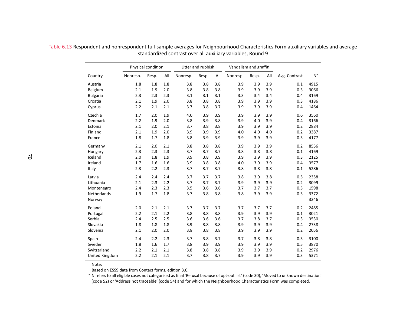|                 |          | Physical condition |     | Litter and rubbish |       |     | Vandalism and graffiti |       |     |               |                |
|-----------------|----------|--------------------|-----|--------------------|-------|-----|------------------------|-------|-----|---------------|----------------|
| Country         | Nonresp. | Resp.              | All | Nonresp.           | Resp. | All | Nonresp.               | Resp. | All | Avg. Contrast | N <sup>a</sup> |
| Austria         | 1.8      | 1.8                | 1.8 | 3.8                | 3.8   | 3.8 | 3.9                    | 3.9   | 3.9 | 0.1           | 4915           |
| Belgium         | 2.1      | 1.9                | 2.0 | 3.8                | 3.8   | 3.8 | 3.9                    | 3.9   | 3.9 | 0.3           | 3066           |
| <b>Bulgaria</b> | 2.3      | 2.3                | 2.3 | 3.1                | 3.1   | 3.1 | 3.3                    | 3.4   | 3.4 | 0.4           | 3169           |
| Croatia         | 2.1      | 1.9                | 2.0 | 3.8                | 3.8   | 3.8 | 3.9                    | 3.9   | 3.9 | 0.3           | 4186           |
| Cyprus          | 2.2      | 2.1                | 2.1 | 3.7                | 3.8   | 3.7 | 3.9                    | 3.9   | 3.9 | 0.4           | 1464           |
| Czechia         | 1.7      | 2.0                | 1.9 | 4.0                | 3.9   | 3.9 | 3.9                    | 3.9   | 3.9 | 0.6           | 3560           |
| Denmark         | 2.2      | 1.9                | 2.0 | 3.8                | 3.9   | 3.8 | 3.9                    | 4.0   | 3.9 | 0.4           | 3166           |
| Estonia         | 2.1      | 2.0                | 2.1 | 3.7                | 3.8   | 3.8 | 3.9                    | 3.9   | 3.9 | 0.2           | 2884           |
| Finland         | 2.1      | 1.9                | 2.0 | 3.9                | 3.9   | 3.9 | 4.0                    | 4.0   | 4.0 | 0.2           | 3387           |
| France          | 1.8      | 1.7                | 1.8 | 3.8                | 3.9   | 3.9 | 3.9                    | 3.9   | 3.9 | 0.3           | 4177           |
| Germany         | 2.1      | 2.0                | 2.1 | 3.8                | 3.8   | 3.8 | 3.9                    | 3.9   | 3.9 | 0.2           | 8556           |
| Hungary         | 2.3      | 2.3                | 2.3 | 3.7                | 3.7   | 3.7 | 3.8                    | 3.8   | 3.8 | 0.1           | 4169           |
| Iceland         | 2.0      | 1.8                | 1.9 | 3.9                | 3.8   | 3.9 | 3.9                    | 3.9   | 3.9 | 0.3           | 2125           |
| Ireland         | 1.7      | 1.6                | 1.6 | 3.9                | 3.8   | 3.8 | 4.0                    | 3.9   | 3.9 | 0.4           | 3577           |
| Italy           | 2.3      | 2.2                | 2.3 | 3.7                | 3.7   | 3.7 | 3.8                    | 3.8   | 3.8 | 0.1           | 5286           |
| Latvia          | 2.4      | 2.4                | 2.4 | 3.7                | 3.7   | 3.7 | 3.8                    | 3.9   | 3.8 | 0.5           | 2358           |
| Lithuania       | 2.1      | 2.3                | 2.2 | 3.7                | 3.7   | 3.7 | 3.9                    | 3.9   | 3.9 | 0.2           | 3099           |
| Montenegro      | 2.4      | 2.3                | 2.3 | 3.5                | 3.6   | 3.6 | 3.7                    | 3.7   | 3.7 | 0.3           | 1598           |
| Netherlands     | 1.9      | 1.7                | 1.8 | 3.7                | 3.8   | 3.8 | 3.8                    | 3.9   | 3.9 | 0.3           | 3372           |
| Norway          |          |                    |     |                    |       |     |                        |       |     |               | 3246           |
| Poland          | 2.0      | 2.1                | 2.1 | 3.7                | 3.7   | 3.7 | 3.7                    | 3.7   | 3.7 | 0.2           | 2485           |
| Portugal        | 2.2      | 2.1                | 2.2 | 3.8                | 3.8   | 3.8 | 3.9                    | 3.9   | 3.9 | 0.1           | 3021           |
| Serbia          | 2.4      | 2.5                | 2.5 | 3.6                | 3.6   | 3.6 | 3.7                    | 3.8   | 3.7 | 0.3           | 3530           |
| Slovakia        | 1.8      | 1.8                | 1.8 | 3.9                | 3.8   | 3.8 | 3.9                    | 3.9   | 3.9 | 0.4           | 2738           |
| Slovenia        | 2.1      | 2.0                | 2.0 | 3.8                | 3.8   | 3.8 | 3.9                    | 3.9   | 3.9 | 0.2           | 2056           |
| Spain           | 2.4      | 2.2                | 2.3 | 3.7                | 3.8   | 3.7 | 3.7                    | 3.8   | 3.8 | 0.3           | 3100           |
| Sweden          | 1.8      | 1.6                | 1.7 | 3.8                | 3.9   | 3.9 | 3.9                    | 3.9   | 3.9 | 0.5           | 3870           |
| Switzerland     | 2.2      | 2.1                | 2.1 | 3.8                | 3.8   | 3.8 | 3.9                    | 3.9   | 3.9 | 0.2           | 2976           |
| United Kingdom  | 2.2      | 2.1                | 2.1 | 3.7                | 3.8   | 3.7 | 3.9                    | 3.9   | 3.9 | 0.3           | 5371           |

Table 6.13 Respondent and nonrespondent full-sample averages for Neighbourhood Characteristics Form auxiliary variables and average standardized contrast over all auxiliary variables, Round <sup>9</sup>

Note:

Based on ESS9 data from Contact forms, edition 3.0.

 $^{\rm a}$  N refers to all eligible cases not categorised as final 'Refusal because of opt-out list' (code 30), 'Moved to unknown destination'<br>Code 52) or 'Address not traceable' (code 54) and for which the Neighbourbood Cha (code 52) or 'Address not traceable' (code 54) and for which the Neighbourhood Characteristics Form was completed.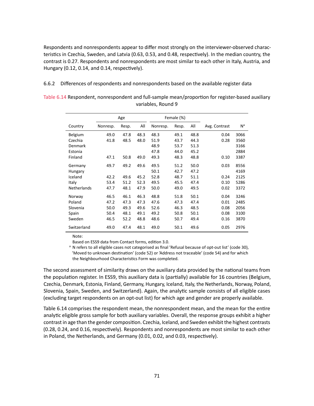Respondents and nonrespondents appear to differ most strongly on the interviewer-observed characteristics in Czechia, Sweden, and Latvia (0.63, 0.53, and 0.48, respectively). In the median country, the contrast is 0.27. Respondents and nonrespondents are most similar to each other in Italy, Austria, and Hungary (0.12, 0.14, and 0.14, respectively).

6.6.2 Differences of respondents and nonrespondents based on the available register data

<span id="page-75-0"></span>

| Table 6.14 Respondent, nonrespondent and full-sample mean/proportion for register-based auxiliary |  |
|---------------------------------------------------------------------------------------------------|--|
| variables. Round 9                                                                                |  |

|                    | Age      |       |      | Female (%) |       |      |               |                |
|--------------------|----------|-------|------|------------|-------|------|---------------|----------------|
| Country            | Nonresp. | Resp. | All  | Nonresp.   | Resp. | All  | Avg. Contrast | N <sup>a</sup> |
| Belgium            | 49.0     | 47.8  | 48.3 | 48.3       | 49.1  | 48.8 | 0.04          | 3066           |
| Czechia            | 41.8     | 48.5  | 48.0 | 51.9       | 43.7  | 44.3 | 0.28          | 3560           |
| Denmark            |          |       |      | 48.9       | 53.7  | 51.3 |               | 3166           |
| Estonia            |          |       |      | 47.8       | 44.0  | 45.2 |               | 2884           |
| Finland            | 47.1     | 50.8  | 49.0 | 49.3       | 48.3  | 48.8 | 0.10          | 3387           |
| Germany            | 49.7     | 49.2  | 49.6 | 49.5       | 51.2  | 50.0 | 0.03          | 8556           |
| Hungary            |          |       |      | 50.1       | 42.7  | 47.2 |               | 4169           |
| Iceland            | 42.2     | 49.6  | 45.2 | 52.8       | 48.7  | 51.1 | 0.24          | 2125           |
| Italy              | 53.4     | 51.2  | 52.3 | 49.5       | 45.5  | 47.4 | 0.10          | 5286           |
| <b>Netherlands</b> | 47.7     | 48.1  | 47.9 | 50.0       | 49.0  | 49.5 | 0.02          | 3372           |
| Norway             | 46.5     | 46.1  | 46.3 | 48.8       | 51.8  | 50.1 | 0.04          | 3246           |
| Poland             | 47.2     | 47.3  | 47.3 | 47.6       | 47.3  | 47.4 | 0.01          | 2485           |
| Slovenia           | 50.0     | 49.3  | 49.6 | 52.6       | 46.3  | 48.5 | 0.08          | 2056           |
| Spain              | 50.4     | 48.1  | 49.1 | 49.2       | 50.8  | 50.1 | 0.08          | 3100           |
| Sweden             | 46.5     | 52.2  | 48.8 | 48.6       | 50.7  | 49.4 | 0.16          | 3870           |
| Switzerland        | 49.0     | 47.4  | 48.1 | 49.0       | 50.1  | 49.6 | 0.05          | 2976           |

Note:

Based on ESS9 data from Contact forms, edition 3.0.

<sup>a</sup> N refers to all eligible cases not categorised as final 'Refusal because of opt-out list' (code 30), 'Moved to unknown destination' (code 52) or 'Address not traceable' (code 54) and for which the Neighbourhood Characteristics Form was completed.

The second assessment of similarity draws on the auxiliary data provided by the national teams from the population register. In ESS9, this auxiliary data is (partially) available for 16 countries (Belgium, Czechia, Denmark, Estonia, Finland, Germany, Hungary, Iceland, Italy, the Netherlands, Norway, Poland, Slovenia, Spain, Sweden, and Switzerland). Again, the analytic sample consists of all eligible cases (excluding target respondents on an opt-out list) for which age and gender are properly available.

Table [6.14](#page-75-0) comprises the respondent mean, the nonrespondent mean, and the mean for the entire analytic eligible gross sample for both auxiliary variables. Overall, the response groups exhibit a higher contrast in age than the gender composition. Czechia, Iceland, and Sweden exhibit the highest contrasts (0.28, 0.24, and 0.16, respectively). Respondents and nonrespondents are most similar to each other in Poland, the Netherlands, and Germany (0.01, 0.02, and 0.03, respectively).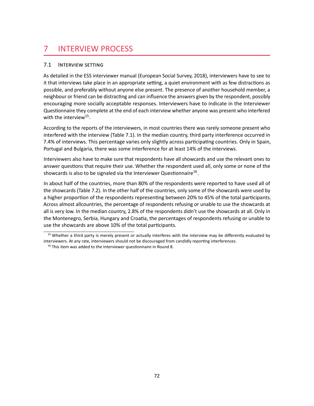# 7 INTERVIEW PROCESS

### 7.1 INTERVIEW SETTING

As detailed in the ESS interviewer manual (European Social Survey, 2018), interviewers have to see to it that interviews take place in an appropriate setting, a quiet environment with as few distractions as possible, and preferably without anyone else present. The presence of another household member, a neighbour or friend can be distracting and can influence the answers given by the respondent, possibly encouraging more socially acceptable responses. Interviewers have to indicate in the Interviewer Questionnaire they complete at the end of each interview whether anyone was present who interfered with the interview<sup>[15](#page-76-0)</sup>.

<span id="page-76-2"></span>According to the reports of the interviewers, in most countries there was rarely someone present who interfered with the interview (Table [7.1\)](#page-77-0). In the median country, third party interference occurred in 7.4% of interviews. This percentage varies only slightly across participating countries. Only in Spain, Portugal and Bulgaria, there was some interference for at least 14% of the interviews.

<span id="page-76-3"></span>Interviewers also have to make sure that respondents have all showcards and use the relevant ones to answer questions that require their use. Whether the respondent used all, only some or none of the showcards is also to be signaled via the Interviewer Questionnaire<sup>[16](#page-76-1)</sup>.

In about half of the countries, more than 80% of the respondents were reported to have used all of the showcards (Table [7.2\)](#page-78-0). In the other half of the countries, only some of the showcards were used by a higher proportion of the respondents representing between 20% to 45% of the total participants. Across almost allcountries, the percentage of respondents refusing or unable to use the showcards at all is very low. In the median country, 2.8% of the respondents didn't use the showcards at all. Only in the Montenegro, Serbia, Hungary and Croatia, the percentages of respondents refusing or unable to use the showcards are above 10% of the total participants.

<span id="page-76-0"></span> $15$  Whether a third party is merely present or actually interferes with the interview may be differently evaluated by interviewers. At any rate, interviewers should not be discouraged from candidly reporting interferences.

<span id="page-76-1"></span><sup>&</sup>lt;sup>[16](#page-76-3)</sup> This item was added to the Interviewer questionnaire in Round 8.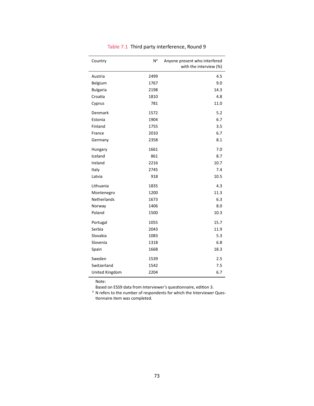<span id="page-77-0"></span>

| Country         | N <sup>a</sup> | Anyone present who interfered<br>with the interview (%) |
|-----------------|----------------|---------------------------------------------------------|
| Austria         | 2499           | 4.5                                                     |
| Belgium         | 1767           | 9.0                                                     |
| <b>Bulgaria</b> | 2198           | 14.3                                                    |
| Croatia         | 1810           | 4.8                                                     |
| Cyprus          | 781            | 11.0                                                    |
| Denmark         | 1572           | 5.2                                                     |
| Estonia         | 1904           | 6.7                                                     |
| Finland         | 1755           | 3.5                                                     |
| France          | 2010           | 6.7                                                     |
| Germany         | 2358           | 8.1                                                     |
| Hungary         | 1661           | 7.0                                                     |
| Iceland         | 861            | 8.7                                                     |
| Ireland         | 2216           | 10.7                                                    |
| Italy           | 2745           | 7.4                                                     |
| Latvia          | 918            | 10.5                                                    |
| Lithuania       | 1835           | 4.3                                                     |
| Montenegro      | 1200           | 11.3                                                    |
| Netherlands     | 1673           | 6.3                                                     |
| Norway          | 1406           | 8.0                                                     |
| Poland          | 1500           | 10.3                                                    |
| Portugal        | 1055           | 15.7                                                    |
| Serbia          | 2043           | 11.9                                                    |
| Slovakia        | 1083           | 5.3                                                     |
| Slovenia        | 1318           | 6.8                                                     |
| Spain           | 1668           | 18.3                                                    |
| Sweden          | 1539           | 2.5                                                     |
| Switzerland     | 1542           | 7.5                                                     |
| United Kingdom  | 2204           | 6.7                                                     |

### Table 7.1 Third party interference, Round 9

Note:

Based on ESS9 data from Interviewer's questionnaire, edition 3.

<sup>a</sup> N refers to the number of respondents for which the Interviewer Questionnaire item was completed.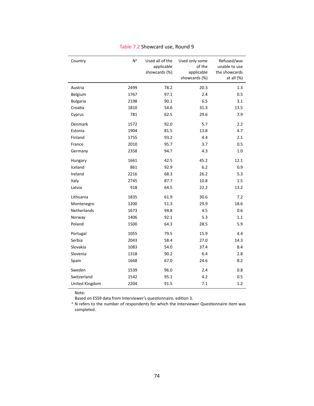<span id="page-78-0"></span>

| Country         | N <sup>a</sup> | Used all of the<br>applicable<br>showcards (%) | Used only some<br>of the<br>applicable<br>showcards (%) | Refused/was<br>unable to use<br>the showcards<br>at all $(\%)$ |
|-----------------|----------------|------------------------------------------------|---------------------------------------------------------|----------------------------------------------------------------|
| Austria         | 2499           | 78.2                                           | 20.3                                                    | 1.3                                                            |
| Belgium         | 1767           | 97.1                                           | 2.4                                                     | 0.5                                                            |
| <b>Bulgaria</b> | 2198           | 90.1                                           | 6.5                                                     | 3.1                                                            |
| Croatia         | 1810           | 54.6                                           | 31.3                                                    | 13.5                                                           |
| Cyprus          | 781            | 62.5                                           | 29.6                                                    | 7.9                                                            |
| Denmark         | 1572           | 92.0                                           | 5.7                                                     | 2.2                                                            |
| Estonia         | 1904           | 81.5                                           | 13.8                                                    | 4.7                                                            |
| Finland         | 1755           | 93.2                                           | 4.4                                                     | 2.1                                                            |
| France          | 2010           | 95.7                                           | 3.7                                                     | 0.5                                                            |
| Germany         | 2358           | 94.7                                           | 4.3                                                     | 1.0                                                            |
| Hungary         | 1661           | 42.5                                           | 45.2                                                    | 12.1                                                           |
| Iceland         | 861            | 92.9                                           | 6.2                                                     | 0.9                                                            |
| Ireland         | 2216           | 68.3                                           | 26.2                                                    | 5.3                                                            |
| Italy           | 2745           | 87.7                                           | 10.8                                                    | 1.5                                                            |
| Latvia          | 918            | 64.5                                           | 22.2                                                    | 13.2                                                           |
| Lithuania       | 1835           | 61.9                                           | 30.6                                                    | 7.2                                                            |
| Montenegro      | 1200           | 51.3                                           | 29.9                                                    | 18.6                                                           |
| Netherlands     | 1673           | 94.8                                           | 4.5                                                     | 0.6                                                            |
| Norway          | 1406           | 92.1                                           | 5.3                                                     | 1.1                                                            |
| Poland          | 1500           | 64.3                                           | 28.5                                                    | 5.9                                                            |
| Portugal        | 1055           | 79.5                                           | 15.9                                                    | 4.4                                                            |
| Serbia          | 2043           | 58.4                                           | 27.0                                                    | 14.3                                                           |
| Slovakia        | 1083           | 54.0                                           | 37.4                                                    | 8.4                                                            |
| Slovenia        | 1318           | 90.2                                           | 6.4                                                     | 2.8                                                            |
| Spain           | 1668           | 67.0                                           | 24.6                                                    | 8.2                                                            |
| Sweden          | 1539           | 96.0                                           | 2.4                                                     | 0.8                                                            |
| Switzerland     | 1542           | 95.1                                           | 4.2                                                     | 0.5                                                            |
| United Kingdom  | 2204           | 91.5                                           | 7.1                                                     | 1.2                                                            |

#### Table 7.2 Showcard use, Round 9

Note:

Based on ESS9 data from Interviewer's questionnaire, edition 3.

<sup>a</sup> N refers to the number of respondents for which the Interviewer Questionnaire item was completed.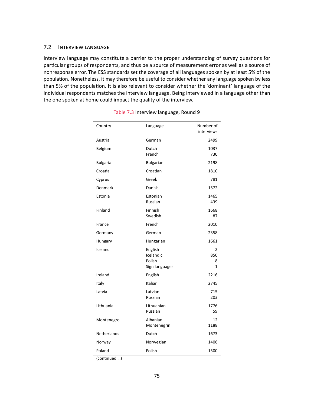#### 7.2 INTERVIEW LANGUAGE

<span id="page-79-0"></span>Interview language may constitute a barrier to the proper understanding of survey questions for particular groups of respondents, and thus be a source of measurement error as well as a source of nonresponse error. The ESS standards set the coverage of all languages spoken by at least 5% of the population. Nonetheless, it may therefore be useful to consider whether any language spoken by less than 5% of the population. It is also relevant to consider whether the 'dominant' language of the individual respondents matches the interview language. Being interviewed in a language other than the one spoken at home could impact the quality of the interview.

| Country         | Language                                         | Number of<br>interviews |
|-----------------|--------------------------------------------------|-------------------------|
| Austria         | German                                           | 2499                    |
| Belgium         | Dutch<br>French                                  | 1037<br>730             |
| <b>Bulgaria</b> | <b>Bulgarian</b>                                 | 2198                    |
| Croatia         | Croatian                                         | 1810                    |
| Cyprus          | Greek                                            | 781                     |
| Denmark         | Danish                                           | 1572                    |
| Estonia         | Estonian<br>Russian                              | 1465<br>439             |
| Finland         | Finnish<br>Swedish                               | 1668<br>87              |
| France          | French                                           | 2010                    |
| Germany         | German                                           | 2358                    |
| Hungary         | Hungarian                                        | 1661                    |
| Iceland         | English<br>Icelandic<br>Polish<br>Sign languages | 2<br>850<br>8<br>1      |
| Ireland         | English                                          | 2216                    |
| Italy           | Italian                                          | 2745                    |
| Latvia          | Latvian<br>Russian                               | 715<br>203              |
| Lithuania       | Lithuanian<br>Russian                            | 1776<br>59              |
| Montenegro      | Albanian<br>Montenegrin                          | 12<br>1188              |
| Netherlands     | Dutch                                            | 1673                    |
| Norway          | Norwegian                                        | 1406                    |
| Poland          | Polish                                           | 1500                    |

| Table 7.3 Interview language, Round 9 |  |
|---------------------------------------|--|
|---------------------------------------|--|

(continued …)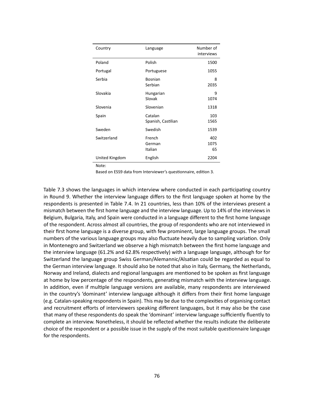| Country        | Language                      | Number of<br>interviews |
|----------------|-------------------------------|-------------------------|
| Poland         | Polish                        | 1500                    |
| Portugal       | Portuguese                    | 1055                    |
| Serbia         | <b>Bosnian</b><br>Serbian     | 8<br>2035               |
| Slovakia       | Hungarian<br>Slovak           | 9<br>1074               |
| Slovenia       | Slovenian                     | 1318                    |
| Spain          | Catalan<br>Spanish, Castilian | 103<br>1565             |
| Sweden         | Swedish                       | 1539                    |
| Switzerland    | French<br>German<br>Italian   | 402<br>1075<br>65       |
| United Kingdom | English                       | 2204                    |

Based on ESS9 data from Interviewer's questionnaire, edition 3.

Table [7.3](#page-79-0) shows the languages in which interview where conducted in each participating country in Round 9. Whether the interview language differs to the first language spoken at home by the respondents is presented in Table [7.4.](#page-81-0) In 21 countries, less than 10% of the interviews present a mismatch between the first home language and the interview language. Up to 14% of the interviews in Belgium, Bulgaria, Italy, and Spain were conducted in a language different to the first home language of the respondent. Across almost all countries, the group of respondents who are not interviewed in their first home language is a diverse group, with few prominent, large language groups. The small numbers of the various language groups may also fluctuate heavily due to sampling variation. Only in Montenegro and Switzerland we observe a high mismatch between the first home language and the interview language (61.2% and 62.8% respectively) with a language language, although for for Switzerland the language group Swiss German/Alemannic/Alsatian could be regarded as equal to the German interview language. It should also be noted that also in Italy, Germany, the Netherlands, Norway and Ireland, dialects and regional languages are mentioned to be spoken as first language at home by low percentage of the respondents, generating mismatch with the interview language. In addition, even if multiple language versions are available, many respondents are interviewed in the country's 'dominant' interview language although it differs from their first home language (e.g. Catalan-speaking respondents in Spain). This may be due to the complexities of organising contact and recruitment efforts of interviewers speaking different languages, but it may also be the case that many of these respondents do speak the 'dominant' interview language sufficiently fluently to complete an interview. Nonetheless, it should be reflected whether the results indicate the deliberate choice of the respondent or a possible issue in the supply of the most suitable questionnaire language for the respondents.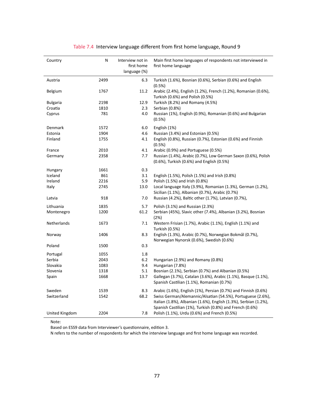<span id="page-81-0"></span>

| Country         | N<br>Interview not in<br>first home<br>language (%) |      | Main first home languages of respondents not interviewed in<br>first home language                                                                                                          |
|-----------------|-----------------------------------------------------|------|---------------------------------------------------------------------------------------------------------------------------------------------------------------------------------------------|
| Austria         | 2499                                                | 6.3  | Turkish (1.6%), Bosnian (0.6%), Serbian (0.6%) and English                                                                                                                                  |
|                 |                                                     |      | (0.5%)                                                                                                                                                                                      |
| Belgium         | 1767                                                | 11.2 | Arabic (2.4%), English (1.2%), French (1.2%), Romanian (0.6%),<br>Turkish (0.6%) and Polish (0.5%)                                                                                          |
| <b>Bulgaria</b> | 2198                                                | 12.9 | Turkish (8.2%) and Romany (4.5%)                                                                                                                                                            |
| Croatia         | 1810                                                | 2.3  | Serbian (0.8%)                                                                                                                                                                              |
| Cyprus          | 781                                                 | 4.0  | Russian (1%), English (0.9%), Romanian (0.6%) and Bulgarian<br>$(0.5\%)$                                                                                                                    |
| Denmark         | 1572                                                | 6.0  | English (1%)                                                                                                                                                                                |
| Estonia         | 1904                                                | 4.6  | Russian (3.4%) and Estonian (0.5%)                                                                                                                                                          |
| Finland         | 1755                                                | 4.1  | English (0.8%), Russian (0.7%), Estonian (0.6%) and Finnish<br>(0.5%)                                                                                                                       |
| France          | 2010                                                | 4.1  | Arabic (0.9%) and Portuguese (0.5%)                                                                                                                                                         |
| Germany         | 2358                                                | 7.7  | Russian (1.4%), Arabic (0.7%), Low German Saxon (0.6%), Polish<br>(0.6%), Turkish (0.6%) and English (0.5%)                                                                                 |
| Hungary         | 1661                                                | 0.3  |                                                                                                                                                                                             |
| Iceland         | 861                                                 | 3.1  | English (1.5%), Polish (1.5%) and Irish (0.8%)                                                                                                                                              |
| Ireland         | 2216                                                | 5.9  | Polish (1.5%) and Irish (0.8%)                                                                                                                                                              |
| Italy           | 2745                                                | 13.0 | Local language Italy (3.9%), Romanian (1.3%), German (1.2%),<br>Sicilian (1.1%), Albanian (0.7%), Arabic (0.7%)                                                                             |
| Latvia          | 918                                                 | 7.0  | Russian (4.2%), Baltic other (1.7%), Latvian (0.7%),                                                                                                                                        |
| Lithuania       | 1835                                                | 5.7  | Polish (3.1%) and Russian (2.3%)                                                                                                                                                            |
| Montenegro      | 1200                                                | 61.2 | Serbian (45%), Slavic other (7.4%), Albanian (3.2%), Bosnian<br>(2%)                                                                                                                        |
| Netherlands     | 1673                                                | 7.1  | Western Frisian (1.7%), Arabic (1.1%), English (1.1%) and<br>Turkish (0.5%)                                                                                                                 |
| Norway          | 1406                                                | 8.3  | English (1.3%), Arabic (0.7%), Norwegian Bokmål (0.7%),<br>Norwegian Nynorsk (0.6%), Swedish (0.6%)                                                                                         |
| Poland          | 1500                                                | 0.3  |                                                                                                                                                                                             |
| Portugal        | 1055                                                | 1.8  |                                                                                                                                                                                             |
| Serbia          | 2043                                                | 6.2  | Hungarian (2.9%) and Romany (0.8%)                                                                                                                                                          |
| Slovakia        | 1083                                                | 9.4  | Hungarian (7.8%)                                                                                                                                                                            |
| Slovenia        | 1318                                                | 5.1  | Bosnian (2.1%), Serbian (0.7%) and Albanian (0.5%)                                                                                                                                          |
| Spain           | 1668                                                | 13.7 | Gallegan (3.7%), Catalan (3.6%), Arabic (1.1%), Basque (1.1%),<br>Spanish Castilian (1.1%), Romanian (0.7%)                                                                                 |
| Sweden          | 1539                                                | 8.3  | Arabic (1.6%), English (1%), Persian (0.7%) and Finnish (0.6%)                                                                                                                              |
| Switzerland     | 1542                                                | 68.2 | Swiss German/Alemannic/Alsatian (54.5%), Portuguese (2.6%),<br>Italian (1.8%), Albanian (1.6%), English (1.3%), Serbian (1.2%),<br>Spanish Castilian (1%), Turkish (0.8%) and French (0.6%) |
| United Kingdom  | 2204                                                | 7.8  | Polish (1.1%), Urdu (0.6%) and French (0.5%)                                                                                                                                                |

#### Table 7.4 Interview language different from first home language, Round 9

Note:

Based on ESS9 data from Interviewer's questionnaire, edition 3.

N refers to the number of respondents for which the interview language and first home language was recorded.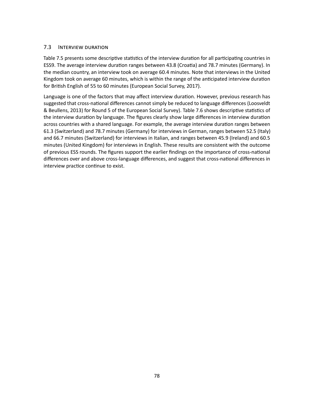#### 7.3 INTERVIEW DURATION

Table [7.5](#page-83-0) presents some descriptive statistics of the interview duration for all participating countries in ESS9. The average interview duration ranges between 43.8 (Croatia) and 78.7 minutes (Germany). In the median country, an interview took on average 60.4 minutes. Note that interviews in the United Kingdom took on average 60 minutes, which is within the range of the anticipated interview duration for British English of 55 to 60 minutes (European Social Survey, 2017).

Language is one of the factors that may affect interview duration. However, previous research has suggested that cross-national differences cannot simply be reduced to language differences (Loosveldt & Beullens, 2013) for Round 5 of the European Social Survey). Table [7.6](#page-84-0) shows descriptive statistics of the interview duration by language. The figures clearly show large differences in interview duration across countries with a shared language. For example, the average interview duration ranges between 61.3 (Switzerland) and 78.7 minutes (Germany) for interviews in German, ranges between 52.5 (Italy) and 66.7 minutes (Switzerland) for interviews in Italian, and ranges between 45.9 (Ireland) and 60.5 minutes (United Kingdom) for interviews in English. These results are consistent with the outcome of previous ESS rounds. The figures support the earlier findings on the importance of cross-national differences over and above cross-language differences, and suggest that cross-national differences in interview practice continue to exist.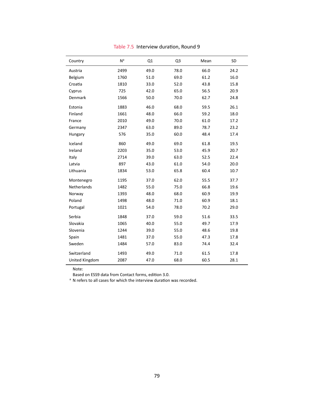<span id="page-83-0"></span>

| Country            | N <sup>a</sup> | Q1   | Q <sub>3</sub> | Mean | <b>SD</b> |
|--------------------|----------------|------|----------------|------|-----------|
| Austria            | 2499           | 49.0 | 78.0           | 66.0 | 24.2      |
| Belgium            | 1760           | 51.0 | 69.0           | 61.2 | 16.0      |
| Croatia            | 1810           | 33.0 | 52.0           | 43.8 | 15.8      |
| Cyprus             | 725            | 42.0 | 65.0           | 56.5 | 20.9      |
| Denmark            | 1566           | 50.0 | 70.0           | 62.7 | 24.8      |
| Estonia            | 1883           | 46.0 | 68.0           | 59.5 | 26.1      |
| Finland            | 1661           | 48.0 | 66.0           | 59.2 | 18.0      |
| France             | 2010           | 49.0 | 70.0           | 61.0 | 17.2      |
| Germany            | 2347           | 63.0 | 89.0           | 78.7 | 23.2      |
| Hungary            | 576            | 35.0 | 60.0           | 48.4 | 17.4      |
| Iceland            | 860            | 49.0 | 69.0           | 61.8 | 19.5      |
| Ireland            | 2203           | 35.0 | 53.0           | 45.9 | 20.7      |
| Italy              | 2714           | 39.0 | 63.0           | 52.5 | 22.4      |
| Latvia             | 897            | 43.0 | 61.0           | 54.0 | 20.0      |
| Lithuania          | 1834           | 53.0 | 65.8           | 60.4 | 10.7      |
| Montenegro         | 1195           | 37.0 | 62.0           | 55.5 | 37.7      |
| <b>Netherlands</b> | 1482           | 55.0 | 75.0           | 66.8 | 19.6      |
| Norway             | 1393           | 48.0 | 68.0           | 60.9 | 19.9      |
| Poland             | 1498           | 48.0 | 71.0           | 60.9 | 18.1      |
| Portugal           | 1021           | 54.0 | 78.0           | 70.2 | 29.0      |
| Serbia             | 1848           | 37.0 | 59.0           | 51.6 | 33.5      |
| Slovakia           | 1065           | 40.0 | 55.0           | 49.7 | 17.9      |
| Slovenia           | 1244           | 39.0 | 55.0           | 48.6 | 19.8      |
| Spain              | 1481           | 37.0 | 55.0           | 47.3 | 17.8      |
| Sweden             | 1484           | 57.0 | 83.0           | 74.4 | 32.4      |
| Switzerland        | 1493           | 49.0 | 71.0           | 61.5 | 17.8      |
| United Kingdom     | 2087           | 47.0 | 68.0           | 60.5 | 28.1      |

Table 7.5 Interview duration, Round 9

Based on ESS9 data from Contact forms, edition 3.0.

<sup>a</sup> N refers to all cases for which the interview duration was recorded.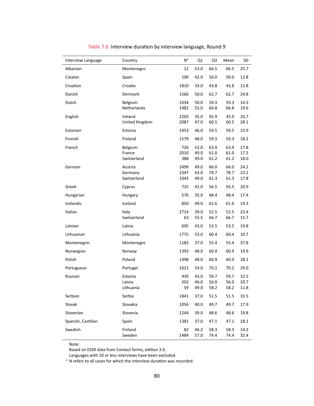<span id="page-84-0"></span>

| Interview Language | Country                        | N <sup>a</sup>   | Q1                   | Q <sub>3</sub>       | Mean                 | SD                   |
|--------------------|--------------------------------|------------------|----------------------|----------------------|----------------------|----------------------|
| Albanian           | Montenegro                     | 12               | 53.0                 | 66.5                 | 66.5                 | 25.7                 |
| Catalan            | Spain                          | 100              | 42.0                 | 50.0                 | 50.0                 | 12.8                 |
| Croatian           | Croatia                        | 1810             | 33.0                 | 43.8                 | 43.8                 | 15.8                 |
| Danish             | <b>Denmark</b>                 | 1566             | 50.0                 | 62.7                 | 62.7                 | 24.8                 |
| Dutch              | Belgium<br>Netherlands         | 1034<br>1482     | 50.0<br>55.0         | 59.3<br>66.8         | 59.3<br>66.8         | 14.3<br>19.6         |
| English            | Ireland<br>United Kingdom      | 2203<br>2087     | 35.0<br>47.0         | 45.9<br>60.5         | 45.9<br>60.5         | 20.7<br>28.1         |
| Estonian           | Estonia                        | 1453             | 46.0                 | 59.5                 | 59.5                 | 23.9                 |
| Finnish            | Finland                        | 1579             | 48.0                 | 59.3                 | 59.3                 | 18.2                 |
| French             | Belgium                        | 726              | 52.0                 | 63.9                 | 63.9                 | 17.8                 |
|                    | France                         | 2010             | 49.0                 | 61.0                 | 61.0                 | 17.2                 |
|                    | Switzerland                    | 388              | 49.0                 | 61.2                 | 61.2                 | 18.0                 |
| German             | Austria                        | 2499<br>2347     | 49.0                 | 66.0<br>78.7         | 66.0<br>78.7         | 24.2<br>23.2         |
|                    | Germany<br>Switzerland         | 1042             | 63.0<br>49.0         | 61.3                 | 61.3                 | 17.8                 |
| Greek              | Cyprus                         | 725              | 42.0                 | 56.5                 | 56.5                 | 20.9                 |
| Hungarian          | Hungary                        | 576              | 35.0                 | 48.4                 | 48.4                 | 17.4                 |
| Icelandic          | Iceland                        | 850              | 49.0                 | 61.6                 | 61.6                 | 19.3                 |
| Italian            | Italy<br>Switzerland           | 2714<br>63       | 39.0<br>55.5         | 52.5<br>66.7         | 52.5<br>66.7         | 22.4<br>15.7         |
| Latvian            | Latvia                         | 695              | 43.0                 | 53.5                 | 53.5                 | 19.8                 |
| Lithuanian         | Lithuania                      | 1775             | 53.0                 | 60.4                 | 60.4                 | 10.7                 |
| Montenegrin        | Montenegro                     | 1183             | 37.0                 | 55.4                 | 55.4                 | 37.8                 |
| Norwegian          | Norway                         | 1393             | 48.0                 | 60.9                 | 60.9                 | 19.9                 |
| Polish             | Poland                         | 1498             | 48.0                 | 60.9                 | 60.9                 | 18.1                 |
| Portuguese         | Portugal                       | 1021             | 54.0                 | 70.2                 | 70.2                 | 29.0                 |
| Russian            | Estonia<br>Latvia<br>Lithuania | 430<br>202<br>59 | 43.0<br>46.0<br>49.0 | 59.7<br>56.0<br>58.2 | 59.7<br>56.0<br>58.2 | 32.5<br>20.7<br>11.8 |
| Serbian            | Serbia                         | 1841             | 37.0                 | 51.5                 | 51.5                 | 33.5                 |
| Slovak             | Slovakia                       | 1056             | 40.0                 | 49.7                 | 49.7                 | 17.9                 |
| Slovenian          | Slovenia                       | 1244             | 39.0                 | 48.6                 | 48.6                 | 19.8                 |
| Spanish, Castilian | Spain                          | 1381             | 37.0                 | 47.1                 | 47.1                 | 18.1                 |
| Swedish            | Finland<br>Sweden              | 82<br>1484       | 46.2<br>57.0         | 58.3<br>74.4         | 58.3<br>74.4         | 14.2<br>32.4         |

### Table 7.6 Interview duration by interview language, Round 9

Note:

Based on ESS9 data from Contact forms, edition 3.0.

Languages with 10 or less interviews have been excluded.

<sup>a</sup> N refers to all cases for which the interview duration was recorded.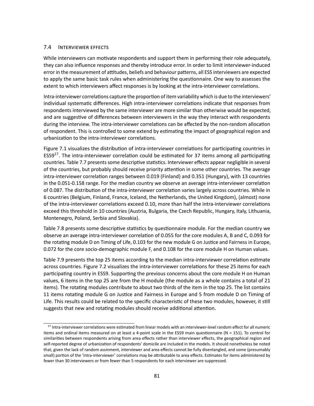#### 7.4 INTERVIEWER EFFECTS

While interviewers can motivate respondents and support them in performing their role adequately, they can also influence responses and thereby introduce error. In order to limit interviewer-induced error in the measurement of attitudes, beliefs and behaviour patterns, all ESS interviewers are expected to apply the same basic task rules when administering the questionnaire. One way to assesses the extent to which interviewers affect responses is by looking at the intra-interviewer correlations.

Intra-interviewer correlations capture the proportion of item variability which is due to the interviewers' individual systematic differences. High intra-interviewer correlations indicate that responses from respondents interviewed by the same interviewer are more similar than otherwise would be expected, and are suggestive of differences between interviewers in the way they interact with respondents during the interview. The intra-interviewer correlations can be affected by the non-random allocation of respondent. This is controlled to some extend by estimating the impact of geographical region and urbanization to the intra-interviewer correlations.

<span id="page-85-1"></span>Figure [7.1](#page-86-0) visualizes the distribution of intra-interviewer correlations for participating countries in ESS9<sup>[17](#page-85-0)</sup>. The intra-interviewer correlation could be estimated for 37 items among all participating countries. Table [7.7](#page-88-0) presents some descriptive statistics. Interviewer effects appear negligible in several of the countries, but probably should receive priority attention in some other countries. The average intra-interviewer correlation ranges between 0.019 (Finland) and 0.351 (Hungary), with 13 countries in the 0.051-0.158 range. For the median country we observe an average intra-interviewer correlation of 0.087. The distribution of the intra-interviewer correlation varies largely across countries. While in 6 countries (Belgium, Finland, France, Iceland, the Netherlands, the United Kingdom), (almost) none of the intra-interviewer correlations exceed 0.10, more than half the intra-interviewer correlations exceed this threshold in 10 countries (Austria, Bulgaria, the Czech Republic, Hungary, Italy, Lithuania, Montenegro, Poland, Serbia and Slovakia).

Table [7.8](#page-89-0) presents some descriptive statistics by questionnaire module. For the median country we observe an average intra-interviewer correlation of 0.055 for the core modules A, B and C, 0.093 for the rotating module D on Timing of Life, 0.103 for the new module G on Justice and Fairness in Europe, 0.072 for the core socio-demographic module F, and 0.108 for the core module H on Human values.

Table [7.9](#page-90-0) presents the top 25 items according to the median intra-interviewer correlation estimate across countries. Figure [7.2](#page-87-0) visualizes the intra-interviewer correlations for these 25 items for each participating country in ESS9. Supporting the previous concerns about the core module H on Human values, 6 items in the top 25 are from the H module (the module as a whole contains a total of 21 items). The rotating modules contribute to about two thirds of the item in the top 25. The list contains 11 items rotating module G on Justice and Fairness in Europe and 5 from module D on Timing of Life. This results could be related to the specific characteristic of these two modules, however, it still suggests that new and rotating modules should receive additional attention.

<span id="page-85-0"></span><sup>&</sup>lt;sup>[17](#page-85-1)</sup> Intra-interviewer correlations were estimated from linear models with an interviewer-level random effect for all numeric items and ordinal items measured on at least a 4-point scale in the ESS9 main questionnaire (N = 151). To control for similarities between respondents arising from area effects rather than interviewer effects, the geographical region and self-reported degree of urbanization of respondents' domicile are included in the models. It should nonetheless be noted that, given the lack of random assinment, interviewer and area effects cannot be fully disentangled, and some (presumably small) portion of the 'intra-interviewer' correlations may be attributable to area effects. Estimates for items administered by fewer than 30 interviewers or from fewer than 5 respondents for each interviewer are suppressed.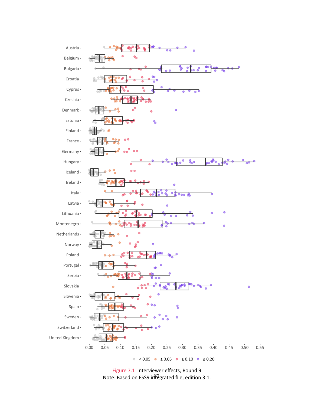<span id="page-86-0"></span>

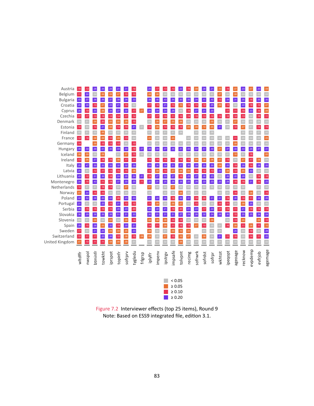<span id="page-87-0"></span>

Figure 7.2 Interviewer effects (top 25 items), Round 9 Note: Based on ESS9 integrated file, edition 3.1.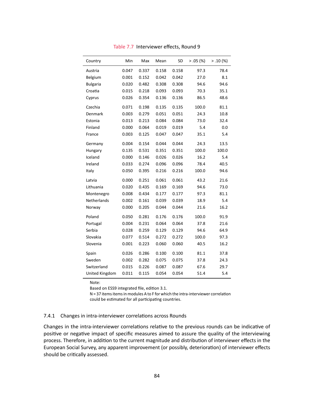<span id="page-88-0"></span>

| Country         | Min   | Max   | Mean  | SD    | $> .05$ (%) | > .10(%) |
|-----------------|-------|-------|-------|-------|-------------|----------|
| Austria         | 0.047 | 0.337 | 0.158 | 0.158 | 97.3        | 78.4     |
| Belgium         | 0.001 | 0.152 | 0.042 | 0.042 | 27.0        | 8.1      |
| <b>Bulgaria</b> | 0.020 | 0.482 | 0.308 | 0.308 | 94.6        | 94.6     |
| Croatia         | 0.015 | 0.218 | 0.093 | 0.093 | 70.3        | 35.1     |
| Cyprus          | 0.026 | 0.354 | 0.136 | 0.136 | 86.5        | 48.6     |
| Czechia         | 0.071 | 0.198 | 0.135 | 0.135 | 100.0       | 81.1     |
| Denmark         | 0.003 | 0.279 | 0.051 | 0.051 | 24.3        | 10.8     |
| Estonia         | 0.013 | 0.213 | 0.084 | 0.084 | 73.0        | 32.4     |
| Finland         | 0.000 | 0.064 | 0.019 | 0.019 | 5.4         | 0.0      |
| France          | 0.003 | 0.125 | 0.047 | 0.047 | 35.1        | 5.4      |
| Germany         | 0.004 | 0.154 | 0.044 | 0.044 | 24.3        | 13.5     |
| Hungary         | 0.135 | 0.531 | 0.351 | 0.351 | 100.0       | 100.0    |
| Iceland         | 0.000 | 0.146 | 0.026 | 0.026 | 16.2        | 5.4      |
| Ireland         | 0.033 | 0.274 | 0.096 | 0.096 | 78.4        | 40.5     |
| Italy           | 0.050 | 0.395 | 0.216 | 0.216 | 100.0       | 94.6     |
| Latvia          | 0.000 | 0.251 | 0.061 | 0.061 | 43.2        | 21.6     |
| Lithuania       | 0.020 | 0.435 | 0.169 | 0.169 | 94.6        | 73.0     |
| Montenegro      | 0.008 | 0.434 | 0.177 | 0.177 | 97.3        | 81.1     |
| Netherlands     | 0.002 | 0.161 | 0.039 | 0.039 | 18.9        | 5.4      |
| Norway          | 0.000 | 0.205 | 0.044 | 0.044 | 21.6        | 16.2     |
| Poland          | 0.050 | 0.281 | 0.176 | 0.176 | 100.0       | 91.9     |
| Portugal        | 0.004 | 0.231 | 0.064 | 0.064 | 37.8        | 21.6     |
| Serbia          | 0.028 | 0.259 | 0.129 | 0.129 | 94.6        | 64.9     |
| Slovakia        | 0.077 | 0.514 | 0.272 | 0.272 | 100.0       | 97.3     |
| Slovenia        | 0.001 | 0.223 | 0.060 | 0.060 | 40.5        | 16.2     |
| Spain           | 0.026 | 0.286 | 0.100 | 0.100 | 81.1        | 37.8     |
| Sweden          | 0.002 | 0.282 | 0.075 | 0.075 | 37.8        | 24.3     |
| Switzerland     | 0.015 | 0.226 | 0.087 | 0.087 | 67.6        | 29.7     |
| United Kingdom  | 0.011 | 0.115 | 0.054 | 0.054 | 51.4        | 5.4      |

Table 7.7 Interviewer effects, Round 9

Based on ESS9 integrated file, edition 3.1.

N = 37 items items in modules A to F for which the intra-interviewer correlation could be estimated for all participating countries.

#### 7.4.1 Changes in intra-interviewer correlations across Rounds

Changes in the intra-interviewer correlations relative to the previous rounds can be indicative of positive or negative impact of specific measures aimed to assure the quality of the interviewing process. Therefore, in addition to the current magnitude and distribution of interviewer effects in the European Social Survey, any apparent improvement (or possibly, deterioration) of interviewer effects should be critically assessed.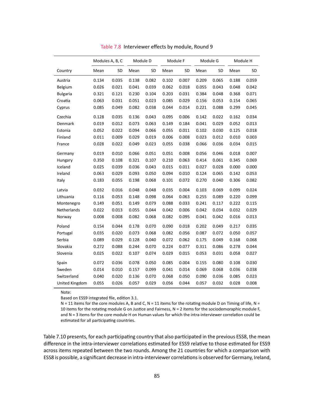<span id="page-89-0"></span>

|                 | Modules A, B, C |       | Module D |       | Module F |       | Module G |       | Module H |       |
|-----------------|-----------------|-------|----------|-------|----------|-------|----------|-------|----------|-------|
| Country         | Mean            | SD    | Mean     | SD    | Mean     | SD    | Mean     | SD    | Mean     | SD    |
| Austria         | 0.134           | 0.035 | 0.138    | 0.082 | 0.102    | 0.007 | 0.209    | 0.065 | 0.188    | 0.059 |
| Belgium         | 0.026           | 0.021 | 0.041    | 0.039 | 0.062    | 0.018 | 0.055    | 0.043 | 0.048    | 0.042 |
| <b>Bulgaria</b> | 0.321           | 0.121 | 0.230    | 0.104 | 0.203    | 0.031 | 0.384    | 0.048 | 0.368    | 0.071 |
| Croatia         | 0.063           | 0.031 | 0.051    | 0.023 | 0.085    | 0.029 | 0.156    | 0.053 | 0.154    | 0.065 |
| Cyprus          | 0.085           | 0.049 | 0.082    | 0.038 | 0.044    | 0.014 | 0.221    | 0.088 | 0.299    | 0.045 |
| Czechia         | 0.128           | 0.035 | 0.136    | 0.043 | 0.095    | 0.006 | 0.142    | 0.022 | 0.162    | 0.034 |
| Denmark         | 0.019           | 0.012 | 0.073    | 0.063 | 0.149    | 0.184 | 0.041    | 0.029 | 0.052    | 0.013 |
| Estonia         | 0.052           | 0.022 | 0.094    | 0.066 | 0.055    | 0.011 | 0.102    | 0.030 | 0.125    | 0.018 |
| Finland         | 0.011           | 0.009 | 0.029    | 0.019 | 0.006    | 0.008 | 0.023    | 0.012 | 0.010    | 0.003 |
| France          | 0.028           | 0.022 | 0.049    | 0.023 | 0.055    | 0.038 | 0.066    | 0.036 | 0.034    | 0.015 |
| Germany         | 0.019           | 0.010 | 0.066    | 0.051 | 0.051    | 0.008 | 0.056    | 0.046 | 0.018    | 0.007 |
| Hungary         | 0.350           | 0.108 | 0.321    | 0.107 | 0.210    | 0.063 | 0.414    | 0.061 | 0.345    | 0.069 |
| Iceland         | 0.025           | 0.039 | 0.036    | 0.043 | 0.015    | 0.011 | 0.027    | 0.028 | 0.000    | 0.000 |
| Ireland         | 0.063           | 0.029 | 0.093    | 0.050 | 0.094    | 0.010 | 0.124    | 0.065 | 0.142    | 0.053 |
| Italy           | 0.183           | 0.055 | 0.198    | 0.068 | 0.101    | 0.072 | 0.270    | 0.040 | 0.306    | 0.082 |
| Latvia          | 0.032           | 0.016 | 0.048    | 0.048 | 0.035    | 0.004 | 0.103    | 0.069 | 0.099    | 0.024 |
| Lithuania       | 0.116           | 0.053 | 0.148    | 0.098 | 0.064    | 0.063 | 0.255    | 0.089 | 0.220    | 0.099 |
| Montenegro      | 0.149           | 0.051 | 0.149    | 0.079 | 0.088    | 0.033 | 0.241    | 0.117 | 0.222    | 0.115 |
| Netherlands     | 0.022           | 0.013 | 0.055    | 0.044 | 0.042    | 0.006 | 0.042    | 0.034 | 0.032    | 0.029 |
| Norway          | 0.008           | 0.008 | 0.082    | 0.068 | 0.082    | 0.095 | 0.041    | 0.042 | 0.016    | 0.013 |
| Poland          | 0.154           | 0.044 | 0.178    | 0.070 | 0.090    | 0.018 | 0.202    | 0.049 | 0.217    | 0.035 |
| Portugal        | 0.035           | 0.020 | 0.073    | 0.068 | 0.082    | 0.056 | 0.087    | 0.072 | 0.050    | 0.057 |
| Serbia          | 0.089           | 0.029 | 0.128    | 0.040 | 0.072    | 0.062 | 0.175    | 0.049 | 0.168    | 0.068 |
| Slovakia        | 0.272           | 0.088 | 0.244    | 0.070 | 0.224    | 0.077 | 0.311    | 0.086 | 0.278    | 0.044 |
| Slovenia        | 0.025           | 0.022 | 0.107    | 0.074 | 0.029    | 0.015 | 0.053    | 0.031 | 0.058    | 0.027 |
| Spain           | 0.072           | 0.036 | 0.078    | 0.050 | 0.085    | 0.004 | 0.155    | 0.080 | 0.108    | 0.030 |
| Sweden          | 0.014           | 0.010 | 0.157    | 0.099 | 0.041    | 0.014 | 0.069    | 0.068 | 0.036    | 0.038 |
| Switzerland     | 0.040           | 0.020 | 0.136    | 0.070 | 0.068    | 0.050 | 0.090    | 0.036 | 0.085    | 0.023 |
| United Kingdom  | 0.055           | 0.026 | 0.057    | 0.029 | 0.056    | 0.044 | 0.057    | 0.032 | 0.028    | 0.008 |

Table 7.8 Interviewer effects by module, Round 9

Based on ESS9 integrated file, edition 3.1.

 $N = 11$  items for the core modules A, B and C,  $N = 11$  items for the rotating module D on Timing of life,  $N = 11$ 10 items for the rotating module G on Justice and Fairness, N = 2 items for the sociodemoraphic module F, and N = 3 items for the core module H on Human values for which the intra-interviewer correlation could be estimated for all participating countries.

Table [7.10](#page-91-0) presents, for each participating country that also participated in the previous ESS8, the mean difference in the intra-interviewer correlations estimated for ESS9 relative to those estimated for ESS9 across items repeated between the two rounds. Among the 21 countries for which a comparison with ESS8 is possible, a significant decrease in intra-interviewer correlations is observed for Germany, Ireland,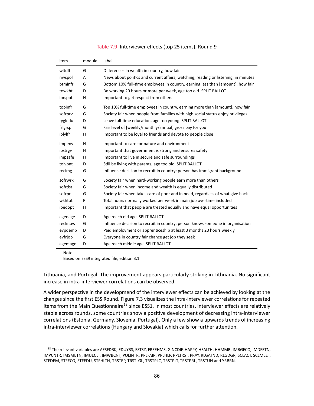<span id="page-90-0"></span>

| item    | module | label                                                                               |
|---------|--------|-------------------------------------------------------------------------------------|
| wltdffr | G      | Differences in wealth in country, how fair                                          |
| nwspol  | А      | News about politics and current affairs, watching, reading or listening, in minutes |
| btminfr | G      | Bottom 10% full-time employees in country, earning less than [amount], how fair     |
| towkht  | D      | Be working 20 hours or more per week, age too old. SPLIT BALLOT                     |
| iprspot | н      | Important to get respect from others                                                |
| topinfr | G      | Top 10% full-time employees in country, earning more than [amount], how fair        |
| sofrprv | G      | Society fair when people from families with high social status enjoy privileges     |
| tygledu | D      | Leave full-time education, age too young. SPLIT BALLOT                              |
| frlgrsp | G      | Fair level of [weekly/monthly/annual] gross pay for you                             |
| iplylfr | н      | Important to be loyal to friends and devote to people close                         |
| impenv  | H      | Important to care for nature and environment                                        |
| ipstrgv | H      | Important that government is strong and ensures safety                              |
| impsafe | н      | Important to live in secure and safe surroundings                                   |
| tolvpnt | D      | Still be living with parents, age too old. SPLIT BALLOT                             |
| recimg  | G      | Influence decision to recruit in country: person has immigrant background           |
| sofrwrk | G      | Society fair when hard-working people earn more than others                         |
| sofrdst | G      | Society fair when income and wealth is equally distributed                          |
| sofrpr  | G      | Society fair when takes care of poor and in need, regardless of what give back      |
| wkhtot  | F      | Total hours normally worked per week in main job overtime included                  |
| ipeqopt | н      | Important that people are treated equally and have equal opportunities              |
| ageoage | D      | Age reach old age. SPLIT BALLOT                                                     |
| recknow | G      | Influence decision to recruit in country: person knows someone in organisation      |
| evpdemp | D      | Paid employment or apprenticeship at least 3 months 20 hours weekly                 |
| evfrjob | G      | Everyone in country fair chance get job they seek                                   |
| agemage | D      | Age reach middle age. SPLIT BALLOT                                                  |

#### Table 7.9 Interviewer effects (top 25 items), Round 9

Note:

<span id="page-90-2"></span>Based on ESS9 integrated file, edition 3.1.

Lithuania, and Portugal. The improvement appears particularly striking in Lithuania. No significant increase in intra-interviewer correlations can be observed.

A wider perspective in the developmend of the interviewer effects can be achieved by looking at the changes since the first ESS Round. Figure [7.3](#page-92-0) visualizes the intra-interviewer correlations for repeated items from the Main Questionnaire<sup>[18](#page-90-1)</sup> since ESS1. In most countries, interviewer effects are relatively stable across rounds, some countries show a positive development of decreasing intra-interviewer correlations (Estonia, Germany, Slovenia, Portugal). Only a few show a upwards trends of increasing intra-interviewer correlations (Hungary and Slovakia) which calls for further attention.

<span id="page-90-1"></span><sup>&</sup>lt;sup>[18](#page-90-2)</sup> The relevant variables are AESFDRK, EDUYRS, ESTSZ, FREEHMS, GINCDIF, HAPPY, HEALTH, HHMMB, IMBGECO, IMDFETN, IMPCNTR, IMSMETN, IMUECLT, IMWBCNT, POLINTR, PPLFAIR, PPLHLP, PPLTRST, PRAY, RLGATND, RLGDGR, SCLACT, SCLMEET, STFDEM, STFECO, STFEDU, STFHLTH, TRSTEP, TRSTLGL, TRSTPLC, TRSTPLT, TRSTPRL, TRSTUN and YRBRN.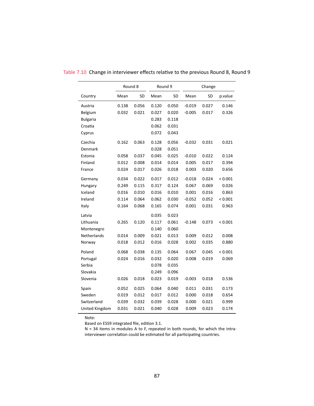|                    |       | Round 8 |       | Round 9 | Change   |       |         |
|--------------------|-------|---------|-------|---------|----------|-------|---------|
| Country            | Mean  | SD      | Mean  | SD      | Mean     | SD    | p.value |
| Austria            | 0.138 | 0.056   | 0.120 | 0.050   | $-0.019$ | 0.027 | 0.146   |
| Belgium            | 0.032 | 0.021   | 0.027 | 0.020   | $-0.005$ | 0.017 | 0.326   |
| <b>Bulgaria</b>    |       |         | 0.283 | 0.118   |          |       |         |
| Croatia            |       |         | 0.062 | 0.031   |          |       |         |
| Cyprus             |       |         | 0.072 | 0.043   |          |       |         |
| Czechia            | 0.162 | 0.063   | 0.128 | 0.056   | $-0.032$ | 0.031 | 0.021   |
| Denmark            |       |         | 0.028 | 0.051   |          |       |         |
| Estonia            | 0.058 | 0.037   | 0.045 | 0.025   | $-0.010$ | 0.022 | 0.124   |
| Finland            | 0.012 | 0.008   | 0.014 | 0.014   | 0.005    | 0.017 | 0.394   |
| France             | 0.024 | 0.017   | 0.026 | 0.018   | 0.003    | 0.020 | 0.656   |
| Germany            | 0.034 | 0.022   | 0.017 | 0.012   | $-0.018$ | 0.024 | < 0.001 |
| Hungary            | 0.249 | 0.115   | 0.317 | 0.124   | 0.067    | 0.069 | 0.026   |
| Iceland            | 0.016 | 0.010   | 0.016 | 0.010   | 0.001    | 0.016 | 0.863   |
| Ireland            | 0.114 | 0.064   | 0.062 | 0.030   | $-0.052$ | 0.052 | < 0.001 |
| Italy              | 0.164 | 0.068   | 0.165 | 0.074   | 0.001    | 0.031 | 0.963   |
| Latvia             |       |         | 0.035 | 0.023   |          |       |         |
| Lithuania          | 0.265 | 0.120   | 0.117 | 0.061   | $-0.148$ | 0.073 | < 0.001 |
| Montenegro         |       |         | 0.140 | 0.060   |          |       |         |
| <b>Netherlands</b> | 0.014 | 0.009   | 0.021 | 0.013   | 0.009    | 0.012 | 0.008   |
| Norway             | 0.018 | 0.012   | 0.016 | 0.028   | 0.002    | 0.035 | 0.880   |
| Poland             | 0.068 | 0.038   | 0.135 | 0.064   | 0.067    | 0.045 | < 0.001 |
| Portugal           | 0.024 | 0.016   | 0.032 | 0.020   | 0.008    | 0.019 | 0.069   |
| Serbia             |       |         | 0.078 | 0.035   |          |       |         |
| Slovakia           |       |         | 0.249 | 0.096   |          |       |         |
| Slovenia           | 0.026 | 0.018   | 0.023 | 0.019   | $-0.003$ | 0.018 | 0.536   |
| Spain              | 0.052 | 0.025   | 0.064 | 0.040   | 0.011    | 0.031 | 0.173   |
| Sweden             | 0.019 | 0.012   | 0.017 | 0.012   | 0.000    | 0.018 | 0.654   |
| Switzerland        | 0.039 | 0.032   | 0.039 | 0.028   | 0.000    | 0.021 | 0.999   |
| United Kingdom     | 0.031 | 0.021   | 0.040 | 0.028   | 0.009    | 0.023 | 0.174   |

<span id="page-91-0"></span>Table 7.10 Change in interviewer effects relative to the previous Round 8, Round 9

Based on ESS9 integrated file, edition 3.1.

N = 34 items in modules A to F, repeated in both rounds, for which the intrainterviewer correlation could be estimated for all participating countries.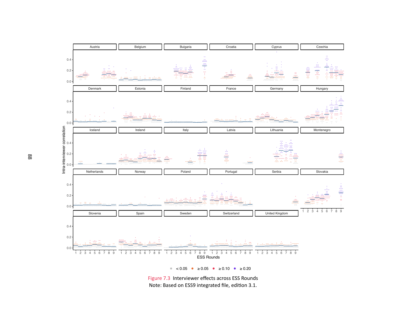

Figure 7.3 Interviewer effects across ESS Rounds

<span id="page-92-0"></span>Note: Based on ESS9 integrated file, edition 3.1.

88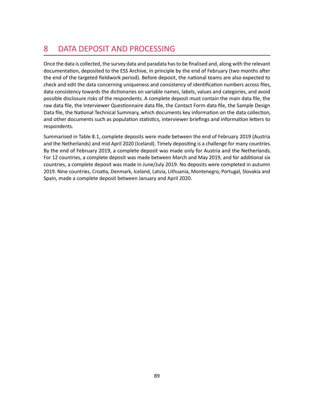## 8 DATA DEPOSIT AND PROCESSING

Once the data is collected, the survey data and paradata has to be finalised and, along with the relevant documentation, deposited to the ESS Archive, in principle by the end of February (two months after the end of the targeted fieldwork period). Before deposit, the national teams are also expected to check and edit the data concerning uniqueness and consistency of identification numbers across files, data consistency towards the dictionaries on variable names, labels, values and categories, and avoid possible disclosure risks of the respondents. A complete deposit must contain the main data file, the raw data file, the Interviewer Questionnaire data file, the Contact Form data file, the Sample Design Data file, the National Technical Summary, which documents key information on the data collection, and other documents such as population statistics, interviewer briefings and information letters to respondents.

Summarised in Table [8.1,](#page-94-0) complete deposits were made between the end of February 2019 (Austria and the Netherlands) and mid April 2020 (Iceland). Timely depositing is a challenge for many countries. By the end of February 2019, a complete deposit was made only for Austria and the Netherlands. For 12 countries, a complete deposit was made between March and May 2019, and for additional six countries, a complete deposit was made in June/July 2019. No deposits were completed in autumn 2019. Nine countries, Croatia, Denmark, Iceland, Latvia, Lithuania, Montenegro, Portugal, Slovakia and Spain, made a complete deposit between January and April 2020.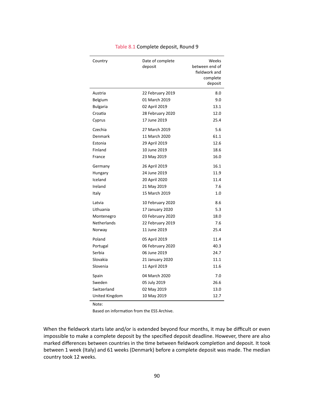<span id="page-94-0"></span>

| Country            | Date of complete<br>deposit | Weeks<br>between end of<br>fieldwork and<br>complete<br>deposit |
|--------------------|-----------------------------|-----------------------------------------------------------------|
| Austria            | 22 February 2019            | 8.0                                                             |
| Belgium            | 01 March 2019               | 9.0                                                             |
| <b>Bulgaria</b>    | 02 April 2019               | 13.1                                                            |
| Croatia            | 28 February 2020            | 12.0                                                            |
| Cyprus             | 17 June 2019                | 25.4                                                            |
| Czechia            | 27 March 2019               | 5.6                                                             |
| Denmark            | 11 March 2020               | 61.1                                                            |
| Estonia            | 29 April 2019               | 12.6                                                            |
| Finland            | 10 June 2019                | 18.6                                                            |
| France             | 23 May 2019                 | 16.0                                                            |
| Germany            | 26 April 2019               | 16.1                                                            |
| Hungary            | 24 June 2019                | 11.9                                                            |
| Iceland            | 20 April 2020               | 11.4                                                            |
| Ireland            | 21 May 2019                 | 7.6                                                             |
| Italy              | 15 March 2019               | 1.0                                                             |
| Latvia             | 10 February 2020            | 8.6                                                             |
| Lithuania          | 17 January 2020             | 5.3                                                             |
| Montenegro         | 03 February 2020            | 18.0                                                            |
| <b>Netherlands</b> | 22 February 2019            | 7.6                                                             |
| Norway             | 11 June 2019                | 25.4                                                            |
| Poland             | 05 April 2019               | 11.4                                                            |
| Portugal           | 06 February 2020            | 40.3                                                            |
| Serbia             | 06 June 2019                | 24.7                                                            |
| Slovakia           | 21 January 2020             | 11.1                                                            |
| Slovenia           | 11 April 2019               | 11.6                                                            |
| Spain              | 04 March 2020               | 7.0                                                             |
| Sweden             | 05 July 2019                | 26.6                                                            |
| Switzerland        | 02 May 2019                 | 13.0                                                            |
| United Kingdom     | 10 May 2019                 | 12.7                                                            |

#### Table 8.1 Complete deposit, Round 9

Note:

Based on information from the ESS Archive.

When the fieldwork starts late and/or is extended beyond four months, it may be difficult or even impossible to make a complete deposit by the specified deposit deadline. However, there are also marked differences between countries in the time between fieldwork completion and deposit. It took between 1 week (Italy) and 61 weeks (Denmark) before a complete deposit was made. The median country took 12 weeks.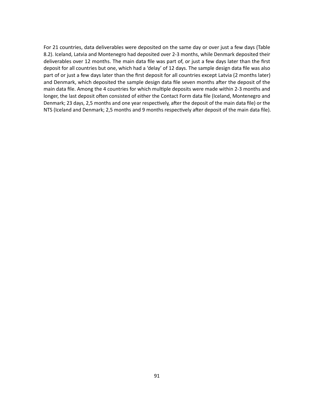For 21 countries, data deliverables were deposited on the same day or over just a few days (Table [8.2\)](#page-96-0). Iceland, Latvia and Montenegro had deposited over 2-3 months, while Denmark deposited their deliverables over 12 months. The main data file was part of, or just a few days later than the first deposit for all countries but one, which had a 'delay' of 12 days. The sample design data file was also part of or just a few days later than the first deposit for all countries except Latvia (2 months later) and Denmark, which deposited the sample design data file seven months after the deposit of the main data file. Among the 4 countries for which multiple deposits were made within 2-3 months and longer, the last deposit often consisted of either the Contact Form data file (Iceland, Montenegro and Denmark; 23 days, 2,5 months and one year respectively, after the deposit of the main data file) or the NTS (Iceland and Denmark; 2,5 months and 9 months respectively after deposit of the main data file).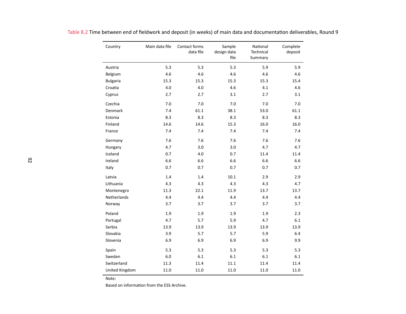| Country            | Main data file | Contact forms<br>data file | Sample<br>design data<br>file | National<br>Technical<br>Summary | Complete<br>deposit |
|--------------------|----------------|----------------------------|-------------------------------|----------------------------------|---------------------|
| Austria            | 5.3            | 5.3                        | 5.3                           | 5.9                              | 5.9                 |
| Belgium            | 4.6            | 4.6                        | 4.6                           | 4.6                              | 4.6                 |
| <b>Bulgaria</b>    | 15.3           | 15.3                       | 15.3                          | 15.3                             | 15.4                |
| Croatia            | 4.0            | 4.0                        | 4.6                           | 4.1                              | 4.6                 |
| Cyprus             | 2.7            | 2.7                        | 3.1                           | 2.7                              | 3.1                 |
| Czechia            | 7.0            | 7.0                        | 7.0                           | 7.0                              | 7.0                 |
| Denmark            | 7.4            | 61.1                       | 38.1                          | 53.0                             | 61.1                |
| Estonia            | 8.3            | 8.3                        | 8.3                           | 8.3                              | 8.3                 |
| Finland            | 14.6           | 14.6                       | 15.3                          | 16.0                             | 16.0                |
| France             | 7.4            | 7.4                        | 7.4                           | 7.4                              | 7.4                 |
| Germany            | 7.6            | 7.6                        | 7.6                           | 7.6                              | 7.6                 |
| Hungary            | 4.7            | 3.0                        | 3.0                           | 4.7                              | 4.7                 |
| Iceland            | 0.7            | 4.0                        | 0.7                           | 11.4                             | 11.4                |
| Ireland            | 6.6            | 6.6                        | 6.6                           | 6.6                              | 6.6                 |
| Italy              | 0.7            | 0.7                        | 0.7                           | 0.7                              | 0.7                 |
| Latvia             | 1.4            | 1.4                        | 10.1                          | 2.9                              | 2.9                 |
| Lithuania          | 4.3            | 4.3                        | 4.3                           | 4.3                              | 4.7                 |
| Montenegro         | 11.3           | 22.1                       | 11.9                          | 13.7                             | 13.7                |
| <b>Netherlands</b> | 4.4            | 4.4                        | 4.4                           | 4.4                              | 4.4                 |
| Norway             | 3.7            | 3.7                        | 3.7                           | 3.7                              | 3.7                 |
| Poland             | 1.9            | 1.9                        | 1.9                           | 1.9                              | 2.3                 |
| Portugal           | 4.7            | 5.7                        | 5.9                           | 4.7                              | 6.1                 |
| Serbia             | 13.9           | 13.9                       | 13.9                          | 13.9                             | 13.9                |
| Slovakia           | 3.9            | 5.7                        | 5.7                           | 5.9                              | 6.4                 |
| Slovenia           | 6.9            | 6.9                        | 6.9                           | 6.9                              | 9.9                 |
| Spain              | 5.3            | 5.3                        | 5.3                           | 5.3                              | 5.3                 |
| Sweden             | 6.0            | 6.1                        | 6.1                           | 6.1                              | 6.1                 |
| Switzerland        | 11.3           | 11.4                       | 11.1                          | 11.4                             | 11.4                |
| United Kingdom     | 11.0           | 11.0                       | 11.0                          | 11.0                             | 11.0                |

Table 8.2 Time between end of fieldwork and deposit (in weeks) of main data and documentation deliverables, Round <sup>9</sup>

<span id="page-96-0"></span>Based on information from the ESS Archive.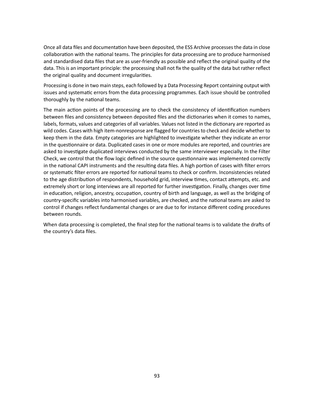Once all data files and documentation have been deposited, the ESS Archive processes the data in close collaboration with the national teams. The principles for data processing are to produce harmonised and standardised data files that are as user-friendly as possible and reflect the original quality of the data. This is an important principle: the processing shall not fix the quality of the data but rather reflect the original quality and document irregularities.

Processing is done in two main steps, each followed by a Data Processing Report containing output with issues and systematic errors from the data processing programmes. Each issue should be controlled thoroughly by the national teams.

The main action points of the processing are to check the consistency of identification numbers between files and consistency between deposited files and the dictionaries when it comes to names, labels, formats, values and categories of all variables. Values not listed in the dictionary are reported as wild codes. Cases with high item-nonresponse are flagged for countries to check and decide whether to keep them in the data. Empty categories are highlighted to investigate whether they indicate an error in the questionnaire or data. Duplicated cases in one or more modules are reported, and countries are asked to investigate duplicated interviews conducted by the same interviewer especially. In the Filter Check, we control that the flow logic defined in the source questionnaire was implemented correctly in the national CAPI instruments and the resulting data files. A high portion of cases with filter errors or systematic filter errors are reported for national teams to check or confirm. Inconsistencies related to the age distribution of respondents, household grid, interview times, contact attempts, etc. and extremely short or long interviews are all reported for further investigation. Finally, changes over time in education, religion, ancestry, occupation, country of birth and language, as well as the bridging of country-specific variables into harmonised variables, are checked, and the national teams are asked to control if changes reflect fundamental changes or are due to for instance different coding procedures between rounds.

When data processing is completed, the final step for the national teams is to validate the drafts of the country's data files.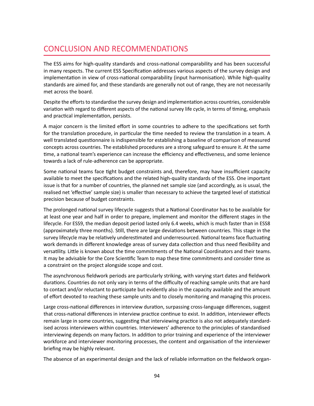## CONCLUSION AND RECOMMENDATIONS

The ESS aims for high-quality standards and cross-national comparability and has been successful in many respects. The current ESS Specification addresses various aspects of the survey design and implementation in view of cross-national comparability (input harmonisation). While high-quality standards are aimed for, and these standards are generally not out of range, they are not necessarily met across the board.

Despite the efforts to standardise the survey design and implementation across countries, considerable variation with regard to different aspects of the national survey life cycle, in terms of timing, emphasis and practical implementation, persists.

A major concern is the limited effort in some countries to adhere to the specifications set forth for the translation procedure, in particular the time needed to review the translation in a team. A well translated questionnaire is indispensible for establishing a baseline of comparison of measured concepts across countries. The established procedures are a strong safeguard to ensure it. At the same time, a national team's experience can increase the efficiency and effectiveness, and some lenience towards a lack of rule-adherence can be appropriate.

Some national teams face tight budget constraints and, therefore, may have insufficient capacity available to meet the specifications and the related high-quality standards of the ESS. One important issue is that for a number of countries, the planned net sample size (and accordingly, as is usual, the realised net 'effective' sample size) is smaller than necessary to achieve the targeted level of statistical precision because of budget constraints.

The prolonged national survey lifecycle suggests that a National Coordinator has to be available for at least one year and half in order to prepare, implement and monitor the different stages in the lifecycle. For ESS9, the median deposit period lasted only 6.4 weeks, which is much faster than in ESS8 (approximately three months). Still, there are large deviations between countries. This stage in the survey lifecycle may be relatively underestimated and underresourced. National teams face fluctuating work demands in different knowledge areas of survey data collection and thus need flexibility and versatility. Little is known about the time commitments of the National Coordinators and their teams. It may be advisable for the Core Scientific Team to map these time commitments and consider time as a constraint on the project alongside scope and cost.

The asynchronous fieldwork periods are particularly striking, with varying start dates and fieldwork durations. Countries do not only vary in terms of the difficulty of reaching sample units that are hard to contact and/or reluctant to participate but evidently also in the capacity available and the amount of effort devoted to reaching these sample units and to closely monitoring and managing this process.

Large cross-national differences in interview duration, surpassing cross-language differences, suggest that cross-national differences in interview practice continue to exist. In addition, interviewer effects remain large in some countries, suggesting that interviewing practice is also not adequately standardised across interviewers within countries. Interviewers' adherence to the principles of standardised interviewing depends on many factors. In addition to prior training and experience of the interviewer workforce and interviewer monitoring processes, the content and organisation of the interviewer briefing may be highly relevant.

The absence of an experimental design and the lack of reliable information on the fieldwork organ-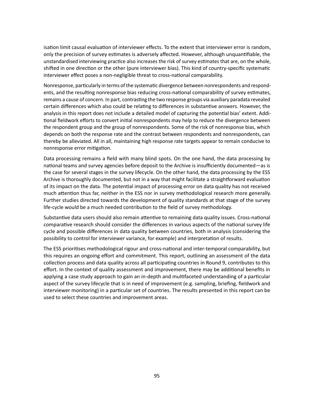isation limit causal evaluation of interviewer effects. To the extent that interviewer error is random, only the precision of survey estimates is adversely affected. However, although unquantifiable, the unstandardised interviewing practice also increases the risk of survey estimates that are, on the whole, shifted in one direction or the other (pure interviewer bias). This kind of country-specific systematic interviewer effect poses a non-negligible threat to cross-national comparability.

Nonresponse, particularly in terms of the systematic divergence between nonrespondents and respondents, and the resulting nonresponse bias reducing cross-national comparability of survey estimates, remains a cause of concern. In part, contrasting the two response groups via auxiliary paradata revealed certain differences which also could be relating to differences in substantive answers. However, the analysis in this report does not include a detailed model of capturing the potential bias' extent. Additional fieldwork efforts to convert initial nonrespondents may help to reduce the divergence between the respondent group and the group of nonrespondents. Some of the risk of nonresponse bias, which depends on both the response rate and the contrast between respondents and nonrespondents, can thereby be alleviated. All in all, maintaining high response rate targets appear to remain conducive to nonresponse error mitigation.

Data processing remains a field with many blind spots. On the one hand, the data processing by national teams and survey agencies before deposit to the Archive is insufficiently documented—as is the case for several stages in the survey lifecycle. On the other hand, the data processing by the ESS Archive is thoroughly documented, but not in a way that might facilitate a straightforward evaluation of its impact on the data. The potential impact of processing error on data quality has not received much attention thus far, neither in the ESS nor in survey methodological research more generally. Further studies directed towards the development of quality standards at that stage of the survey life-cycle would be a much needed contribution to the field of survey methodology.

Substantive data users should also remain attentive to remaining data quality issues. Cross-national comparative research should consider the differences in various aspects of the national survey life cycle and possible differences in data quality between countries, both in analysis (considering the possibility to control for interviewer variance, for example) and interpretation of results.

The ESS prioritises methodological rigour and cross-national and inter-temporal comparability, but this requires an ongoing effort and commitment. This report, outlining an assessment of the data collection process and data quality across all participating countries in Round 9, contributes to this effort. In the context of quality assessment and improvement, there may be additional benefits in applying a case study approach to gain an in-depth and multifaceted understanding of a particular aspect of the survey lifecycle that is in need of improvement (e.g. sampling, briefing, fieldwork and interviewer monitoring) in a particular set of countries. The results presented in this report can be used to select these countries and improvement areas.